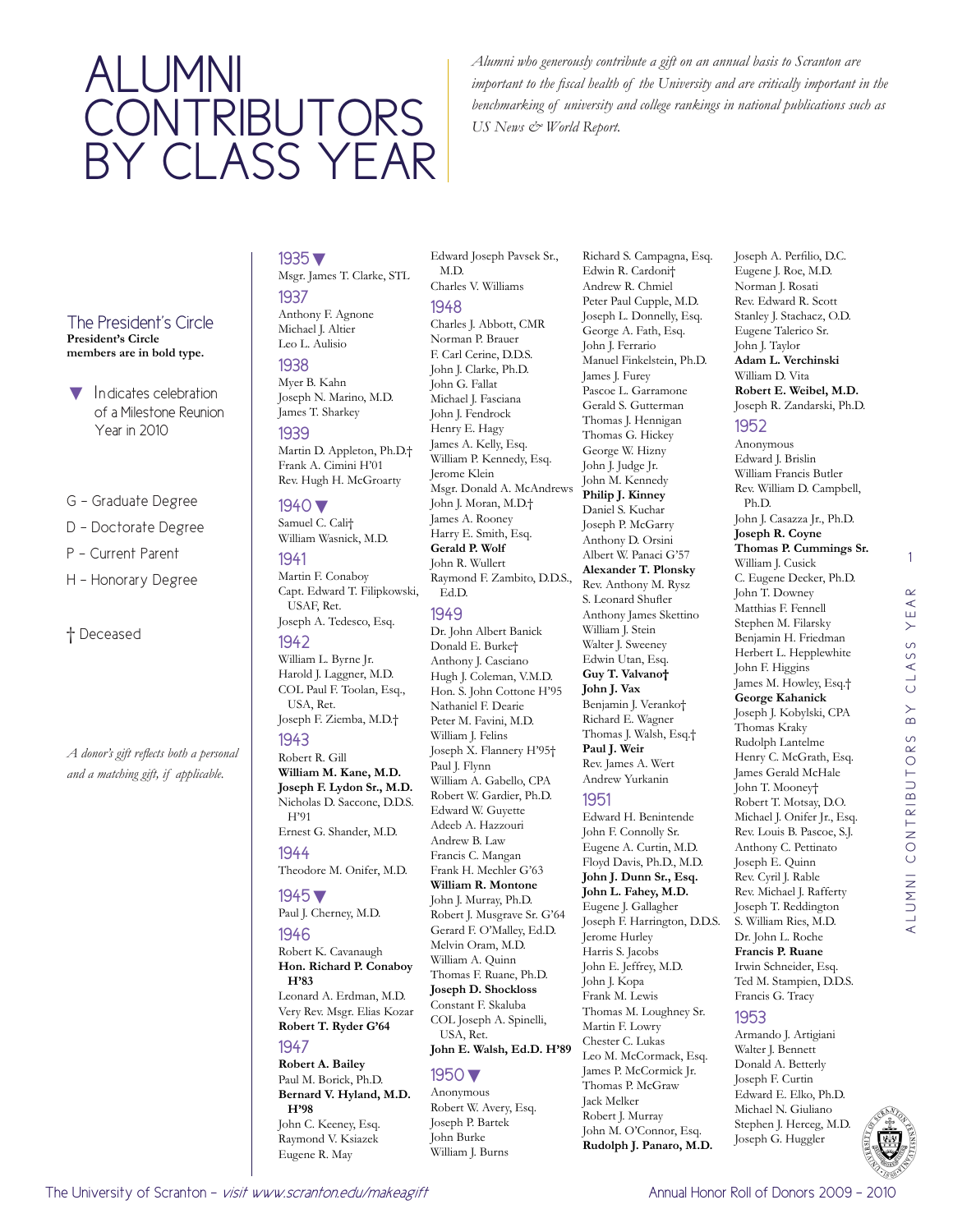# Alumni CONTRIBUTORS by class year

*Alumni who generously contribute a gift on an annual basis to Scranton are important to the fiscal health of the University and are critically important in the benchmarking of university and college rankings in national publications such as US News & World Report.* 

#### The President's Circle **President's Circle members are in bold type.**

- Indicates celebration of a Milestone Reunion Year in 2010
- G Graduate Degree
- D Doctorate Degree
- P Current Parent
- H Honorary Degree

### † Deceased

*A donor's gift reflects both a personal and a matching gift, if applicable.* 

### 1935▼ Msgr. James T. Clarke, STL

1937 Anthony F. Agnone Michael J. Altier Leo L. Aulisio 1938 Myer B. Kahn Joseph N. Marino, M.D. James T. Sharkey

1939 Martin D. Appleton, Ph.D.† Frank A. Cimini H'01 Rev. Hugh H. McGroarty

#### 1940▼ Samuel C. Cali†

William Wasnick, M.D. 1941

Martin F. Conaboy Capt. Edward T. Filipkowski, USAF, Ret. Joseph A. Tedesco, Esq.

## 1942

William L. Byrne Jr. Harold J. Laggner, M.D. COL Paul F. Toolan, Esq., USA, Ret. Joseph F. Ziemba, M.D.†

### 1943

Robert R. Gill **William M. Kane, M.D. Joseph F. Lydon Sr., M.D.** Nicholas D. Saccone, D.D.S. H'91

#### Ernest G. Shander, M.D. 1944

Theodore M. Onifer, M.D.

### 1945▼

Paul J. Cherney, M.D.

## 1946

Robert K. Cavanaugh **Hon. Richard P. Conaboy H'83**

Leonard A. Erdman, M.D. Very Rev. Msgr. Elias Kozar **Robert T. Ryder G'64**

#### 1947

**Robert A. Bailey** Paul M. Borick, Ph.D. **Bernard V. Hyland, M.D. H'98**

John C. Keeney, Esq. Raymond V. Ksiazek Eugene R. May

Edward Joseph Pavsek Sr., M.D. Charles V. Williams 1948 Charles J. Abbott, CMR Norman P. Brauer F. Carl Cerine, D.D.S. John J. Clarke, Ph.D. John G. Fallat Michael J. Fasciana John J. Fendrock Henry E. Hagy James A. Kelly, Esq. William P. Kennedy, Esq. Jerome Klein Msgr. Donald A. McAndrews John J. Moran, M.D.† James A. Rooney Harry E. Smith, Esq. **Gerald P. Wolf** John R. Wullert Raymond F. Zambito, D.D.S., Ed.D. 1949 Dr. John Albert Banick

#### Donald E. Burke† Anthony J. Casciano Hugh J. Coleman, V.M.D. Hon. S. John Cottone H'95 Nathaniel F. Dearie Peter M. Favini, M.D. William J. Felins Joseph X. Flannery H'95† Paul J. Flynn William A. Gabello, CPA Robert W. Gardier, Ph.D. Edward W. Guyette Adeeb A. Hazzouri Andrew B. Law Francis C. Mangan Frank H. Mechler G'63 **William R. Montone** John J. Murray, Ph.D. Robert J. Musgrave Sr. G'64 Gerard F. O'Malley, Ed.D. Melvin Oram, M.D. William A. Quinn Thomas F. Ruane, Ph.D. **Joseph D. Shockloss** Constant F. Skaluba COL Joseph A. Spinelli, USA, Ret.

**John E. Walsh, Ed.D. H'89**

#### 1950▼

Anonymous Robert W. Avery, Esq. Joseph P. Bartek John Burke William J. Burns

Richard S. Campagna, Esq. Edwin R. Cardoni† Andrew R. Chmiel Peter Paul Cupple, M.D. Joseph L. Donnelly, Esq. George A. Fath, Esq. John J. Ferrario Manuel Finkelstein, Ph.D. James J. Furey Pascoe L. Garramone Gerald S. Gutterman Thomas J. Hennigan Thomas G. Hickey George W. Hizny John J. Judge Jr. John M. Kennedy **Philip J. Kinney** Daniel S. Kuchar Joseph P. McGarry Anthony D. Orsini Albert W. Panaci G'57 **Alexander T. Plonsky** Rev. Anthony M. Rysz S. Leonard Shufler Anthony James Skettino William J. Stein Walter J. Sweeney Edwin Utan, Esq. **Guy T. Valvano† John J. Vax** Benjamin J. Veranko† Richard E. Wagner Thomas J. Walsh, Esq.† **Paul J. Weir** Rev. James A. Wert Andrew Yurkanin

### 1951

Edward H. Benintende John F. Connolly Sr. Eugene A. Curtin, M.D. Floyd Davis, Ph.D., M.D. **John J. Dunn Sr., Esq. John L. Fahey, M.D.** Eugene J. Gallagher Joseph F. Harrington, D.D.S. Jerome Hurley Harris S. Jacobs John E. Jeffrey, M.D. John J. Kopa Frank M. Lewis Thomas M. Loughney Sr. Martin F. Lowry Chester C. Lukas Leo M. McCormack, Esq. James P. McCormick Jr. Thomas P. McGraw Jack Melker Robert J. Murray John M. O'Connor, Esq. **Rudolph J. Panaro, M.D.**

#### Joseph A. Perfilio, D.C. Eugene J. Roe, M.D. Norman J. Rosati Rev. Edward R. Scott Stanley J. Stachacz, O.D. Eugene Talerico Sr. John J. Taylor **Adam L. Verchinski** William D. Vita **Robert E. Weibel, M.D.** Joseph R. Zandarski, Ph.D.

#### 1952

Anonymous Edward J. Brislin William Francis Butler Rev. William D. Campbell, Ph.D. John J. Casazza Jr., Ph.D. **Joseph R. Coyne Thomas P. Cummings Sr.** William J. Cusick C. Eugene Decker, Ph.D. John T. Downey Matthias F. Fennell Stephen M. Filarsky Benjamin H. Friedman Herbert L. Hepplewhite John F. Higgins James M. Howley, Esq.† **George Kahanick** Joseph J. Kobylski, CPA Thomas Kraky Rudolph Lantelme Henry C. McGrath, Esq. James Gerald McHale John T. Mooney† Robert T. Motsay, D.O. Michael J. Onifer Jr., Esq. Rev. Louis B. Pascoe, S.J. Anthony C. Pettinato Joseph E. Quinn Rev. Cyril J. Rable Rev. Michael J. Rafferty Joseph T. Reddington S. William Ries, M.D. Dr. John L. Roche **Francis P. Ruane** Irwin Schneider, Esq. Ted M. Stampien, D.D.S. Francis G. Tracy

### 1953

Armando J. Artigiani Walter J. Bennett Donald A. Betterly Joseph F. Curtin Edward E. Elko, Ph.D. Michael N. Giuliano Stephen J. Herceg, M.D. Joseph G. Huggler



1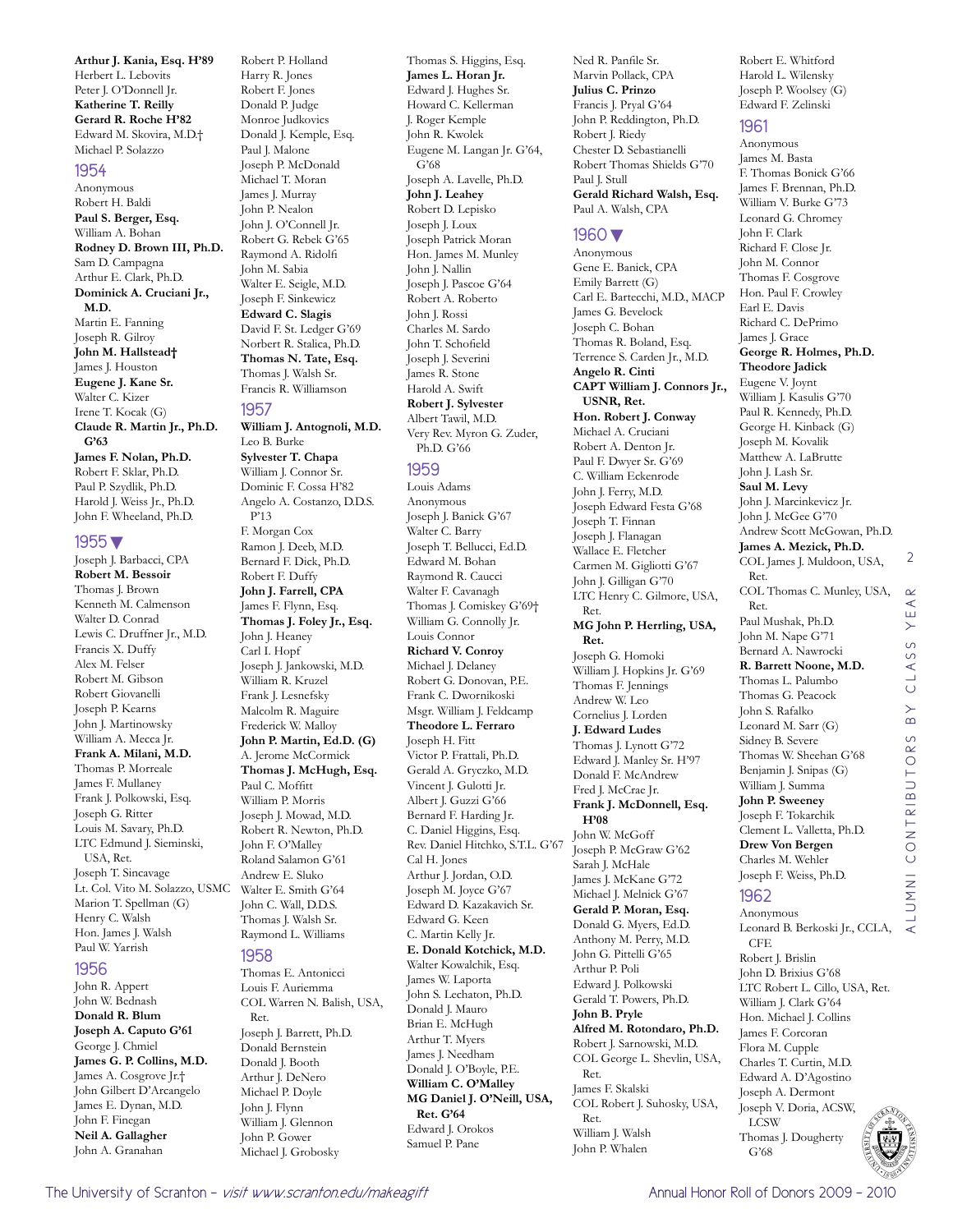**Arthur J. Kania, Esq. H'89** Herbert L. Lebovits Peter J. O'Donnell Jr. **Katherine T. Reilly Gerard R. Roche H'82** Edward M. Skovira, M.D.† Michael P. Solazzo

#### 1954

Anonymous Robert H. Baldi **Paul S. Berger, Esq.** William A. Bohan **Rodney D. Brown III, Ph.D.** Sam D. Campagna Arthur E. Clark, Ph.D. **Dominick A. Cruciani Jr., M.D.** Martin E. Fanning Joseph R. Gilroy **John M. Hallstead†** James J. Houston **Eugene J. Kane Sr.** Walter C. Kizer Irene T. Kocak (G) **Claude R. Martin Jr., Ph.D. G'63 James F. Nolan, Ph.D.** Robert F. Sklar, Ph.D. Paul P. Szydlik, Ph.D. Harold J. Weiss Jr., Ph.D. John F. Wheeland, Ph.D.

#### 1955▼

Joseph J. Barbacci, CPA **Robert M. Bessoir** Thomas J. Brown Kenneth M. Calmenson Walter D. Conrad Lewis C. Druffner Jr., M.D. Francis X. Duffy Alex M. Felser Robert M. Gibson Robert Giovanelli Joseph P. Kearns John J. Martinowsky William A. Mecca Jr. **Frank A. Milani, M.D.** Thomas P. Morreale James F. Mullaney Frank J. Polkowski, Esq. Joseph G. Ritter Louis M. Savary, Ph.D. LTC Edmund J. Sieminski, USA, Ret. Joseph T. Sincavage Lt. Col. Vito M. Solazzo, USMC Marion T. Spellman (G) Henry C. Walsh Hon. James J. Walsh Paul W. Yarrish

#### 1956

John R. Appert John W. Bednash **Donald R. Blum Joseph A. Caputo G'61** George J. Chmiel **James G. P. Collins, M.D.** James A. Cosgrove Jr.† John Gilbert D'Arcangelo James E. Dynan, M.D. John F. Finegan **Neil A. Gallagher** John A. Granahan

Harry R. Jones Robert F. Jones Donald P. Judge Monroe Judkovics Donald J. Kemple, Esq. Paul J. Malone Joseph P. McDonald Michael T. Moran James J. Murray John P. Nealon John J. O'Connell Jr. Robert G. Rebek G'65 Raymond A. Ridolfi John M. Sabia Walter E. Seigle, M.D. Joseph F. Sinkewicz **Edward C. Slagis** David F. St. Ledger G'69 Norbert R. Stalica, Ph.D. **Thomas N. Tate, Esq.** Thomas J. Walsh Sr. Francis R. Williamson 1957

Robert P. Holland

**William J. Antognoli, M.D.** Leo B. Burke **Sylvester T. Chapa** William J. Connor Sr. Dominic F. Cossa H'82 Angelo A. Costanzo, D.D.S. P'13 F. Morgan Cox Ramon J. Deeb, M.D. Bernard F. Dick, Ph.D. Robert F. Duffy **John J. Farrell, CPA** James F. Flynn, Esq. **Thomas J. Foley Jr., Esq.** John J. Heaney Carl I. Hopf Joseph J. Jankowski, M.D. William R. Kruzel Frank J. Lesnefsky Malcolm R. Maguire Frederick W. Malloy **John P. Martin, Ed.D. (G)** A. Jerome McCormick **Thomas J. McHugh, Esq.** Paul C. Moffitt William P. Morris Joseph J. Mowad, M.D. Robert R. Newton, Ph.D. John F. O'Malley Roland Salamon G'61 Andrew E. Sluko Walter E. Smith G'64 John C. Wall, D.D.S. Thomas J. Walsh Sr. Raymond L. Williams 1958

Thomas E. Antonicci Louis F. Auriemma COL Warren N. Balish, USA, Ret. Joseph J. Barrett, Ph.D. Donald Bernstein Donald J. Booth Arthur J. DeNero Michael P. Doyle John J. Flynn William J. Glennon John P. Gower Michael J. Grobosky

Thomas S. Higgins, Esq. **James L. Horan Jr.** Edward J. Hughes Sr. Howard C. Kellerman J. Roger Kemple John R. Kwolek Eugene M. Langan Jr. G'64, G'68 Joseph A. Lavelle, Ph.D. **John J. Leahey** Robert D. Lepisko Joseph J. Loux Joseph Patrick Moran Hon. James M. Munley John J. Nallin Joseph J. Pascoe G'64 Robert A. Roberto John J. Rossi Charles M. Sardo John T. Schofield Joseph J. Severini James R. Stone Harold A. Swift **Robert J. Sylvester** Albert Tawil, M.D. Very Rev. Myron G. Zuder, Ph.D. G'66

#### 1959

Louis Adams Anonymous Joseph J. Banick G'67 Walter C. Barry Joseph T. Bellucci, Ed.D. Edward M. Bohan Raymond R. Caucci Walter F. Cavanagh Thomas J. Comiskey G'69† William G. Connolly Jr. Louis Connor **Richard V. Conroy** Michael J. Delaney Robert G. Donovan, P.E. Frank C. Dwornikoski Msgr. William J. Feldcamp **Theodore L. Ferraro** Joseph H. Fitt Victor P. Frattali, Ph.D. Gerald A. Gryczko, M.D. Vincent J. Gulotti Jr. Albert J. Guzzi G'66 Bernard F. Harding Jr. C. Daniel Higgins, Esq. Rev. Daniel Hitchko, S.T.L. G'67 Cal H. Jones Arthur J. Jordan, O.D. Joseph M. Joyce G'67 Edward D. Kazakavich Sr. Edward G. Keen C. Martin Kelly Jr. **E. Donald Kotchick, M.D.** Walter Kowalchik, Esq. James W. Laporta John S. Lechaton, Ph.D. Donald J. Mauro Brian E. McHugh Arthur T. Myers James J. Needham Donald J. O'Boyle, P.E. **William C. O'Malley MG Daniel J. O'Neill, USA, Ret. G'64** Edward J. Orokos Samuel P. Pane

Ned R. Panfile Sr. Marvin Pollack, CPA **Julius C. Prinzo** Francis J. Pryal G'64 John P. Reddington, Ph.D. Robert J. Riedy Chester D. Sebastianelli Robert Thomas Shields G'70 Paul J. Stull **Gerald Richard Walsh, Esq.** Paul A. Walsh, CPA

#### 1960▼

Anonymous Gene E. Banick, CPA Emily Barrett (G) Carl E. Bartecchi, M.D., MACP James G. Bevelock Joseph C. Bohan Thomas R. Boland, Esq. Terrence S. Carden Jr., M.D. **Angelo R. Cinti CAPT William J. Connors Jr., USNR, Ret. Hon. Robert J. Conway** Michael A. Cruciani Robert A. Denton Jr. Paul F. Dwyer Sr. G'69 C. William Eckenrode John J. Ferry, M.D. Joseph Edward Festa G'68 Joseph T. Finnan Joseph J. Flanagan Wallace E. Fletcher Carmen M. Gigliotti G'67 John J. Gilligan G'70 LTC Henry C. Gilmore, USA, Ret. **MG John P. Herrling, USA, Ret.** Joseph G. Homoki William J. Hopkins Jr. G'69 Thomas F. Jennings Andrew W. Leo Cornelius J. Lorden **J. Edward Ludes** Thomas J. Lynott G'72 Edward J. Manley Sr. H'97 Donald F. McAndrew Fred J. McCrae Jr. **Frank J. McDonnell, Esq. H'08** John W. McGoff Joseph P. McGraw G'62 Sarah J. McHale James J. McKane G'72 Michael J. Melnick G'67 **Gerald P. Moran, Esq.** Donald G. Myers, Ed.D. Anthony M. Perry, M.D. John G. Pittelli G'65 Arthur P. Poli Edward J. Polkowski Gerald T. Powers, Ph.D. **John B. Pryle Alfred M. Rotondaro, Ph.D.** Robert J. Sarnowski, M.D. COL George L. Shevlin, USA, Ret. James F. Skalski COL Robert J. Suhosky, USA, Ret. William J. Walsh John P. Whalen

Robert E. Whitford Harold L. Wilensky Joseph P. Woolsey (G) Edward F. Zelinski

#### 1961

Anonymous James M. Basta F. Thomas Bonick G'66 James F. Brennan, Ph.D. William V. Burke G'73 Leonard G. Chromey John F. Clark Richard F. Close Jr. John M. Connor Thomas F. Cosgrove Hon. Paul F. Crowley Earl E. Davis Richard C. DePrimo James J. Grace **George R. Holmes, Ph.D. Theodore Jadick** Eugene V. Joynt William J. Kasulis G'70 Paul R. Kennedy, Ph.D. George H. Kinback (G) Joseph M. Kovalik Matthew A. LaBrutte John J. Lash Sr. **Saul M. Levy** John J. Marcinkevicz Jr. John J. McGee G'70 Andrew Scott McGowan, Ph.D. **James A. Mezick, Ph.D.** COL James J. Muldoon, USA, Ret. COL Thomas C. Munley, USA, Ret. Paul Mushak, Ph.D. John M. Nape G'71 Bernard A. Nawrocki **R. Barrett Noone, M.D.** Thomas L. Palumbo Thomas G. Peacock John S. Rafalko Leonard M. Sarr (G) Sidney B. Severe Thomas W. Sheehan G'68 Benjamin J. Snipas (G) William J. Summa **John P. Sweeney** Joseph F. Tokarchik Clement L. Valletta, Ph.D. **Drew Von Bergen** Charles M. Wehler Joseph F. Weiss, Ph.D. 1962 Anonymous Leonard B. Berkoski Jr., CCLA, CFE

2

Robert J. Brislin John D. Brixius G'68 LTC Robert L. Cillo, USA, Ret. William J. Clark G'64 Hon. Michael J. Collins James F. Corcoran Flora M. Cupple Charles T. Curtin, M.D. Edward A. D'Agostino Joseph A. Dermont Joseph V. Doria, ACSW, LCSW Thomas J. Dougherty G'68

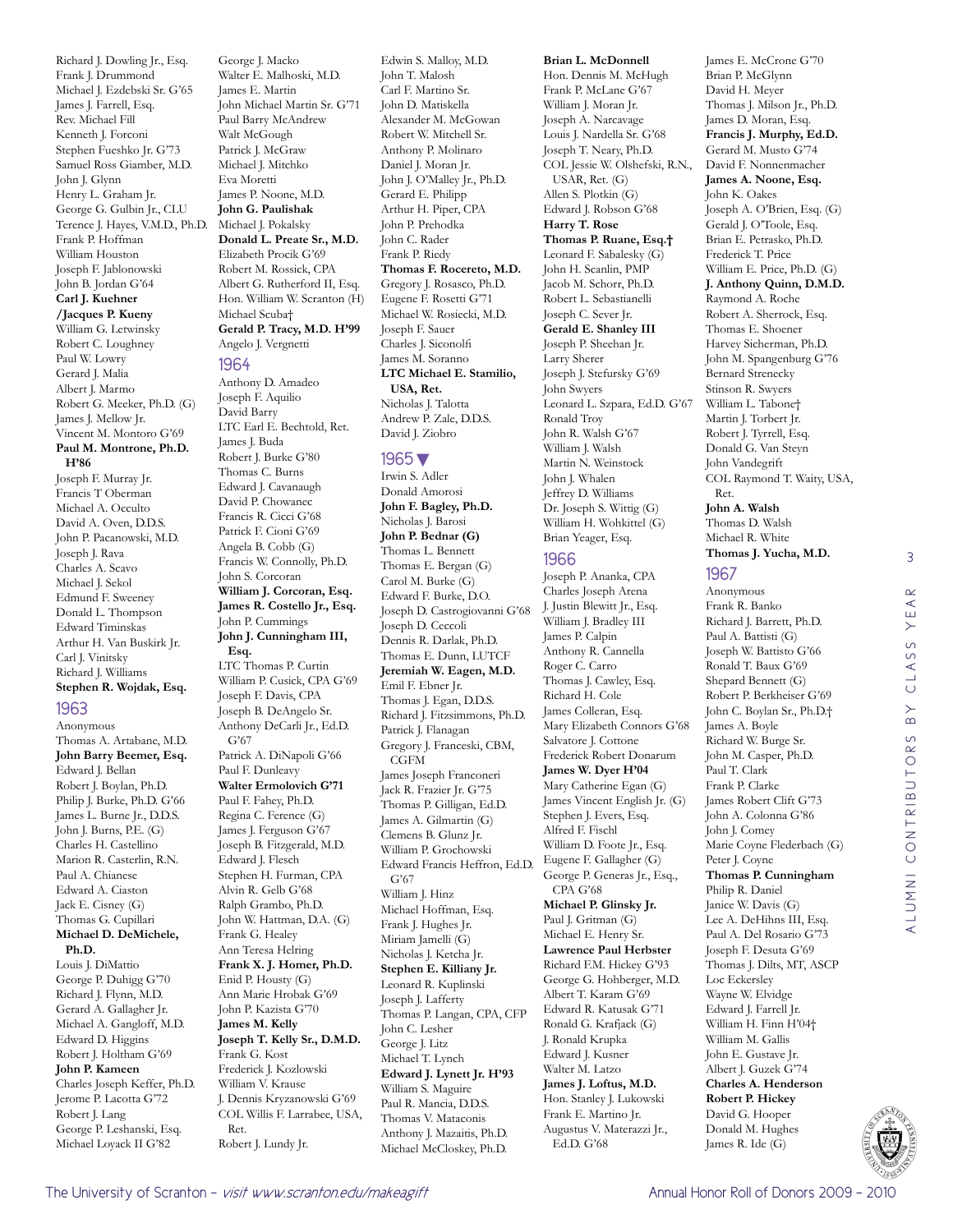Richard J. Dowling Jr., Esq. Frank J. Drummond Michael J. Ezdebski Sr. G'65 James J. Farrell, Esq. Rev. Michael Fill Kenneth J. Forconi Stephen Fueshko Jr. G'73 Samuel Ross Giamber, M.D. John J. Glynn Henry L. Graham Jr. George G. Gulbin Jr., CLU Terence J. Hayes, V.M.D., Ph.D. Frank P. Hoffman William Houston Joseph F. Jablonowski John B. Jordan G'64 **Carl J. Kuehner /Jacques P. Kueny** William G. Letwinsky Robert C. Loughney Paul W. Lowry Gerard J. Malia Albert J. Marmo Robert G. Meeker, Ph.D. (G) James J. Mellow Jr. Vincent M. Montoro G'69 **Paul M. Montrone, Ph.D. H'86** Joseph F. Murray Jr. Francis T Oberman Michael A. Occulto David A. Oven, D.D.S. John P. Pacanowski, M.D. Joseph J. Rava Charles A. Scavo Michael J. Sekol Edmund F. Sweeney Donald L. Thompson Edward Timinskas Arthur H. Van Buskirk Jr. Carl J. Vinitsky Richard J. Williams **Stephen R. Wojdak, Esq.** 1963 Anonymous

Thomas A. Artabane, M.D. **John Barry Beemer, Esq.** Edward J. Bellan Robert J. Boylan, Ph.D. Philip J. Burke, Ph.D. G'66 James L. Burne Jr., D.D.S. John J. Burns, P.E. (G) Charles H. Castellino Marion R. Casterlin, R.N. Paul A. Chianese Edward A. Ciaston Jack E. Cisney (G) Thomas G. Cupillari **Michael D. DeMichele, Ph.D.** Louis J. DiMattio George P. Duhigg G'70 Richard J. Flynn, M.D.

Gerard A. Gallagher Jr. Michael A. Gangloff, M.D. Edward D. Higgins Robert J. Holtham G'69 **John P. Kameen** Charles Joseph Keffer, Ph.D. Jerome P. Lacotta G'72 Robert J. Lang George P. Leshanski, Esq. Michael Loyack II G'82

George J. Macko Walter E. Malhoski, M.D. James E. Martin John Michael Martin Sr. G'71 Paul Barry McAndrew Walt McGough Patrick J. McGraw Michael J. Mitchko Eva Moretti James P. Noone, M.D. **John G. Paulishak** Michael J. Pokalsky **Donald L. Preate Sr., M.D.** Elizabeth Procik G'69 Robert M. Rossick, CPA Albert G. Rutherford II, Esq. Hon. William W. Scranton (H) Michael Scuba† **Gerald P. Tracy, M.D. H'99** Angelo J. Vergnetti

#### 1964

Anthony D. Amadeo Joseph F. Aquilio David Barry LTC Earl E. Bechtold, Ret. James J. Buda Robert J. Burke G'80 Thomas C. Burns Edward J. Cavanaugh David P. Chowanec Francis R. Cicci G'68 Patrick F. Cioni G'69 Angela B. Cobb (G) Francis W. Connolly, Ph.D. John S. Corcoran **William J. Corcoran, Esq. James R. Costello Jr., Esq.** John P. Cummings **John J. Cunningham III, Esq.** LTC Thomas P. Curtin William P. Cusick, CPA G'69 Joseph F. Davis, CPA Joseph B. DeAngelo Sr. Anthony DeCarli Jr., Ed.D. G'67 Patrick A. DiNapoli G'66 Paul F. Dunleavy **Walter Ermolovich G'71** Paul F. Fahey, Ph.D. Regina C. Ference (G) James J. Ferguson G'67 Joseph B. Fitzgerald, M.D. Edward J. Flesch Stephen H. Furman, CPA Alvin R. Gelb G'68 Ralph Grambo, Ph.D. John W. Hattman, D.A. (G) Frank G. Healey Ann Teresa Helring **Frank X. J. Homer, Ph.D.** Enid P. Housty (G) Ann Marie Hrobak G'69 John P. Kazista G'70 **James M. Kelly Joseph T. Kelly Sr., D.M.D.** Frank G. Kost Frederick J. Kozlowski William V. Krause J. Dennis Kryzanowski G'69 COL Willis F. Larrabee, USA, Ret. Robert J. Lundy Jr.

Edwin S. Malloy, M.D. John T. Malosh Carl F. Martino Sr. John D. Matiskella Alexander M. McGowan Robert W. Mitchell Sr. Anthony P. Molinaro Daniel J. Moran Jr. John J. O'Malley Jr., Ph.D. Gerard E. Philipp Arthur H. Piper, CPA John P. Prehodka John C. Rader Frank P. Riedy **Thomas F. Rocereto, M.D.** Gregory J. Rosasco, Ph.D. Eugene F. Rosetti G'71 Michael W. Rosiecki, M.D. Joseph F. Sauer Charles J. Siconolfi James M. Soranno **LTC Michael E. Stamilio, USA, Ret.** Nicholas I. Talotta Andrew P. Zale, D.D.S. David J. Ziobro

#### 1965▼

Irwin S. Adler Donald Amorosi **John F. Bagley, Ph.D.** Nicholas J. Barosi **John P. Bednar (G)** Thomas L. Bennett Thomas E. Bergan (G) Carol M. Burke (G) Edward F. Burke, D.O. Joseph D. Castrogiovanni G'68 Joseph D. Ceccoli Dennis R. Darlak, Ph.D. Thomas E. Dunn, LUTCF **Jeremiah W. Eagen, M.D.** Emil F. Ebner Jr. Thomas J. Egan, D.D.S. Richard J. Fitzsimmons, Ph.D. Patrick J. Flanagan Gregory J. Franceski, CBM, CGFM James Joseph Franconeri Jack R. Frazier Jr. G'75 Thomas P. Gilligan, Ed.D. James A. Gilmartin (G) Clemens B. Glunz Jr. William P. Grochowski Edward Francis Heffron, Ed.D. G'67 William J. Hinz Michael Hoffman, Esq. Frank J. Hughes Jr. Miriam Jamelli (G) Nicholas J. Ketcha Jr. **Stephen E. Killiany Jr.** Leonard R. Kuplinski Joseph J. Lafferty Thomas P. Langan, CPA, CFP John C. Lesher George J. Litz Michael T. Lynch **Edward J. Lynett Jr. H'93** William S. Maguire Paul R. Mancia, D.D.S. Thomas V. Mataconis Anthony J. Mazaitis, Ph.D. Michael McCloskey, Ph.D.

#### **Brian L. McDonnell**

Hon. Dennis M. McHugh Frank P. McLane G'67 William J. Moran Jr. Joseph A. Narcavage Louis J. Nardella Sr. G'68 Joseph T. Neary, Ph.D. COL Jessie W. Olshefski, R.N., USAR, Ret. (G) Allen S. Plotkin (G) Edward J. Robson G'68 **Harry T. Rose Thomas P. Ruane, Esq.†** Leonard F. Sabalesky (G) John H. Scanlin, PMP Jacob M. Schorr, Ph.D. Robert L. Sebastianelli Joseph C. Sever Jr. **Gerald E. Shanley III** Joseph P. Sheehan Jr. Larry Sherer Joseph J. Stefursky G'69 John Swyers Leonard L. Szpara, Ed.D. G'67 Ronald Troy John R. Walsh G'67 William J. Walsh Martin N. Weinstock John J. Whalen Jeffrey D. Williams Dr. Joseph S. Wittig (G) William H. Wohkittel (G) Brian Yeager, Esq.

#### 1966

Joseph P. Ananka, CPA Charles Joseph Arena J. Justin Blewitt Jr., Esq. William J. Bradley III James P. Calpin Anthony R. Cannella Roger C. Carro Thomas J. Cawley, Esq. Richard H. Cole James Colleran, Esq. Mary Elizabeth Connors G'68 Salvatore J. Cottone Frederick Robert Donarum **James W. Dyer H'04** Mary Catherine Egan (G) James Vincent English Jr. (G) Stephen J. Evers, Esq. Alfred F. Fischl William D. Foote Jr., Esq. Eugene F. Gallagher (G) George P. Generas Jr., Esq., CPA G'68 **Michael P. Glinsky Jr.** Paul J. Gritman (G) Michael E. Henry Sr. **Lawrence Paul Herbster** Richard F.M. Hickey G'93 George G. Hohberger, M.D. Albert T. Karam G'69 Edward R. Katusak G'71 Ronald G. Krafjack (G) J. Ronald Krupka Edward J. Kusner Walter M. Latzo **James J. Loftus, M.D.** Hon. Stanley J. Lukowski Frank E. Martino Jr. Augustus V. Materazzi Jr., Ed.D. G'68

James E. McCrone G'70 Brian P. McGlynn David H. Meyer Thomas J. Milson Jr., Ph.D. James D. Moran, Esq. **Francis J. Murphy, Ed.D.** Gerard M. Musto G'74 David F. Nonnenmacher **James A. Noone, Esq.** John K. Oakes Joseph A. O'Brien, Esq. (G) Gerald J. O'Toole, Esq. Brian E. Petrasko, Ph.D. Frederick T. Price William E. Price, Ph.D. (G) **J. Anthony Quinn, D.M.D.** Raymond A. Roche Robert A. Sherrock, Esq. Thomas E. Shoener Harvey Sicherman, Ph.D. John M. Spangenburg G'76 Bernard Strenecky Stinson R. Swyers William L. Tabone† Martin J. Torbert Jr. Robert J. Tyrrell, Esq. Donald G. Van Steyn John Vandegrift COL Raymond T. Waity, USA, Ret. **John A. Walsh** Thomas D. Walsh Michael R. White **Thomas J. Yucha, M.D.**

#### 1967

Anonymous Frank R. Banko Richard J. Barrett, Ph.D. Paul A. Battisti (G) Joseph W. Battisto G'66 Ronald T. Baux G'69 Shepard Bennett (G) Robert P. Berkheiser G'69 John C. Boylan Sr., Ph.D.† James A. Boyle Richard W. Burge Sr. John M. Casper, Ph.D. Paul T. Clark Frank P. Clarke James Robert Clift G'73 John A. Colonna G'86 John J. Comey Marie Coyne Flederbach (G) Peter J. Coyne **Thomas P. Cunningham** Philip R. Daniel Janice W. Davis (G) Lee A. DeHihns III, Esq. Paul A. Del Rosario G'73 Joseph F. Desuta G'69 Thomas J. Dilts, MT, ASCP Loc Eckersley Wayne W. Elvidge Edward J. Farrell Jr. William H. Finn H'04† William M. Gallis John E. Gustave Jr. Albert J. Guzek G'74 **Charles A. Henderson Robert P. Hickey** David G. Hooper Donald M. Hughes James R. Ide (G)



3

 $\alpha$  $\prec$ YE,

CLASS

 $\overline{B}$ 

alumni contributors by class year

ALUMNI CONTRIBUTORS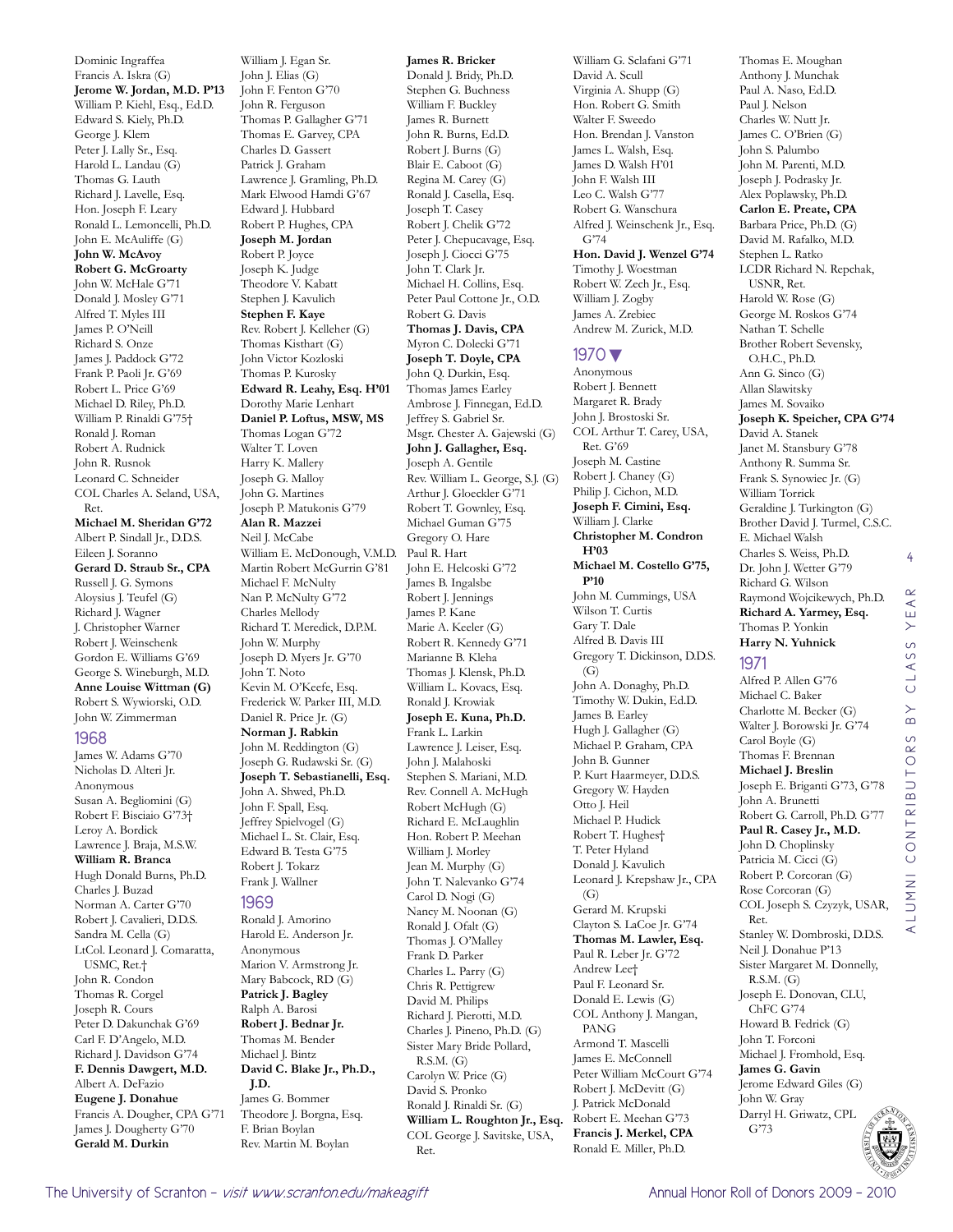Francis A. Iskra (G) **Jerome W. Jordan, M.D. P'13** William P. Kiehl, Esq., Ed.D. Edward S. Kiely, Ph.D. George J. Klem Peter J. Lally Sr., Esq. Harold L. Landau (G) Thomas G. Lauth Richard J. Lavelle, Esq. Hon. Joseph F. Leary Ronald L. Lemoncelli, Ph.D. John E. McAuliffe (G) **John W. McAvoy Robert G. McGroarty** John W. McHale G'71 Donald J. Mosley G'71 Alfred T. Myles III James P. O'Neill Richard S. Onze James J. Paddock G'72 Frank P. Paoli Jr. G'69 Robert L. Price G'69 Michael D. Riley, Ph.D. William P. Rinaldi G'75† Ronald J. Roman Robert A. Rudnick John R. Rusnok Leonard C. Schneider COL Charles A. Seland, USA, Ret. **Michael M. Sheridan G'72** Albert P. Sindall Jr., D.D.S. Eileen J. Soranno **Gerard D. Straub Sr., CPA** Russell J. G. Symons Aloysius J. Teufel (G) Richard J. Wagner J. Christopher Warner Robert J. Weinschenk Gordon E. Williams G'69 George S. Wineburgh, M.D. **Anne Louise Wittman (G)** Robert S. Wywiorski, O.D. John W. Zimmerman 1968 James W. Adams G'70 Nicholas D. Alteri Jr. Anonymous Susan A. Begliomini (G) Robert F. Bisciaio G'73† Leroy A. Bordick Lawrence J. Braja, M.S.W. **William R. Branca** Hugh Donald Burns, Ph.D. Charles J. Buzad Norman A. Carter G'70 Robert J. Cavalieri, D.D.S. Sandra M. Cella (G) LtCol. Leonard J. Comaratta, USMC, Ret.† John R. Condon Thomas R. Corgel Joseph R. Cours Peter D. Dakunchak G'69

Dominic Ingraffea

William J. Egan Sr. John J. Elias (G) John F. Fenton G'70 John R. Ferguson Thomas P. Gallagher G'71 Thomas E. Garvey, CPA Charles D. Gassert Patrick J. Graham Lawrence J. Gramling, Ph.D. Mark Elwood Hamdi G'67 Edward J. Hubbard Robert P. Hughes, CPA **Joseph M. Jordan** Robert P. Joyce Joseph K. Judge Theodore V. Kabatt Stephen J. Kavulich **Stephen F. Kaye** Rev. Robert J. Kelleher (G) Thomas Kisthart (G) John Victor Kozloski Thomas P. Kurosky **Edward R. Leahy, Esq. H'01** Dorothy Marie Lenhart **Daniel P. Loftus, MSW, MS** Thomas Logan G'72 Walter T. Loven Harry K. Mallery Joseph G. Malloy John G. Martines Joseph P. Matukonis G'79 **Alan R. Mazzei** Neil J. McCabe William E. McDonough, V.M.D. Martin Robert McGurrin G'81 Michael F. McNulty Nan P. McNulty G'72 Charles Mellody Richard T. Meredick, D.P.M. John W. Murphy Joseph D. Myers Jr. G'70 John T. Noto Kevin M. O'Keefe, Esq. Frederick W. Parker III, M.D. Daniel R. Price Jr. (G) **Norman J. Rabkin** John M. Reddington (G) Joseph G. Rudawski Sr. (G) **Joseph T. Sebastianelli, Esq.** John A. Shwed, Ph.D. John F. Spall, Esq. Jeffrey Spielvogel (G) Michael L. St. Clair, Esq. Edward B. Testa G'75 Robert J. Tokarz Frank J. Wallner 1969 Ronald J. Amorino Harold E. Anderson Jr. Anonymous Marion V. Armstrong Jr. Mary Babcock, RD (G) **Patrick J. Bagley** Ralph A. Barosi **Robert J. Bednar Jr.** Thomas M. Bender Michael J. Bintz **David C. Blake Jr., Ph.D., J.D.** James G. Bommer Theodore J. Borgna, Esq.

**James R. Bricker** Donald J. Bridy, Ph.D. Stephen G. Buchness William F. Buckley James R. Burnett John R. Burns, Ed.D. Robert J. Burns (G) Blair E. Caboot (G) Regina M. Carey (G) Ronald J. Casella, Esq. Joseph T. Casey Robert J. Chelik G'72 Peter J. Chepucavage, Esq. Joseph J. Ciocci G'75 John T. Clark Jr. Michael H. Collins, Esq. Peter Paul Cottone Jr., O.D. Robert G. Davis **Thomas J. Davis, CPA** Myron C. Dolecki G'71 **Joseph T. Doyle, CPA** John Q. Durkin, Esq. Thomas James Earley Ambrose J. Finnegan, Ed.D. Jeffrey S. Gabriel Sr. Msgr. Chester A. Gajewski (G) **John J. Gallagher, Esq.** Joseph A. Gentile Rev. William L. George, S.J. (G) Arthur J. Gloeckler G'71 Robert T. Gownley, Esq. Michael Guman G'75 Gregory O. Hare Paul R. Hart John E. Helcoski G'72 James B. Ingalsbe Robert J. Jennings James P. Kane Marie A. Keeler (G) Robert R. Kennedy G'71 Marianne B. Kleha Thomas J. Klensk, Ph.D. William L. Kovacs, Esq. Ronald J. Krowiak **Joseph E. Kuna, Ph.D.** Frank L. Larkin Lawrence J. Leiser, Esq. John J. Malahoski Stephen S. Mariani, M.D. Rev. Connell A. McHugh Robert McHugh (G) Richard E. McLaughlin Hon. Robert P. Meehan William J. Morley Jean M. Murphy (G) John T. Nalevanko G'74 Carol D. Nogi (G) Nancy M. Noonan (G) Ronald J. Ofalt (G) Thomas J. O'Malley Frank D. Parker Charles L. Parry (G) Chris R. Pettigrew David M. Philips Richard J. Pierotti, M.D. Charles J. Pineno, Ph.D. (G) Sister Mary Bride Pollard, R.S.M. (G) Carolyn W. Price (G) David S. Pronko Ronald J. Rinaldi Sr. (G) **William L. Roughton Jr., Esq.** COL George J. Savitske, USA,

Walter F. Sweedo Hon. Brendan J. Vanston James L. Walsh, Esq. James D. Walsh H'01 John F. Walsh III Leo C. Walsh G'77 Robert G. Wanschura Alfred J. Weinschenk Jr., Esq. G'74 **Hon. David J. Wenzel G'74** Timothy J. Woestman Robert W. Zech Jr., Esq. William J. Zogby James A. Zrebiec Andrew M. Zurick, M.D. 1970▼ Anonymous Robert J. Bennett Margaret R. Brady John J. Brostoski Sr. COL Arthur T. Carey, USA, Ret. G'69 Joseph M. Castine Robert J. Chaney (G) Philip J. Cichon, M.D. **Joseph F. Cimini, Esq.** William J. Clarke **Christopher M. Condron H'03 Michael M. Costello G'75, P'10** John M. Cummings, USA Wilson T. Curtis Gary T. Dale Alfred B. Davis III Gregory T. Dickinson, D.D.S. (G) John A. Donaghy, Ph.D. Timothy W. Dukin, Ed.D. James B. Earley Hugh J. Gallagher (G) Michael P. Graham, CPA John B. Gunner P. Kurt Haarmeyer, D.D.S. Gregory W. Hayden Otto J. Heil Michael P. Hudick Robert T. Hughes† T. Peter Hyland Donald J. Kavulich Leonard J. Krepshaw Jr., CPA (G) Gerard M. Krupski Clayton S. LaCoe Jr. G'74 **Thomas M. Lawler, Esq.** Paul R. Leber Jr. G'72 Andrew Lee† Paul F. Leonard Sr. Donald E. Lewis (G) COL Anthony J. Mangan, PANG Armond T. Mascelli James E. McConnell Peter William McCourt G'74 Robert J. McDevitt (G) J. Patrick McDonald Robert E. Meehan G'73 **Francis J. Merkel, CPA** Ronald E. Miller, Ph.D. John A. Brunetti Joseph E. Donovan, CLU, John T. Forconi **James G. Gavin**

William G. Sclafani G'71 David A. Scull Virginia A. Shupp (G) Hon. Robert G. Smith

Anthony J. Munchak Paul A. Naso, Ed.D. Paul J. Nelson Charles W. Nutt Jr. James C. O'Brien (G) John S. Palumbo John M. Parenti, M.D. Joseph J. Podrasky Jr. Alex Poplawsky, Ph.D. **Carlon E. Preate, CPA** Barbara Price, Ph.D. (G) David M. Rafalko, M.D. Stephen L. Ratko LCDR Richard N. Repchak, USNR, Ret. Harold W. Rose (G) George M. Roskos G'74 Nathan T. Schelle Brother Robert Sevensky, O.H.C., Ph.D. Ann G. Sinco (G) Allan Slawitsky James M. Sovaiko **Joseph K. Speicher, CPA G'74** David A. Stanek Janet M. Stansbury G'78 Anthony R. Summa Sr. Frank S. Synowiec Jr. (G) William Torrick Geraldine J. Turkington (G) Brother David J. Turmel, C.S.C. E. Michael Walsh Charles S. Weiss, Ph.D. Dr. John J. Wetter G'79 Richard G. Wilson Raymond Wojcikewych, Ph.D. **Richard A. Yarmey, Esq.** Thomas P. Yonkin **Harry N. Yuhnick** 1971 Alfred P. Allen G'76 Michael C. Baker Charlotte M. Becker (G)

Walter J. Borowski Jr. G'74 Carol Boyle (G) Thomas F. Brennan **Michael J. Breslin** Joseph E. Briganti G'73, G'78

Robert G. Carroll, Ph.D. G'77 **Paul R. Casey Jr., M.D.** John D. Choplinsky Patricia M. Cicci (G) Robert P. Corcoran (G) Rose Corcoran (G) COL Joseph S. Czyzyk, USAR,

Stanley W. Dombroski, D.D.S. Neil J. Donahue P'13 Sister Margaret M. Donnelly,

Michael J. Fromhold, Esq.

Jerome Edward Giles (G)

Thomas E. Moughan

4

 $\alpha$  $\prec$ Ш  $\left. \right\rangle$  $\circ$ LASS  $\circ$  $\overline{B}$ 

alumni contributors by class year

CONTRIBUTORS

**INNI** 

 $\prec$ 

Carl F. D'Angelo, M.D. Richard J. Davidson G'74 **F. Dennis Dawgert, M.D.** Albert A. DeFazio **Eugene J. Donahue** Francis A. Dougher, CPA G'71 James J. Dougherty G'70 **Gerald M. Durkin** F. Brian Boylan Rev. Martin M. Boylan

Ret.

John W. Gray Darryl H. Griwatz, CPL

G'73

Ret.

R.S.M. (G)

ChFC G'74 Howard B. Fedrick (G)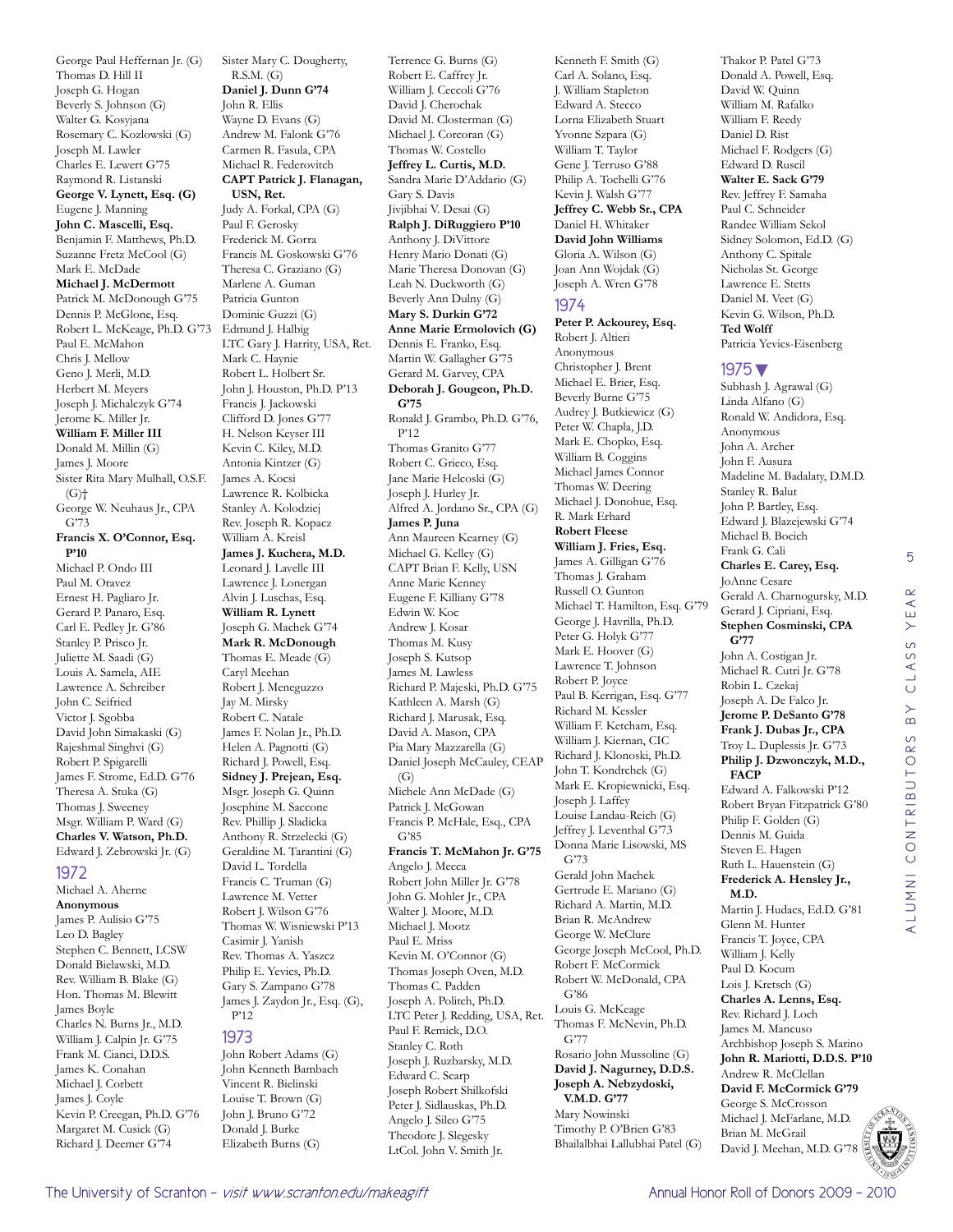Beverly S. Johnson (G) Walter G. Kosyjana Rosemary C. Kozlowski (G) Joseph M. Lawler Charles E. Lewert G'75 Raymond R. Listanski **George V. Lynett, Esq. (G)** Eugene J. Manning **John C. Mascelli, Esq.** Benjamin F. Matthews, Ph.D. Suzanne Fretz McCool (G) Mark E. McDade **Michael J. McDermott** Patrick M. McDonough G'75 Dennis P. McGlone, Esq. Robert L. McKeage, Ph.D. G'73 Paul E. McMahon Chris J. Mellow Geno J. Merli, M.D. Herbert M. Meyers Joseph J. Michalczyk G'74 Jerome K. Miller Jr. **William F. Miller III** Donald M. Millin (G) James J. Moore Sister Rita Mary Mulhall, O.S.F. (G)† George W. Neuhaus Jr., CPA G'73 **Francis X. O'Connor, Esq. P'10** Michael P. Ondo III Paul M. Oravez Ernest H. Pagliaro Jr. Gerard P. Panaro, Esq. Carl E. Pedley Jr. G'86 Stanley P. Prisco Jr. Juliette M. Saadi (G) Louis A. Samela, AIE Lawrence A. Schreiber John C. Seifried Victor J. Sgobba David John Simakaski (G) Rajeshmal Singhvi (G) Robert P. Spigarelli James F. Strome, Ed.D. G'76 Theresa A. Stuka (G) Thomas J. Sweeney Msgr. William P. Ward (G) **Charles V. Watson, Ph.D.** Edward J. Zebrowski Jr. (G) 1972 Michael A. Aherne **Anonymous** James P. Aulisio G'75 Leo D. Bagley Stephen C. Bennett, LCSW Donald Bielawski, M.D. Rev. William B. Blake (G) Hon. Thomas M. Blewitt James Boyle Charles N. Burns Jr., M.D. William J. Calpin Jr. G'75 Frank M. Cianci, D.D.S. James K. Conahan Michael J. Corbett James J. Coyle Kevin P. Creegan, Ph.D. G'76 Margaret M. Cusick (G) Richard J. Deemer G'74

George Paul Heffernan Jr. (G)

Thomas D. Hill II Joseph G. Hogan

Sister Mary C. Dougherty, R.S.M. (G) **Daniel J. Dunn G'74** John R. Ellis Wayne D. Evans (G) Andrew M. Falonk G'76 Carmen R. Fasula, CPA Michael R. Federovitch **CAPT Patrick J. Flanagan, USN, Ret.** Judy A. Forkal, CPA (G) Paul F. Gerosky Frederick M. Gorra Francis M. Goskowski G'76 Theresa C. Graziano (G) Marlene A. Guman Patricia Gunton Dominic Guzzi (G) Edmund J. Halbig LTC Gary J. Harrity, USA, Ret. Mark C. Haynie Robert L. Holbert Sr. John J. Houston, Ph.D. P'13 Francis J. Jackowski Clifford D. Jones G'77 H. Nelson Keyser III Kevin C. Kiley, M.D. Antonia Kintzer (G) James A. Kocsi Lawrence R. Kolbicka Stanley A. Kolodziej Rev. Joseph R. Kopacz William A. Kreisl **James J. Kuchera, M.D.** Leonard J. Lavelle III Lawrence J. Lonergan Alvin J. Luschas, Esq. **William R. Lynett** Joseph G. Machek G'74 **Mark R. McDonough** Thomas E. Meade (G) Caryl Meehan Robert J. Meneguzzo Jay M. Mirsky Robert C. Natale James F. Nolan Jr., Ph.D. Helen A. Pagnotti (G) Richard J. Powell, Esq. **Sidney J. Prejean, Esq.** Msgr. Joseph G. Quinn Josephine M. Saccone Rev. Phillip J. Sladicka Anthony R. Strzelecki (G) Geraldine M. Tarantini (G) David L. Tordella Francis C. Truman (G) Lawrence M. Vetter Robert J. Wilson G'76 Thomas W. Wisniewski P'13 Casimir J. Yanish Rev. Thomas A. Yaszcz Philip E. Yevics, Ph.D. Gary S. Zampano G'78 James J. Zaydon Jr., Esq. (G), P'12 1973 John Robert Adams (G) John Kenneth Bambach Vincent R. Bielinski Louise T. Brown (G)

Terrence G. Burns (G) Robert E. Caffrey Jr. William J. Ceccoli G'76 David J. Cherochak David M. Closterman (G) Michael J. Corcoran (G) Thomas W. Costello **Jeffrey L. Curtis, M.D.** Sandra Marie D'Addario (G) Gary S. Davis Jivjibhai V. Desai (G) **Ralph J. DiRuggiero P'10** Anthony J. DiVittore Henry Mario Donati (G) Marie Theresa Donovan (G) Leah N. Duckworth (G) Beverly Ann Dulny (G) **Mary S. Durkin G'72 Anne Marie Ermolovich (G)** Dennis E. Franko, Esq. Martin W. Gallagher G'75 Gerard M. Garvey, CPA **Deborah J. Gougeon, Ph.D. G'75** Ronald J. Grambo, Ph.D. G'76, P'12 Thomas Granito G'77 Robert C. Grieco, Esq. Jane Marie Helcoski (G) Joseph J. Hurley Jr. Alfred A. Jordano Sr., CPA (G) **James P. Juna** Ann Maureen Kearney (G) Michael G. Kelley (G) CAPT Brian F. Kelly, USN Anne Marie Kenney Eugene F. Killiany G'78 Edwin W. Koc Andrew J. Kosar Thomas M. Kusy Joseph S. Kutsop James M. Lawless Richard P. Majeski, Ph.D. G'75 Kathleen A. Marsh (G) Richard J. Marusak, Esq. David A. Mason, CPA Pia Mary Mazzarella (G) Daniel Joseph McCauley, CEAP  $(G)$ Michele Ann McDade (G) Patrick J. McGowan Francis P. McHale, Esq., CPA G'85 **Francis T. McMahon Jr. G'75** Angelo J. Mecca Robert John Miller Jr. G'78 John G. Mohler Jr., CPA Walter J. Moore, M.D. Michael J. Mootz Paul E. Mriss Kevin M. O'Connor (G) Thomas Joseph Oven, M.D. Thomas C. Padden Joseph A. Politch, Ph.D. LTC Peter J. Redding, USA, Ret. Paul F. Remick, D.O. Stanley C. Roth Joseph J. Ruzbarsky, M.D. Edward C. Scarp Joseph Robert Shilkofski Peter J. Sidlauskas, Ph.D. Angelo J. Sileo G'75 Theodore J. Slegesky

LtCol. John V. Smith Jr.

Kenneth F. Smith (G) Carl A. Solano, Esq. J. William Stapleton Edward A. Stecco Lorna Elizabeth Stuart Yvonne Szpara (G) William T. Taylor Gene J. Terruso G'88 Philip A. Tochelli G'76 Kevin J. Walsh G'77 **Jeffrey C. Webb Sr., CPA** Daniel H. Whitaker **David John Williams** Gloria A. Wilson (G) Joan Ann Wojdak (G) Joseph A. Wren G'78 1974 **Peter P. Ackourey, Esq.** Robert J. Altieri

Anonymous Christopher J. Brent Michael E. Brier, Esq. Beverly Burne G'75 Audrey J. Butkiewicz (G) Peter W. Chapla, J.D. Mark E. Chopko, Esq. William B. Coggins Michael James Connor Thomas W. Deering Michael J. Donohue, Esq. R. Mark Erhard **Robert Fleese William J. Fries, Esq.** James A. Gilligan G'76 Thomas J. Graham Russell O. Gunton Michael T. Hamilton, Esq. G'79 George J. Havrilla, Ph.D. Peter G. Holyk G'77 Mark E. Hoover (G) Lawrence T. Johnson Robert P. Joyce Paul B. Kerrigan, Esq. G'77 Richard M. Kessler William F. Ketcham, Esq. William J. Kiernan, CIC Richard J. Klonoski, Ph.D. John T. Kondrchek (G) Mark E. Kropiewnicki, Esq. Joseph J. Laffey Louise Landau-Reich (G) Jeffrey J. Leventhal G'73 Donna Marie Lisowski, MS G'73 Gerald John Machek Gertrude E. Mariano (G) Richard A. Martin, M.D. Brian R. McAndrew George W. McClure George Joseph McCool, Ph.D. Robert F. McCormick Robert W. McDonald, CPA G'86 Louis G. McKeage Thomas F. McNevin, Ph.D. G'77 Rosario John Mussoline (G) **David J. Nagurney, D.D.S. Joseph A. Nebzydoski, V.M.D. G'77** Mary Nowinski Timothy P. O'Brien G'83 Bhailalbhai Lallubhai Patel (G)

Thakor P. Patel G'73 Donald A. Powell, Esq. David W. Quinn William M. Rafalko William F. Reedy Daniel D. Rist Michael F. Rodgers (G) Edward D. Ruscil **Walter E. Sack G'79** Rev. Jeffrey F. Samaha Paul C. Schneider Randee William Sekol Sidney Solomon, Ed.D. (G) Anthony C. Spitale Nicholas St. George Lawrence E. Stetts Daniel M. Veet (G) Kevin G. Wilson, Ph.D. **Ted Wolff** Patricia Yevics-Eisenberg

#### 1975▼

Subhash J. Agrawal (G) Linda Alfano (G) Ronald W. Andidora, Esq. Anonymous John A. Archer John F. Ausura Madeline M. Badalaty, D.M.D. Stanley R. Balut John P. Bartley, Esq. Edward J. Blazejewski G'74 Michael B. Bocich Frank G. Cali **Charles E. Carey, Esq.** JoAnne Cesare Gerald A. Charnogursky, M.D. Gerard J. Cipriani, Esq. **Stephen Cosminski, CPA G'77** John A. Costigan Jr. Michael R. Cutri Jr. G'78 Robin L. Czekaj Joseph A. De Falco Jr. **Jerome P. DeSanto G'78 Frank J. Dubas Jr., CPA** Troy L. Duplessis Jr. G'73 **Philip J. Dzwonczyk, M.D., FACP** Edward A. Falkowski P'12 Robert Bryan Fitzpatrick G'80 Philip F. Golden (G) Dennis M. Guida Steven E. Hagen Ruth L. Hauenstein (G) **Frederick A. Hensley Jr., M.D.** Martin J. Hudacs, Ed.D. G'81 Glenn M. Hunter Francis T. Joyce, CPA William J. Kelly Paul D. Kocum Lois J. Kretsch (G) **Charles A. Lenns, Esq.** Rev. Richard J. Loch James M. Mancuso Archbishop Joseph S. Marino **John R. Mariotti, D.D.S. P'10** Andrew R. McClellan **David F. McCormick G'79** George S. McCrosson Michael J. McFarlane, M.D. Brian M. McGrail David J. Meehan, M.D. G'78

5



John J. Bruno G'72 Donald J. Burke Elizabeth Burns (G)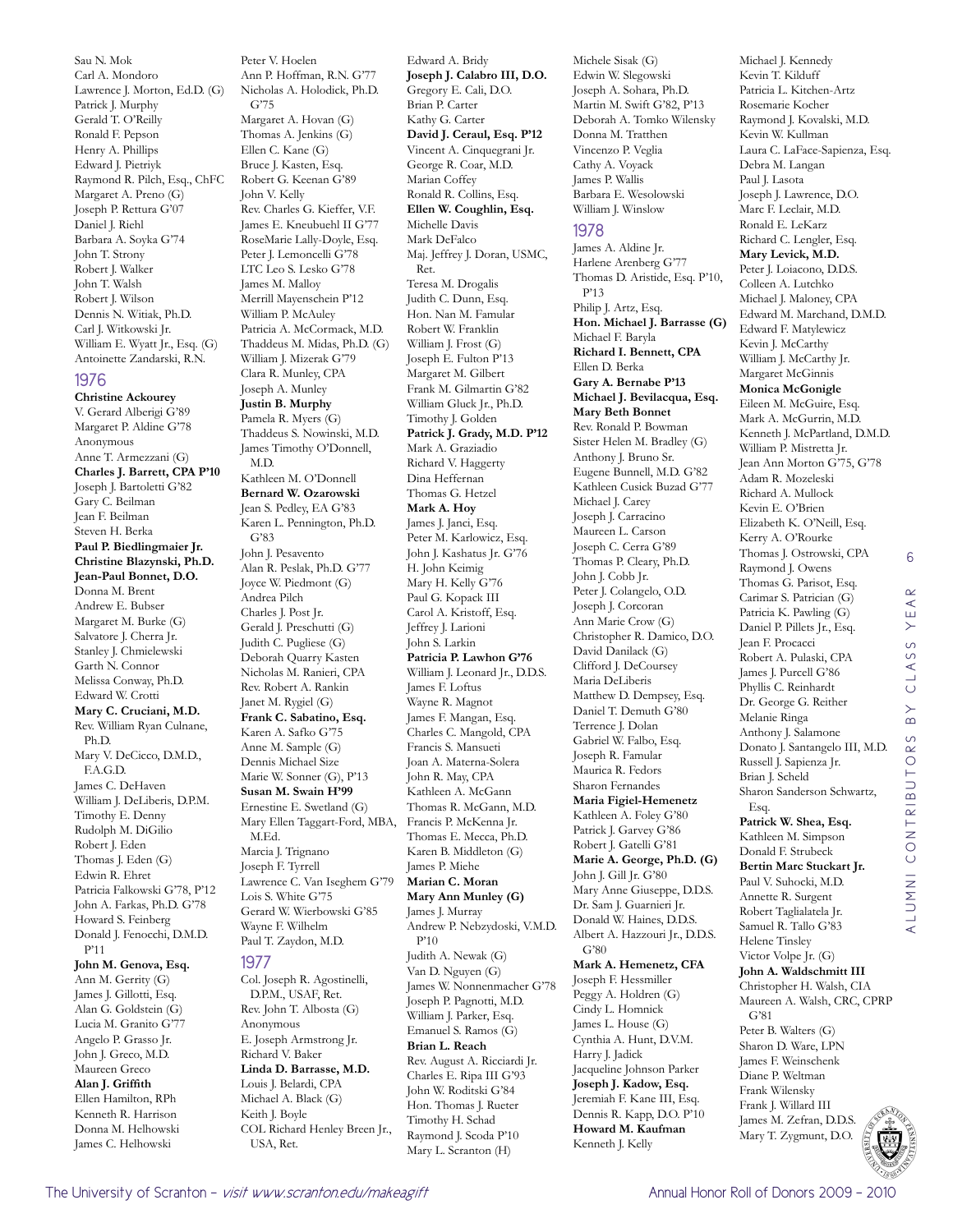Sau N. Mok Carl A. Mondoro Lawrence J. Morton, Ed.D. (G) Patrick J. Murphy Gerald T. O'Reilly Ronald F. Pepson Henry A. Phillips Edward J. Pietriyk Raymond R. Pilch, Esq., ChFC Margaret A. Preno (G) Joseph P. Rettura G'07 Daniel J. Riehl Barbara A. Soyka G'74 John T. Strony Robert J. Walker John T. Walsh Robert J. Wilson Dennis N. Witiak, Ph.D. Carl J. Witkowski Jr. William E. Wyatt Jr., Esq. (G) Antoinette Zandarski, R.N. 1976 **Christine Ackourey** V. Gerard Alberigi G'89 Margaret P. Aldine G'78 Anonymous Anne T. Armezzani (G) **Charles J. Barrett, CPA P'10**

Joseph J. Bartoletti G'82 Gary C. Beilman Jean F. Beilman Steven H. Berka **Paul P. Biedlingmaier Jr. Christine Blazynski, Ph.D. Jean-Paul Bonnet, D.O.** Donna M. Brent Andrew E. Bubser Margaret M. Burke (G) Salvatore J. Cherra Jr. Stanley J. Chmielewski Garth N. Connor Melissa Conway, Ph.D. Edward W. Crotti **Mary C. Cruciani, M.D.** Rev. William Ryan Culnane, Ph.D. Mary V. DeCicco, D.M.D., F.A.G.D. James C. DeHaven William J. DeLiberis, D.P.M. Timothy E. Denny Rudolph M. DiGilio Robert J. Eden Thomas J. Eden (G) Edwin R. Ehret Patricia Falkowski G'78, P'12 John A. Farkas, Ph.D. G'78 Howard S. Feinberg Donald J. Fenocchi, D.M.D.

#### **John M. Genova, Esq.** Ann M. Gerrity (G) James J. Gillotti, Esq. Alan G. Goldstein (G) Lucia M. Granito G'77 Angelo P. Grasso Jr. John J. Greco, M.D. Maureen Greco **Alan J. Griffith** Ellen Hamilton, RPh Kenneth R. Harrison Donna M. Helhowski

James C. Helhowski

P'11

Margaret A. Hovan (G) Thomas A. Jenkins (G) Ellen C. Kane (G) Bruce J. Kasten, Esq. Robert G. Keenan G'89 John V. Kelly Rev. Charles G. Kieffer, V.F. James E. Kneubuehl II G'77 RoseMarie Lally-Doyle, Esq. Peter J. Lemoncelli G'78 LTC Leo S. Lesko G'78 James M. Malloy Merrill Mayenschein P'12 William P. McAuley Patricia A. McCormack, M.D. Thaddeus M. Midas, Ph.D. (G) William J. Mizerak G'79 Clara R. Munley, CPA Joseph A. Munley **Justin B. Murphy** Pamela R. Myers (G) Thaddeus S. Nowinski, M.D. James Timothy O'Donnell, M.D. Kathleen M. O'Donnell **Bernard W. Ozarowski** Jean S. Pedley, EA G'83 Karen L. Pennington, Ph.D. G'83 John J. Pesavento Alan R. Peslak, Ph.D. G'77 Joyce W. Piedmont (G) Andrea Pilch Charles J. Post Jr. Gerald J. Preschutti (G) Judith C. Pugliese (G) Deborah Quarry Kasten Nicholas M. Ranieri, CPA Rev. Robert A. Rankin Janet M. Rygiel (G) **Frank C. Sabatino, Esq.** Karen A. Safko G'75 Anne M. Sample (G) Dennis Michael Size Marie W. Sonner (G), P'13 **Susan M. Swain H'99** Ernestine E. Swetland (G) Mary Ellen Taggart-Ford, MBA, M.Ed. Marcia J. Trignano Joseph F. Tyrrell Lawrence C. Van Iseghem G'79 Lois S. White G'75 Gerard W. Wierbowski G'85 Wayne F. Wilhelm Paul T. Zaydon, M.D. 1977 Col. Joseph R. Agostinelli, D.P.M., USAF, Ret. Rev. John T. Albosta (G) Anonymous E. Joseph Armstrong Jr. Richard V. Baker **Linda D. Barrasse, M.D.** Louis J. Belardi, CPA Michael A. Black (G) Keith I. Boyle COL Richard Henley Breen Jr.,

Peter V. Hoelen

G'75

Ann P. Hoffman, R.N. G'77 Nicholas A. Holodick, Ph.D.

Edward A. Bridy **Joseph J. Calabro III, D.O.** Gregory E. Cali, D.O. Brian P. Carter Kathy G. Carter **David J. Ceraul, Esq. P'12** Vincent A. Cinquegrani Jr. George R. Coar, M.D. Marian Coffey Ronald R. Collins, Esq. **Ellen W. Coughlin, Esq.** Michelle Davis Mark DeFalco Maj. Jeffrey J. Doran, USMC, Ret. Teresa M. Drogalis Judith C. Dunn, Esq. Hon. Nan M. Famular Robert W. Franklin William J. Frost (G) Joseph E. Fulton P'13 Margaret M. Gilbert Frank M. Gilmartin G'82 William Gluck Jr., Ph.D. Timothy J. Golden **Patrick J. Grady, M.D. P'12** Mark A. Graziadio Richard V. Haggerty Dina Heffernan Thomas G. Hetzel **Mark A. Hoy** James J. Janci, Esq. Peter M. Karlowicz, Esq. John J. Kashatus Jr. G'76 H. John Keimig Mary H. Kelly G'76 Paul G. Kopack III Carol A. Kristoff, Esq. Jeffrey J. Larioni John S. Larkin **Patricia P. Lawhon G'76** William J. Leonard Jr., D.D.S. James F. Loftus Wayne R. Magnot James F. Mangan, Esq. Charles C. Mangold, CPA Francis S. Mansueti Joan A. Materna-Solera John R. May, CPA Kathleen A. McGann Thomas R. McGann, M.D. Francis P. McKenna Jr. Thomas E. Mecca, Ph.D. Karen B. Middleton (G) James P. Miehe **Marian C. Moran Mary Ann Munley (G)** James J. Murray Andrew P. Nebzydoski, V.M.D. P'10 Judith A. Newak (G) Van D. Nguyen (G) James W. Nonnenmacher G'78 Joseph P. Pagnotti, M.D. William J. Parker, Esq. Emanuel S. Ramos (G) **Brian L. Reach** Rev. August A. Ricciardi Jr. Charles E. Ripa III G'93 John W. Roditski G'84 Hon. Thomas J. Rueter Timothy H. Schad Raymond J. Scoda P'10 Mary L. Scranton (H)

Michele Sisak (G) Edwin W. Slegowski Joseph A. Sohara, Ph.D. Martin M. Swift G'82, P'13 Deborah A. Tomko Wilensky Donna M. Tratthen Vincenzo P. Veglia Cathy A. Voyack James P. Wallis Barbara E. Wesolowski William J. Winslow

#### 1978

James A. Aldine Jr. Harlene Arenberg G'77 Thomas D. Aristide, Esq. P'10, P'13 Philip J. Artz, Esq. **Hon. Michael J. Barrasse (G)** Michael F. Baryla **Richard I. Bennett, CPA** Ellen D. Berka **Gary A. Bernabe P'13 Michael J. Bevilacqua, Esq. Mary Beth Bonnet** Rev. Ronald P. Bowman Sister Helen M. Bradley (G) Anthony J. Bruno Sr. Eugene Bunnell, M.D. G'82 Kathleen Cusick Buzad G'77 Michael J. Carey Joseph J. Carracino Maureen L. Carson Joseph C. Cerra G'89 Thomas P. Cleary, Ph.D. John J. Cobb Jr. Peter J. Colangelo, O.D. Joseph J. Corcoran Ann Marie Crow (G) Christopher R. Damico, D.O. David Danilack (G) Clifford J. DeCoursey Maria DeLiberis Matthew D. Dempsey, Esq. Daniel T. Demuth G'80 Terrence J. Dolan Gabriel W. Falbo, Esq. Joseph R. Famular Maurica R. Fedors Sharon Fernandes **Maria Figiel-Hemenetz** Kathleen A. Foley G'80 Patrick J. Garvey G'86 Robert J. Gatelli G'81 **Marie A. George, Ph.D. (G)** John J. Gill Jr. G'80 Mary Anne Giuseppe, D.D.S. Dr. Sam J. Guarnieri Jr. Donald W. Haines, D.D.S. Albert A. Hazzouri Jr., D.D.S. G'80 **Mark A. Hemenetz, CFA** Joseph F. Hessmiller Peggy A. Holdren (G) Cindy L. Homnick James L. House (G) Cynthia A. Hunt, D.V.M. Harry J. Jadick Jacqueline Johnson Parker **Joseph J. Kadow, Esq.** Jeremiah F. Kane III, Esq. Dennis R. Kapp, D.O. P'10 **Howard M. Kaufman** Kenneth J. Kelly

Michael J. Kennedy Kevin T. Kilduff Patricia L. Kitchen-Artz Rosemarie Kocher Raymond J. Kovalski, M.D. Kevin W. Kullman Laura C. LaFace-Sapienza, Esq. Debra M. Langan Paul J. Lasota Joseph J. Lawrence, D.O. Marc F. Leclair, M.D. Ronald E. LeKarz Richard C. Lengler, Esq. **Mary Levick, M.D.** Peter J. Loiacono, D.D.S. Colleen A. Lutchko Michael J. Maloney, CPA Edward M. Marchand, D.M.D. Edward F. Matylewicz Kevin J. McCarthy William J. McCarthy Jr. Margaret McGinnis **Monica McGonigle** Eileen M. McGuire, Esq. Mark A. McGurrin, M.D. Kenneth J. McPartland, D.M.D. William P. Mistretta Jr. Jean Ann Morton G'75, G'78 Adam R. Mozeleski Richard A. Mullock Kevin E. O'Brien Elizabeth K. O'Neill, Esq. Kerry A. O'Rourke Thomas J. Ostrowski, CPA Raymond J. Owens Thomas G. Parisot, Esq. Carimar S. Patrician (G) Patricia K. Pawling (G) Daniel P. Pillets Jr., Esq. Jean F. Procacci Robert A. Pulaski, CPA James J. Purcell G'86 Phyllis C. Reinhardt Dr. George G. Reither Melanie Ringa Anthony J. Salamone Donato J. Santangelo III, M.D. Russell J. Sapienza Jr. Brian J. Scheld Sharon Sanderson Schwartz, Esq. **Patrick W. Shea, Esq.** Kathleen M. Simpson Donald F. Strubeck **Bertin Marc Stuckart Jr.** Paul V. Suhocki, M.D. Annette R. Surgent Robert Taglialatela Jr. Samuel R. Tallo G'83 Helene Tinsley Victor Volpe Jr. (G) **John A. Waldschmitt III** Christopher H. Walsh, CIA Maureen A. Walsh, CRC, CPRP G'81 Peter B. Walters (G) Sharon D. Ware, LPN James F. Weinschenk Diane P. Weltman

6

 $\mathbb{R}$ YEI

CLASS

 $\overline{B}$ 

alumni contributors by class year

UTORS

ALUMNI CONTRIBI

USA, Ret.

Frank Wilensky Frank J. Willard III James M. Zefran, D.D.S. Mary T. Zygmunt, D.O.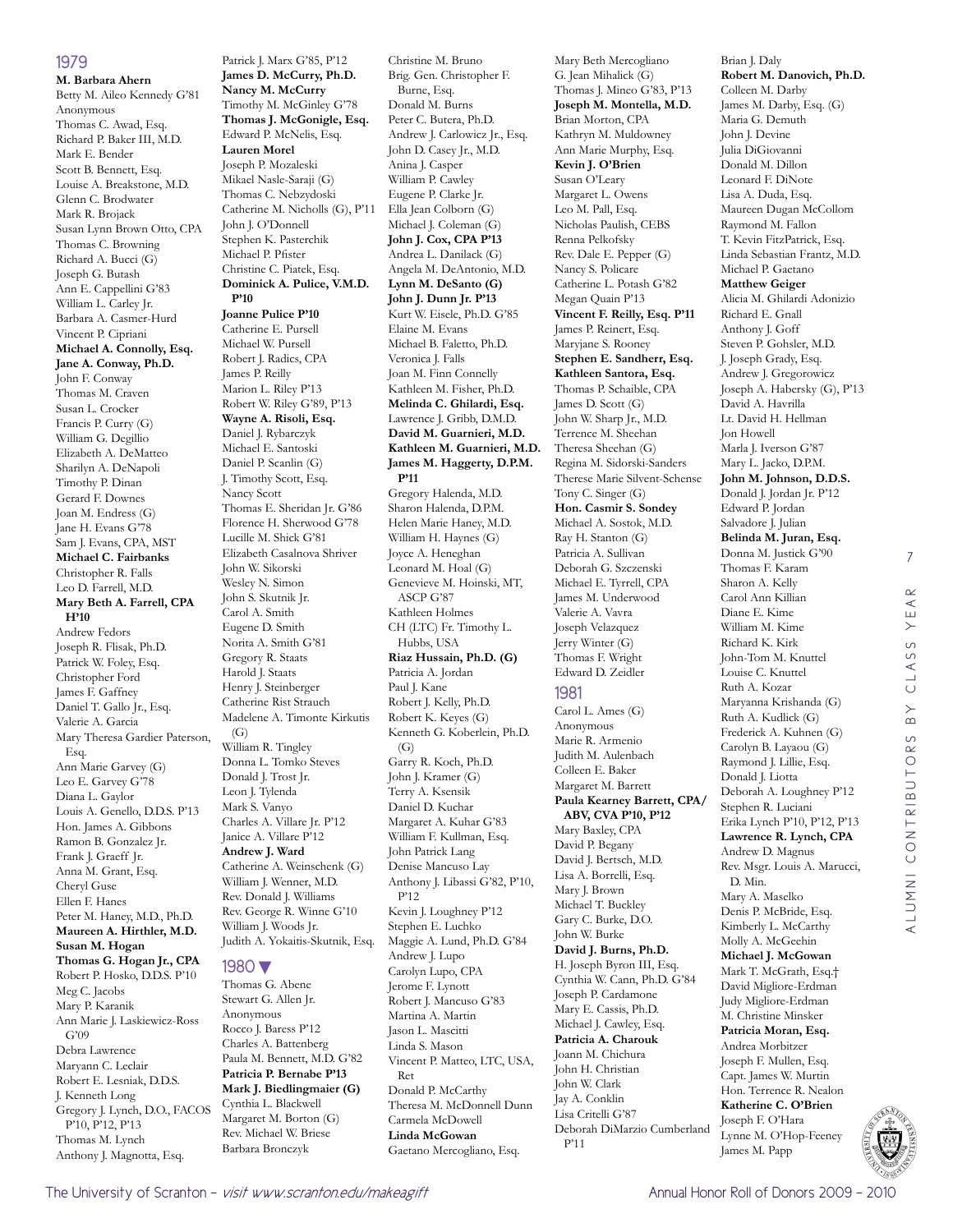#### 1979

**M. Barbara Ahern** Betty M. Aileo Kennedy G'81 Anonymous Thomas C. Awad, Esq. Richard P. Baker III, M.D. Mark E. Bender Scott B. Bennett, Esq. Louise A. Breakstone, M.D. Glenn C. Brodwater Mark R. Brojack Susan Lynn Brown Otto, CPA Thomas C. Browning Richard A. Bucci (G) Joseph G. Butash Ann E. Cappellini G'83 William L. Carley Jr. Barbara A. Casmer-Hurd Vincent P. Cipriani **Michael A. Connolly, Esq. Jane A. Conway, Ph.D.** John F. Conway Thomas M. Craven Susan L. Crocker Francis P. Curry (G) William G. Degillio Elizabeth A. DeMatteo Sharilyn A. DeNapoli Timothy P. Dinan Gerard F. Downes Joan M. Endress (G) Jane H. Evans G'78 Sam J. Evans, CPA, MST **Michael C. Fairbanks** Christopher R. Falls Leo D. Farrell, M.D. **Mary Beth A. Farrell, CPA H'10** Andrew Fedors Joseph R. Flisak, Ph.D. Patrick W. Foley, Esq. Christopher Ford James F. Gaffney Daniel T. Gallo Jr., Esq. Valerie A. Garcia Mary Theresa Gardier Paterson, Esq. Ann Marie Garvey (G) Leo E. Garvey G'78 Diana L. Gaylor Louis A. Genello, D.D.S. P'13 Hon. James A. Gibbons Ramon B. Gonzalez Jr. Frank J. Graeff Jr. Anna M. Grant, Esq. Cheryl Guse Ellen F. Hanes Peter M. Haney, M.D., Ph.D. **Maureen A. Hirthler, M.D. Susan M. Hogan Thomas G. Hogan Jr., CPA** Robert P. Hosko, D.D.S. P'10 Meg C. Jacobs Mary P. Karanik Ann Marie J. Laskiewicz-Ross G'09 Debra Lawrence Maryann C. Leclair Robert E. Lesniak, D.D.S. J. Kenneth Long Gregory J. Lynch, D.O., FACOS P'10, P'12, P'13

Thomas M. Lynch

Anthony J. Magnotta, Esq. James P. Reilly Marion L. Riley P'13 Robert W. Riley G'89, P'13 **Wayne A. Risoli, Esq.** Daniel J. Rybarczyk Michael E. Santoski Daniel P. Scanlin (G) J. Timothy Scott, Esq. Nancy Scott Thomas E. Sheridan Jr. G'86 Florence H. Sherwood G'78 Lucille M. Shick G'81 Elizabeth Casalnova Shriver John W. Sikorski Wesley N. Simon John S. Skutnik Jr. Carol A. Smith Eugene D. Smith Norita A. Smith G'81 Gregory R. Staats Harold J. Staats Henry J. Steinberger Catherine Rist Strauch Madelene A. Timonte Kirkutis  $(G)$ William R. Tingley Donna L. Tomko Steves Donald J. Trost Jr. Leon J. Tylenda Mark S. Vanyo Charles A. Villare Jr. P'12 Janice A. Villare P'12 **Andrew J. Ward** Catherine A. Weinschenk (G) William J. Wenner, M.D. Rev. Donald J. Williams Rev. George R. Winne G'10 William J. Woods Jr. Judith A. Yokaitis-Skutnik, Esq. 1980▼ Thomas G. Abene Stewart G. Allen Jr. Anonymous Rocco J. Baress P'12 Charles A. Battenberg Paula M. Bennett, M.D. G'82 **Patricia P. Bernabe P'13 Mark J. Biedlingmaier (G)** Cynthia L. Blackwell Margaret M. Borton (G) Rev. Michael W. Briese Barbara Bronczyk

**Nancy M. McCurry**

**Lauren Morel** Joseph P. Mozaleski Mikael Nasle-Saraji (G)

John J. O'Donnell Stephen K. Pasterchik Michael P. Pfister

**Joanne Pulice P'10** Catherine E. Pursell Michael W. Pursell Robert J. Radics, CPA

**P'10**

Patrick J. Marx G'85, P'12 **James D. McCurry, Ph.D.** Timothy M. McGinley G'78 **Thomas J. McGonigle, Esq.** Edward P. McNelis, Esq. Thomas C. Nebzydoski Catherine M. Nicholls (G), P'11 Christine C. Piatek, Esq. **Dominick A. Pulice, V.M.D.**  Christine M. Bruno Brig. Gen. Christopher F. Burne, Esq. Donald M. Burns Peter C. Butera, Ph.D. Andrew J. Carlowicz Jr., Esq. John D. Casey Jr., M.D. Anina J. Casper William P. Cawley Eugene P. Clarke Jr. Ella Jean Colborn (G) Michael J. Coleman (G) **John J. Cox, CPA P'13** Andrea L. Danilack (G) Angela M. DeAntonio, M.D. **Lynn M. DeSanto (G) John J. Dunn Jr. P'13** Kurt W. Eisele, Ph.D. G'85 Elaine M. Evans Michael B. Faletto, Ph.D. Veronica J. Falls Joan M. Finn Connelly Kathleen M. Fisher, Ph.D. **Melinda C. Ghilardi, Esq.** Lawrence J. Gribb, D.M.D. **David M. Guarnieri, M.D. Kathleen M. Guarnieri, M.D. James M. Haggerty, D.P.M. P'11** Gregory Halenda, M.D. Sharon Halenda, D.P.M. Helen Marie Haney, M.D. William H. Haynes (G) Joyce A. Heneghan Leonard M. Hoal (G) Genevieve M. Hoinski, MT, ASCP G'87 Kathleen Holmes CH (LTC) Fr. Timothy L. Hubbs, USA **Riaz Hussain, Ph.D. (G)** Patricia A. Jordan Paul J. Kane Robert J. Kelly, Ph.D. Robert K. Keyes (G) Kenneth G. Koberlein, Ph.D.  $(G)$ Garry R. Koch, Ph.D. John J. Kramer (G) Terry A. Ksensik Daniel D. Kuchar Margaret A. Kuhar G'83 William F. Kullman, Esq. John Patrick Lang Denise Mancuso Lay Anthony J. Libassi G'82, P'10, P'12 Kevin J. Loughney P'12 Stephen E. Luchko Maggie A. Lund, Ph.D. G'84 Andrew J. Lupo Carolyn Lupo, CPA Jerome F. Lynott Robert J. Mancuso G'83 Martina A. Martin Jason L. Mascitti

Ret

Linda S. Mason Vincent P. Matteo, LTC, USA, Donald P. McCarthy Theresa M. McDonnell Dunn Carmela McDowell **Linda McGowan** Gaetano Mercogliano, Esq. 1981 Jay A. Conklin Lisa Critelli G'87 Deborah DiMarzio Cumberland P'11

Mary Beth Mercogliano G. Jean Mihalick (G) Thomas J. Mineo G'83, P'13 **Joseph M. Montella, M.D.** Brian Morton, CPA Kathryn M. Muldowney Ann Marie Murphy, Esq. **Kevin J. O'Brien** Susan O'Leary Margaret L. Owens Leo M. Pall, Esq. Nicholas Paulish, CEBS Renna Pelkofsky Rev. Dale E. Pepper (G) Nancy S. Policare Catherine L. Potash G'82 Megan Quain P'13 **Vincent F. Reilly, Esq. P'11** James P. Reinert, Esq. Maryjane S. Rooney **Stephen E. Sandherr, Esq. Kathleen Santora, Esq.** Thomas P. Schaible, CPA James D. Scott (G) John W. Sharp Jr., M.D. Terrence M. Sheehan Theresa Sheehan (G) Regina M. Sidorski-Sanders Therese Marie Silvent-Schense Tony C. Singer (G) **Hon. Casmir S. Sondey** Michael A. Sostok, M.D. Ray H. Stanton (G) Patricia A. Sullivan Deborah G. Szczenski Michael E. Tyrrell, CPA James M. Underwood Valerie A. Vavra Joseph Velazquez Jerry Winter (G) Thomas F. Wright Edward D. Zeidler Carol L. Ames (G) Anonymous Marie R. Armenio Judith M. Aulenbach Colleen E. Baker Margaret M. Barrett **Paula Kearney Barrett, CPA/ ABV, CVA P'10, P'12** Mary Baxley, CPA David P. Begany David J. Bertsch, M.D. Lisa A. Borrelli, Esq. Mary J. Brown Michael T. Buckley Gary C. Burke, D.O. John W. Burke **David J. Burns, Ph.D.** H. Joseph Byron III, Esq. Cynthia W. Cann, Ph.D. G'84 Joseph P. Cardamone Mary E. Cassis, Ph.D. Michael J. Cawley, Esq. **Patricia A. Charouk** Joann M. Chichura John H. Christian John W. Clark

Brian J. Daly **Robert M. Danovich, Ph.D.** Colleen M. Darby James M. Darby, Esq. (G) Maria G. Demuth John J. Devine Julia DiGiovanni Donald M. Dillon Leonard F. DiNote Lisa A. Duda, Esq. Maureen Dugan McCollom Raymond M. Fallon T. Kevin FitzPatrick, Esq. Linda Sebastian Frantz, M.D. Michael P. Gaetano **Matthew Geiger** Alicia M. Ghilardi Adonizio Richard E. Gnall Anthony J. Goff Steven P. Gohsler, M.D. J. Joseph Grady, Esq. Andrew J. Gregorowicz Joseph A. Habersky (G), P'13 David A. Havrilla Lt. David H. Hellman Jon Howell Marla I. Iverson G'87 Mary L. Jacko, D.P.M. **John M. Johnson, D.D.S.** Donald J. Jordan Jr. P'12 Edward P. Jordan Salvadore J. Julian **Belinda M. Juran, Esq.** Donna M. Justick G'90 Thomas F. Karam Sharon A. Kelly Carol Ann Killian Diane E. Kime William M. Kime Richard K. Kirk John-Tom M. Knuttel Louise C. Knuttel Ruth A. Kozar Maryanna Krishanda (G) Ruth A. Kudlick (G) Frederick A. Kuhnen (G) Carolyn B. Layaou (G) Raymond J. Lillie, Esq. Donald J. Liotta Deborah A. Loughney P'12 Stephen R. Luciani Erika Lynch P'10, P'12, P'13 **Lawrence R. Lynch, CPA** Andrew D. Magnus Rev. Msgr. Louis A. Marucci, D. Min. Mary A. Maselko Denis P. McBride, Esq. Kimberly L. McCarthy Molly A. McGeehin **Michael J. McGowan** Mark T. McGrath, Esq.† David Migliore-Erdman Judy Migliore-Erdman M. Christine Minsker **Patricia Moran, Esq.** Andrea Morbitzer Joseph F. Mullen, Esq. Capt. James W. Murtin Hon. Terrence R. Nealon **Katherine C. O'Brien** Joseph F. O'Hara Lynne M. O'Hop-Feeney

7



James M. Papp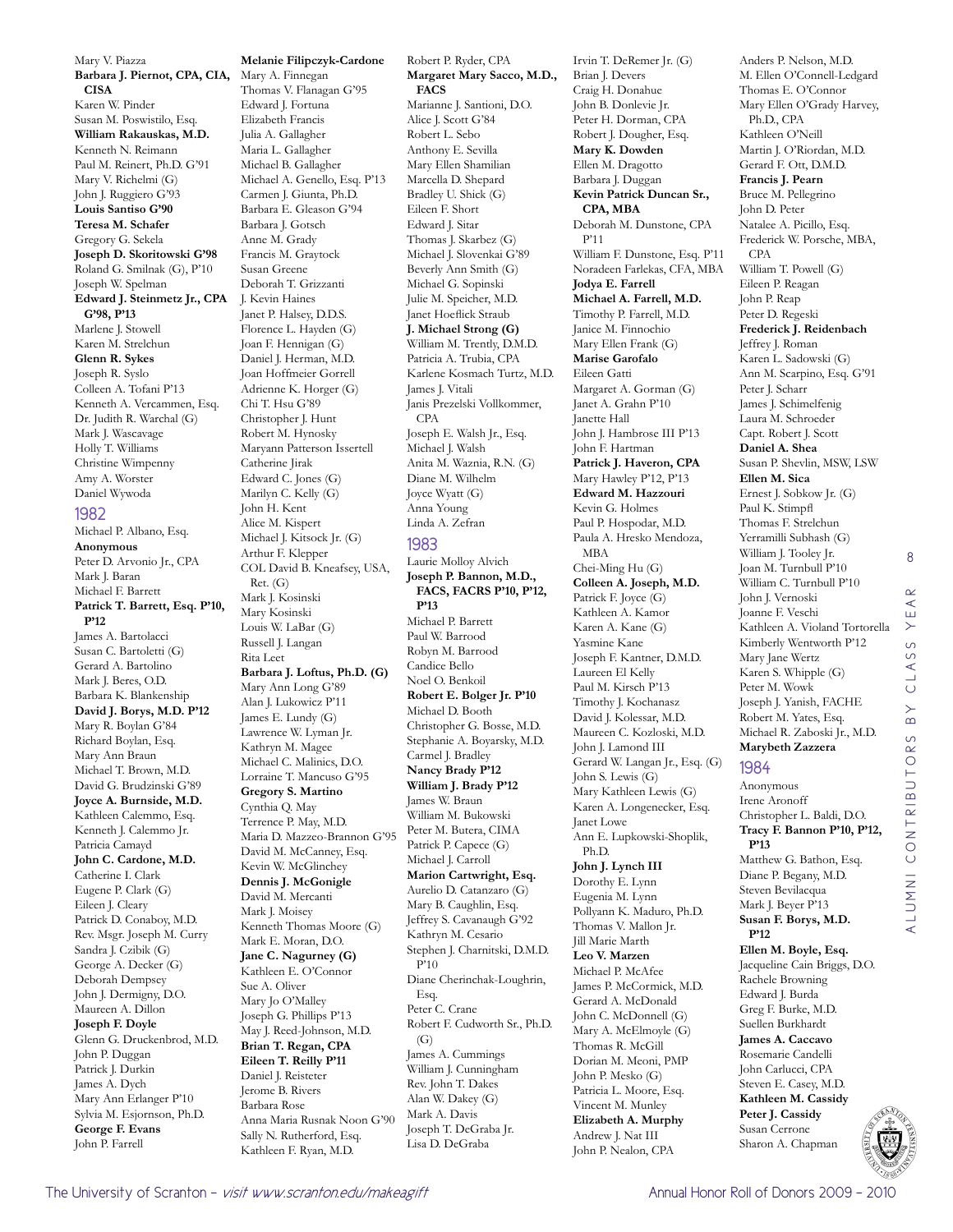Mary V. Piazza **Barbara J. Piernot, CPA, CIA, CISA** Karen W. Pinder Susan M. Poswistilo, Esq. **William Rakauskas, M.D.** Kenneth N. Reimann Paul M. Reinert, Ph.D. G'91 Mary V. Richelmi (G) John J. Ruggiero G'93 **Louis Santiso G'90 Teresa M. Schafer** Gregory G. Sekela **Joseph D. Skoritowski G'98** Roland G. Smilnak (G), P'10 Joseph W. Spelman **Edward J. Steinmetz Jr., CPA G'98, P'13** Marlene J. Stowell Karen M. Strelchun **Glenn R. Sykes** Joseph R. Syslo Colleen A. Tofani P'13 Kenneth A. Vercammen, Esq. Dr. Judith R. Warchal (G) Mark J. Wascavage Holly T. Williams Christine Wimpenny Amy A. Worster Daniel Wywoda

#### 1982

Michael P. Albano, Esq. **Anonymous** Peter D. Arvonio Jr., CPA Mark J. Baran Michael F. Barrett **Patrick T. Barrett, Esq. P'10, P'12** James A. Bartolacci Susan C. Bartoletti (G) Gerard A. Bartolino Mark J. Beres, O.D. Barbara K. Blankenship **David J. Borys, M.D. P'12** Mary R. Boylan G'84 Richard Boylan, Esq. Mary Ann Braun Michael T. Brown, M.D. David G. Brudzinski G'89 **Joyce A. Burnside, M.D.** Kathleen Calemmo, Esq. Kenneth J. Calemmo Jr. Patricia Camayd **John C. Cardone, M.D.** Catherine I. Clark Eugene P. Clark (G) Eileen J. Cleary Patrick D. Conaboy, M.D. Rev. Msgr. Joseph M. Curry Sandra J. Czibik (G) George A. Decker (G) Deborah Dempsey John J. Dermigny, D.O. Maureen A. Dillon **Joseph F. Doyle** Glenn G. Druckenbrod, M.D. John P. Duggan Patrick J. Durkin James A. Dych Mary Ann Erlanger P'10 Sylvia M. Esjornson, Ph.D. **George F. Evans** John P. Farrell

**Melanie Filipczyk-Cardone** Mary A. Finnegan Thomas V. Flanagan G'95 Edward J. Fortuna Elizabeth Francis Julia A. Gallagher Maria L. Gallagher Michael B. Gallagher Michael A. Genello, Esq. P'13 Carmen J. Giunta, Ph.D. Barbara E. Gleason G'94 Barbara J. Gotsch Anne M. Grady Francis M. Graytock Susan Greene Deborah T. Grizzanti J. Kevin Haines Janet P. Halsey, D.D.S. Florence L. Hayden (G) Joan F. Hennigan (G) Daniel J. Herman, M.D. Joan Hoffmeier Gorrell Adrienne K. Horger (G) Chi T. Hsu G'89 Christopher J. Hunt Robert M. Hynosky Maryann Patterson Issertell Catherine Jirak Edward C. Jones (G) Marilyn C. Kelly (G) John H. Kent Alice M. Kispert Michael J. Kitsock Jr. (G) Arthur F. Klepper COL David B. Kneafsey, USA, Ret. (G) Mark J. Kosinski Mary Kosinski Louis W. LaBar (G) Russell J. Langan Rita Leet **Barbara J. Loftus, Ph.D. (G)** Mary Ann Long G'89 Alan J. Lukowicz P'11 James E. Lundy (G) Lawrence W. Lyman Jr. Kathryn M. Magee Michael C. Malinics, D.O. Lorraine T. Mancuso G'95 **Gregory S. Martino** Cynthia Q. May Terrence P. May, M.D. Maria D. Mazzeo-Brannon G'95 David M. McCanney, Esq. Kevin W. McGlinchey **Dennis J. McGonigle** David M. Mercanti Mark J. Moisey Kenneth Thomas Moore (G) Mark E. Moran, D.O. **Jane C. Nagurney (G)** Kathleen E. O'Connor Sue A. Oliver Mary Jo O'Malley Joseph G. Phillips P'13 May J. Reed-Johnson, M.D. **Brian T. Regan, CPA Eileen T. Reilly P'11** Daniel J. Reisteter Jerome B. Rivers Barbara Rose Anna Maria Rusnak Noon G'90 Sally N. Rutherford, Esq. Kathleen F. Ryan, M.D.

**Margaret Mary Sacco, M.D., FACS** Marianne J. Santioni, D.O. Alice J. Scott G'84 Robert L. Sebo Anthony E. Sevilla Mary Ellen Shamilian Marcella D. Shepard Bradley U. Shick (G) Eileen F. Short Edward J. Sitar Thomas J. Skarbez (G) Michael J. Slovenkai G'89 Beverly Ann Smith (G) Michael G. Sopinski Julie M. Speicher, M.D. Janet Hoeflick Straub **J. Michael Strong (G)** William M. Trently, D.M.D. Patricia A. Trubia, CPA Karlene Kosmach Turtz, M.D. James J. Vitali Janis Prezelski Vollkommer, CPA Joseph E. Walsh Jr., Esq. Michael I. Walsh Anita M. Waznia, R.N. (G) Diane M. Wilhelm Joyce Wyatt (G) Anna Young Linda A. Zefran 1983 Laurie Molloy Alvich **Joseph P. Bannon, M.D., FACS, FACRS P'10, P'12, P'13** Michael P. Barrett Paul W. Barrood Robyn M. Barrood Candice Bello Noel O. Benkoil **Robert E. Bolger Jr. P'10** Michael D. Booth Christopher G. Bosse, M.D. Stephanie A. Boyarsky, M.D. Carmel J. Bradley **Nancy Brady P'12 William J. Brady P'12** James W. Braun William M. Bukowski Peter M. Butera, CIMA Patrick P. Capece (G) Michael J. Carroll **Marion Cartwright, Esq.** Aurelio D. Catanzaro (G) Mary B. Caughlin, Esq. Jeffrey S. Cavanaugh G'92 Kathryn M. Cesario Stephen J. Charnitski, D.M.D. P'10 Diane Cherinchak-Loughrin, Esq. Peter C. Crane Robert F. Cudworth Sr., Ph.D.  $(G)$ James A. Cummings William J. Cunningham Rev. John T. Dakes Alan W. Dakey (G) Mark A. Davis Joseph T. DeGraba Jr. Lisa D. DeGraba

Robert P. Ryder, CPA

Irvin T. DeRemer Jr. (G) Brian J. Devers Craig H. Donahue John B. Donlevie Jr. Peter H. Dorman, CPA Robert J. Dougher, Esq. **Mary K. Dowden** Ellen M. Dragotto Barbara J. Duggan **Kevin Patrick Duncan Sr., CPA, MBA** Deborah M. Dunstone, CPA P'11 William F. Dunstone, Esq. P'11 Noradeen Farlekas, CFA, MBA **Jodya E. Farrell Michael A. Farrell, M.D.** Timothy P. Farrell, M.D. Janice M. Finnochio Mary Ellen Frank (G) **Marise Garofalo** Eileen Gatti Margaret A. Gorman (G) Janet A. Grahn P'10 Janette Hall John J. Hambrose III P'13 John F. Hartman **Patrick J. Haveron, CPA** Mary Hawley P'12, P'13 **Edward M. Hazzouri** Kevin G. Holmes Paul P. Hospodar, M.D. Paula A. Hresko Mendoza, MBA Chei-Ming Hu (G) **Colleen A. Joseph, M.D.** Patrick F. Joyce (G) Kathleen A. Kamor Karen A. Kane (G) Yasmine Kane Joseph F. Kantner, D.M.D. Laureen El Kelly Paul M. Kirsch P'13 Timothy J. Kochanasz David J. Kolessar, M.D. Maureen C. Kozloski, M.D. John J. Lamond III Gerard W. Langan Jr., Esq. (G) John S. Lewis (G) Mary Kathleen Lewis (G) Karen A. Longenecker, Esq. Janet Lowe Ann E. Lupkowski-Shoplik, Ph.D. **John J. Lynch III** Dorothy E. Lynn Eugenia M. Lynn Pollyann K. Maduro, Ph.D. Thomas V. Mallon Jr. Jill Marie Marth **Leo V. Marzen** Michael P. McAfee James P. McCormick, M.D. Gerard A. McDonald John C. McDonnell (G) Mary A. McElmoyle (G) Thomas R. McGill Dorian M. Meoni, PMP John P. Mesko (G) Patricia L. Moore, Esq. Vincent M. Munley **Elizabeth A. Murphy** Andrew J. Nat III John P. Nealon, CPA

Anders P. Nelson, M.D. M. Ellen O'Connell-Ledgard Thomas E. O'Connor Mary Ellen O'Grady Harvey, Ph.D., CPA Kathleen O'Neill Martin J. O'Riordan, M.D. Gerard F. Ott, D.M.D. **Francis J. Pearn** Bruce M. Pellegrino John D. Peter Natalee A. Picillo, Esq. Frederick W. Porsche, MBA, CPA William T. Powell (G) Eileen P. Reagan John P. Reap Peter D. Regeski **Frederick J. Reidenbach** Jeffrey J. Roman Karen L. Sadowski (G) Ann M. Scarpino, Esq. G'91 Peter J. Scharr James J. Schimelfenig Laura M. Schroeder Capt. Robert J. Scott **Daniel A. Shea** Susan P. Shevlin, MSW, LSW **Ellen M. Sica** Ernest J. Sobkow Jr. (G) Paul K. Stimpfl Thomas F. Strelchun Yerramilli Subhash (G) William J. Tooley Jr. Joan M. Turnbull P'10 William C. Turnbull P'10 John J. Vernoski Joanne F. Veschi Kathleen A. Violand Tortorella Kimberly Wentworth P'12 Mary Jane Wertz Karen S. Whipple (G) Peter M. Wowk Joseph J. Yanish, FACHE Robert M. Yates, Esq. Michael R. Zaboski Jr., M.D. **Marybeth Zazzera** 1984

8

 $\alpha$  $\prec$ Ш  $\rightarrow$  $\circ$ LASS  $\circ$  $\overline{B}$ 

alumni contributors by class year

ALUMNI CONTRIBUTORS

#### Anonymous Irene Aronoff Christopher L. Baldi, D.O. **Tracy F. Bannon P'10, P'12,**  Matthew G. Bathon, Esq. Diane P. Begany, M.D. Steven Bevilacqua Mark J. Beyer P'13 **Susan F. Borys, M.D. Ellen M. Boyle, Esq.** Jacqueline Cain Briggs, D.O. Rachele Browning

Edward J. Burda Greg F. Burke, M.D. Suellen Burkhardt **James A. Caccavo** Rosemarie Candelli John Carlucci, CPA Steven E. Casey, M.D. **Kathleen M. Cassidy Peter J. Cassidy** Susan Cerrone Sharon A. Chapman



**P'13**

**P'12**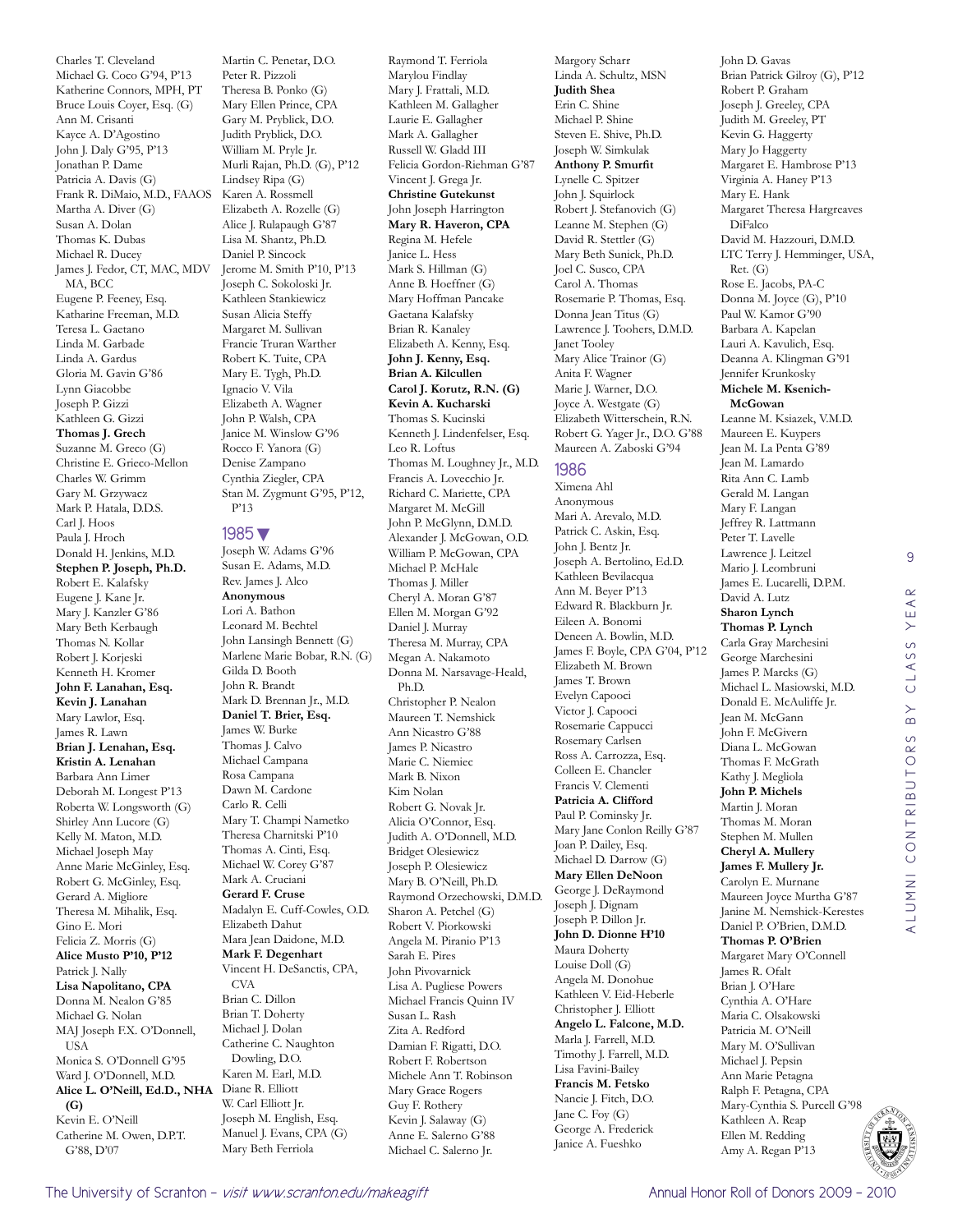Charles T. Cleveland Michael G. Coco G'94, P'13 Katherine Connors, MPH, PT Bruce Louis Coyer, Esq. (G) Ann M. Crisanti Kayce A. D'Agostino John J. Daly G'95, P'13 Jonathan P. Dame Patricia A. Davis (G) Frank R. DiMaio, M.D., FAAOS Martha A. Diver (G) Susan A. Dolan Thomas K. Dubas Michael R. Ducey James J. Fedor, CT, MAC, MDV MA, BCC Eugene P. Feeney, Esq. Katharine Freeman, M.D. Teresa L. Gaetano Linda M. Garbade Linda A. Gardus Gloria M. Gavin G'86 Lynn Giacobbe Joseph P. Gizzi Kathleen G. Gizzi **Thomas J. Grech** Suzanne M. Greco (G) Christine E. Grieco-Mellon Charles W. Grimm Gary M. Grzywacz Mark P. Hatala, D.D.S. Carl J. Hoos Paula J. Hroch Donald H. Jenkins, M.D. **Stephen P. Joseph, Ph.D.** Robert E. Kalafsky Eugene J. Kane Jr. Mary J. Kanzler G'86 Mary Beth Kerbaugh Thomas N. Kollar Robert J. Korjeski Kenneth H. Kromer **John F. Lanahan, Esq. Kevin J. Lanahan** Mary Lawlor, Esq. James R. Lawn **Brian J. Lenahan, Esq. Kristin A. Lenahan** Barbara Ann Limer Deborah M. Longest P'13 Roberta W. Longsworth (G) Shirley Ann Lucore (G) Kelly M. Maton, M.D. Michael Joseph May Anne Marie McGinley, Esq. Robert G. McGinley, Esq. Gerard A. Migliore Theresa M. Mihalik, Esq. Gino E. Mori Felicia Z. Morris (G) **Alice Musto P'10, P'12** Patrick J. Nally **Lisa Napolitano, CPA** Donna M. Nealon G'85 Michael G. Nolan MAJ Joseph F.X. O'Donnell, USA Monica S. O'Donnell G'95 Ward J. O'Donnell, M.D. **Alice L. O'Neill, Ed.D., NHA**  Diane R. Elliott **(G)** Kevin E. O'Neill Catherine M. Owen, D.P.T. G'88, D'07

Martin C. Penetar, D.O. Peter R. Pizzoli Theresa B. Ponko (G) Mary Ellen Prince, CPA Gary M. Pryblick, D.O. Judith Pryblick, D.O. William M. Pryle Jr. Murli Rajan, Ph.D. (G), P'12 Lindsey Ripa (G) Karen A. Rossmell Elizabeth A. Rozelle (G) Alice J. Rulapaugh G'87 Lisa M. Shantz, Ph.D. Daniel P. Sincock Jerome M. Smith P'10, P'13 Joseph C. Sokoloski Jr. Kathleen Stankiewicz Susan Alicia Steffy Margaret M. Sullivan Francie Truran Warther Robert K. Tuite, CPA Mary E. Tygh, Ph.D. Ignacio V. Vila Elizabeth A. Wagner John P. Walsh, CPA Janice M. Winslow G'96 Rocco F. Yanora (G) Denise Zampano Cynthia Ziegler, CPA Stan M. Zygmunt G'95, P'12, P'13

#### 1985▼

Joseph W. Adams G'96 Susan E. Adams, M.D. Rev. James J. Alco **Anonymous** Lori A. Bathon Leonard M. Bechtel John Lansingh Bennett (G) Marlene Marie Bobar, R.N. (G) Gilda D. Booth John R. Brandt Mark D. Brennan Jr., M.D. **Daniel T. Brier, Esq.** James W. Burke Thomas J. Calvo Michael Campana Rosa Campana Dawn M. Cardone Carlo R. Celli Mary T. Champi Nametko Theresa Charnitski P'10 Thomas A. Cinti, Esq. Michael W. Corey G'87 Mark A. Cruciani **Gerard F. Cruse** Madalyn E. Cuff-Cowles, O.D. Elizabeth Dahut Mara Jean Daidone, M.D. **Mark F. Degenhart** Vincent H. DeSanctis, CPA, **CVA** Brian C. Dillon Brian T. Doherty Michael J. Dolan Catherine C. Naughton Dowling, D.O. Karen M. Earl, M.D. W. Carl Elliott Jr. Joseph M. English, Esq. Manuel J. Evans, CPA (G) Mary Beth Ferriola

Raymond T. Ferriola Marylou Findlay Mary J. Frattali, M.D. Kathleen M. Gallagher Laurie E. Gallagher Mark A. Gallagher Russell W. Gladd III Felicia Gordon-Riehman G'87 Vincent J. Grega Jr. **Christine Gutekunst** John Joseph Harrington **Mary R. Haveron, CPA** Regina M. Hefele Janice L. Hess Mark S. Hillman (G) Anne B. Hoeffner (G) Mary Hoffman Pancake Gaetana Kalafsky Brian R. Kanaley Elizabeth A. Kenny, Esq. **John J. Kenny, Esq. Brian A. Kilcullen Carol J. Korutz, R.N. (G) Kevin A. Kucharski** Thomas S. Kucinski Kenneth J. Lindenfelser, Esq. Leo R. Loftus Thomas M. Loughney Jr., M.D. Francis A. Lovecchio Jr. Richard C. Mariette, CPA Margaret M. McGill John P. McGlynn, D.M.D. Alexander J. McGowan, O.D. William P. McGowan, CPA Michael P. McHale Thomas J. Miller Cheryl A. Moran G'87 Ellen M. Morgan G'92 Daniel J. Murray Theresa M. Murray, CPA Megan A. Nakamoto Donna M. Narsavage-Heald, Ph.D. Christopher P. Nealon Maureen T. Nemshick Ann Nicastro G'88 James P. Nicastro Marie C. Niemiec Mark B. Nixon Kim Nolan Robert G. Novak Jr. Alicia O'Connor, Esq. Judith A. O'Donnell, M.D. Bridget Olesiewicz Joseph P. Olesiewicz Mary B. O'Neill, Ph.D. Raymond Orzechowski, D.M.D. Sharon A. Petchel (G) Robert V. Piorkowski Angela M. Piranio P'13 Sarah E. Pires John Pivovarnick Lisa A. Pugliese Powers Michael Francis Quinn IV Susan L. Rash Zita A. Redford Damian F. Rigatti, D.O. Robert F. Robertson Michele Ann T. Robinson Mary Grace Rogers Guy F. Rothery Kevin J. Salaway (G) Anne E. Salerno G'88

Michael C. Salerno Jr.

Margory Scharr Linda A. Schultz, MSN **Judith Shea** Erin C. Shine Michael P. Shine Steven E. Shive, Ph.D. Joseph W. Simkulak **Anthony P. Smurfit** Lynelle C. Spitzer John J. Squirlock Robert J. Stefanovich (G) Leanne M. Stephen (G) David R. Stettler (G) Mary Beth Sunick, Ph.D. Joel C. Susco, CPA Carol A. Thomas Rosemarie P. Thomas, Esq. Donna Jean Titus (G) Lawrence J. Toohers, D.M.D. Janet Tooley Mary Alice Trainor (G) Anita F. Wagner Marie J. Warner, D.O. Joyce A. Westgate (G) Elizabeth Witterschein, R.N. Robert G. Yager Jr., D.O. G'88 Maureen A. Zaboski G'94

#### 1986

Ximena Ahl Anonymous Mari A. Arevalo, M.D. Patrick C. Askin, Esq. John J. Bentz Jr. Joseph A. Bertolino, Ed.D. Kathleen Bevilacqua Ann M. Beyer P'13 Edward R. Blackburn Jr. Eileen A. Bonomi Deneen A. Bowlin, M.D. James F. Boyle, CPA G'04, P'12 Elizabeth M. Brown James T. Brown Evelyn Capooci Victor J. Capooci Rosemarie Cappucci Rosemary Carlsen Ross A. Carrozza, Esq. Colleen E. Chancler Francis V. Clementi **Patricia A. Clifford** Paul P. Cominsky Jr. Mary Jane Conlon Reilly G'87 Joan P. Dailey, Esq. Michael D. Darrow (G) **Mary Ellen DeNoon** George J. DeRaymond Joseph J. Dignam Joseph P. Dillon Jr. **John D. Dionne H'10** Maura Doherty Louise Doll (G) Angela M. Donohue Kathleen V. Eid-Heberle Christopher J. Elliott **Angelo L. Falcone, M.D.** Marla J. Farrell, M.D. Timothy J. Farrell, M.D. Lisa Favini-Bailey **Francis M. Fetsko** Nancie J. Fitch, D.O. Jane C. Foy (G) George A. Frederick Janice A. Fueshko

John D. Gavas Brian Patrick Gilroy (G), P'12 Robert P. Graham Joseph J. Greeley, CPA Judith M. Greeley, PT Kevin G. Haggerty Mary Jo Haggerty Margaret E. Hambrose P'13 Virginia A. Haney P'13 Mary E. Hank Margaret Theresa Hargreaves DiFalco David M. Hazzouri, D.M.D. LTC Terry J. Hemminger, USA, Ret. (G) Rose E. Jacobs, PA-C Donna M. Joyce (G), P'10 Paul W. Kamor G'90 Barbara A. Kapelan Lauri A. Kavulich, Esq. Deanna A. Klingman G'91 Jennifer Krunkosky **Michele M. Ksenich-McGowan** Leanne M. Ksiazek, V.M.D. Maureen E. Kuypers Jean M. La Penta G'89 Jean M. Lamardo Rita Ann C. Lamb Gerald M. Langan Mary F. Langan Jeffrey R. Lattmann Peter T. Lavelle Lawrence J. Leitzel Mario J. Leombruni James E. Lucarelli, D.P.M. David A. Lutz **Sharon Lynch Thomas P. Lynch** Carla Gray Marchesini George Marchesini James P. Marcks (G) Michael L. Masiowski, M.D. Donald E. McAuliffe Jr. Jean M. McGann John F. McGivern Diana L. McGowan Thomas F. McGrath Kathy J. Megliola **John P. Michels** Martin J. Moran Thomas M. Moran Stephen M. Mullen **Cheryl A. Mullery James F. Mullery Jr.** Carolyn E. Murnane Maureen Joyce Murtha G'87 Janine M. Nemshick-Kerestes Daniel P. O'Brien, D.M.D. **Thomas P. O'Brien** Margaret Mary O'Connell James R. Ofalt Brian J. O'Hare Cynthia A. O'Hare Maria C. Olsakowski Patricia M. O'Neill Mary M. O'Sullivan Michael J. Pepsin Ann Marie Petagna

9

YEAR

CLASS

 $\overline{B}$ 

alumni contributors by class year

ALUMNI CONTRIBUTORS



Ralph F. Petagna, CPA Mary-Cynthia S. Purcell G'98

Kathleen A. Reap Ellen M. Redding Amy A. Regan P'13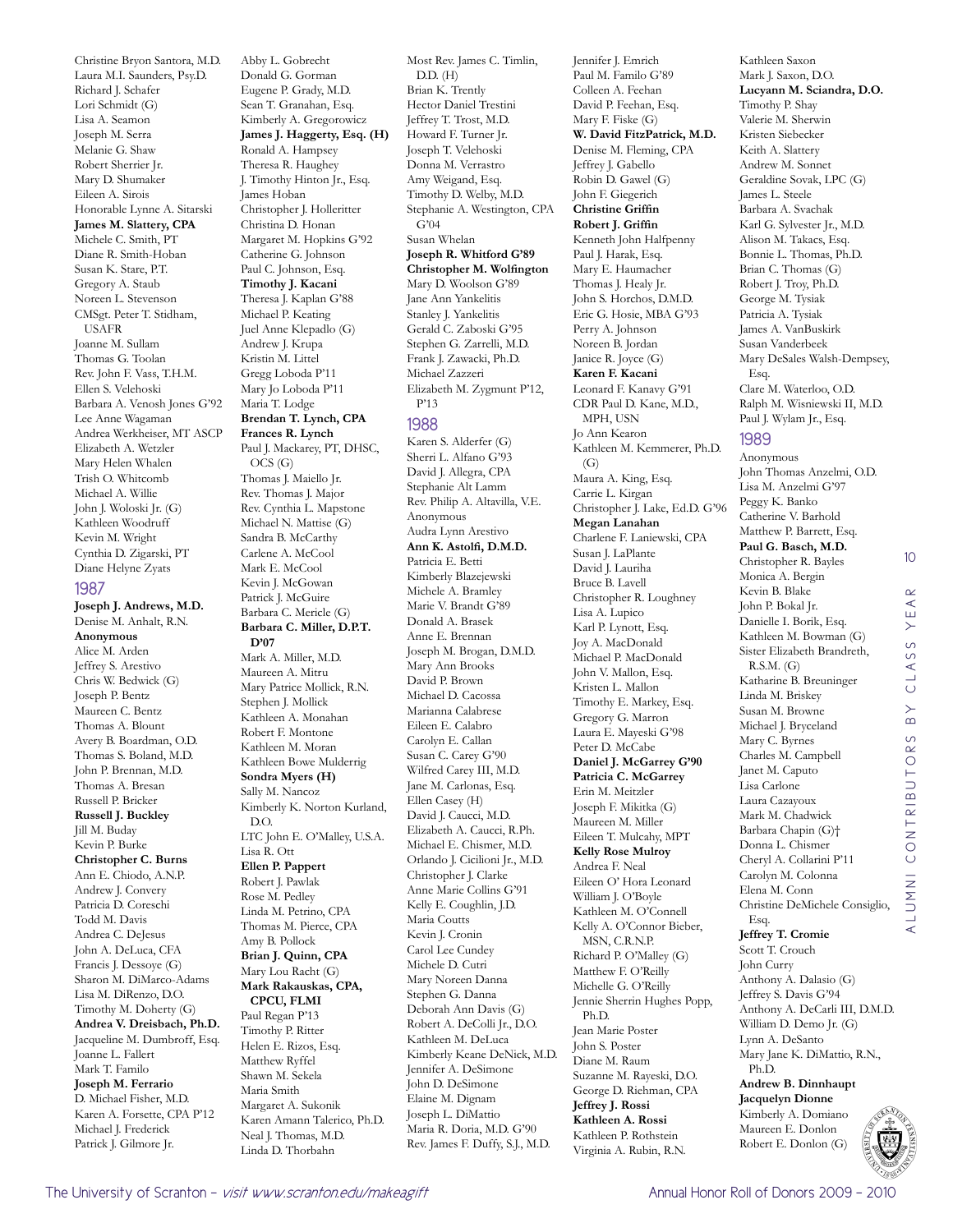Laura M.I. Saunders, Psy.D. Richard J. Schafer Lori Schmidt (G) Lisa A. Seamon Joseph M. Serra Melanie G. Shaw Robert Sherrier Jr. Mary D. Shumaker Eileen A. Sirois Honorable Lynne A. Sitarski **James M. Slattery, CPA** Michele C. Smith, PT Diane R. Smith-Hoban Susan K. Stare, P.T. Gregory A. Staub Noreen L. Stevenson CMSgt. Peter T. Stidham, USAFR Joanne M. Sullam Thomas G. Toolan Rev. John F. Vass, T.H.M. Ellen S. Velehoski Barbara A. Venosh Jones G'92 Lee Anne Wagaman Andrea Werkheiser, MT ASCP Elizabeth A. Wetzler Mary Helen Whalen Trish O. Whitcomb Michael A. Willie John J. Woloski Jr. (G) Kathleen Woodruff Kevin M. Wright Cynthia D. Zigarski, PT Diane Helyne Zyats 1987 **Joseph J. Andrews, M.D.** Denise M. Anhalt, R.N. **Anonymous** Alice M. Arden Jeffrey S. Arestivo Chris W. Bedwick (G) Joseph P. Bentz Maureen C. Bentz Thomas A. Blount Avery B. Boardman, O.D. Thomas S. Boland, M.D. John P. Brennan, M.D. Thomas A. Bresan Russell P. Bricker **Russell J. Buckley** Jill M. Buday Kevin P. Burke **Christopher C. Burns** Ann E. Chiodo, A.N.P. Andrew J. Convery Patricia D. Coreschi Todd M. Davis Andrea C. DeJesus John A. DeLuca, CFA Francis J. Dessoye (G) Sharon M. DiMarco-Adams Lisa M. DiRenzo, D.O. Timothy M. Doherty (G) **Andrea V. Dreisbach, Ph.D.** Jacqueline M. Dumbroff, Esq. Joanne L. Fallert Mark T. Familo **Joseph M. Ferrario** D. Michael Fisher, M.D. Karen A. Forsette, CPA P'12 Michael J. Frederick

Christine Bryon Santora, M.D.

Abby L. Gobrecht Donald G. Gorman Eugene P. Grady, M.D. Sean T. Granahan, Esq. Kimberly A. Gregorowicz **James J. Haggerty, Esq. (H)** Ronald A. Hampsey Theresa R. Haughey J. Timothy Hinton Jr., Esq. James Hoban Christopher J. Holleritter Christina D. Honan Margaret M. Hopkins G'92 Catherine G. Johnson Paul C. Johnson, Esq. **Timothy J. Kacani** Theresa J. Kaplan G'88 Michael P. Keating Juel Anne Klepadlo (G) Andrew J. Krupa Kristin M. Littel Gregg Loboda P'11 Mary Jo Loboda P'11 Maria T. Lodge **Brendan T. Lynch, CPA Frances R. Lynch** Paul J. Mackarey, PT, DHSC, OCS (G) Thomas J. Maiello Jr. Rev. Thomas J. Major Rev. Cynthia L. Mapstone Michael N. Mattise (G) Sandra B. McCarthy Carlene A. McCool Mark E. McCool Kevin J. McGowan Patrick J. McGuire Barbara C. Mericle (G) **Barbara C. Miller, D.P.T. D'07** Mark A. Miller, M.D. Maureen A. Mitru Mary Patrice Mollick, R.N. Stephen J. Mollick Kathleen A. Monahan Robert F. Montone Kathleen M. Moran Kathleen Bowe Mulderrig **Sondra Myers (H)** Sally M. Nancoz Kimberly K. Norton Kurland, D.O. LTC John E. O'Malley, U.S.A. Lisa R. Ott **Ellen P. Pappert** Robert J. Pawlak Rose M. Pedley Linda M. Petrino, CPA Thomas M. Pierce, CPA Amy B. Pollock **Brian J. Quinn, CPA** Mary Lou Racht (G) **Mark Rakauskas, CPA, CPCU, FLMI** Paul Regan P'13 Timothy P. Ritter Helen E. Rizos, Esq. Matthew Ryffel Shawn M. Sekela Maria Smith Margaret A. Sukonik Karen Amann Talerico, Ph.D. Neal J. Thomas, M.D.

Hector Daniel Trestini Jeffrey T. Trost, M.D. Howard F. Turner Jr. Joseph T. Velehoski Donna M. Verrastro Amy Weigand, Esq. Timothy D. Welby, M.D. Stephanie A. Westington, CPA G'04 Susan Whelan **Joseph R. Whitford G'89 Christopher M. Wolfington** Mary D. Woolson G'89 Jane Ann Yankelitis Stanley J. Yankelitis Gerald C. Zaboski G'95 Stephen G. Zarrelli, M.D. Frank J. Zawacki, Ph.D. Michael Zazzeri Elizabeth M. Zygmunt P'12, P'13 1988 Karen S. Alderfer (G) Sherri L. Alfano G'93 David J. Allegra, CPA Stephanie Alt Lamm Rev. Philip A. Altavilla, V.E. Anonymous Audra Lynn Arestivo **Ann K. Astolfi, D.M.D.** Patricia E. Betti Kimberly Blazejewski Michele A. Bramley Marie V. Brandt G'89 Donald A. Brasek Anne E. Brennan Joseph M. Brogan, D.M.D. Mary Ann Brooks David P. Brown Michael D. Cacossa Marianna Calabrese Eileen E. Calabro Carolyn E. Callan Susan C. Carey G'90 Wilfred Carey III, M.D. Jane M. Carlonas, Esq. Ellen Casey (H) David J. Caucci, M.D. Elizabeth A. Caucci, R.Ph. Michael E. Chismer, M.D. Orlando J. Cicilioni Jr., M.D. Christopher J. Clarke Anne Marie Collins G'91 Kelly E. Coughlin, J.D. Maria Coutts Kevin J. Cronin Carol Lee Cundey Michele D. Cutri Mary Noreen Danna Stephen G. Danna Deborah Ann Davis (G) Robert A. DeColli Jr., D.O. Kathleen M. DeLuca Kimberly Keane DeNick, M.D. Jennifer A. DeSimone John D. DeSimone Elaine M. Dignam Joseph L. DiMattio Maria R. Doria, M.D. G'90 Rev. James F. Duffy, S.J., M.D.

Most Rev. James C. Timlin,

 $DD$   $(H)$ Brian K. Trently Jennifer J. Emrich Paul M. Familo G'89 Colleen A. Feehan David P. Feehan, Esq. Mary F. Fiske (G) **W. David FitzPatrick, M.D.** Denise M. Fleming, CPA Jeffrey J. Gabello Robin D. Gawel (G) John F. Giegerich **Christine Griffin Robert J. Griffin** Kenneth John Halfpenny Paul J. Harak, Esq. Mary E. Haumacher Thomas J. Healy Jr. John S. Horchos, D.M.D. Eric G. Hosie, MBA G'93 Perry A. Johnson Noreen B. Jordan Janice R. Joyce (G) **Karen F. Kacani** Leonard F. Kanavy G'91 CDR Paul D. Kane, M.D., MPH, USN Jo Ann Kearon Kathleen M. Kemmerer, Ph.D. (G) Maura A. King, Esq. Carrie L. Kirgan Christopher J. Lake, Ed.D. G'96 **Megan Lanahan** Charlene F. Laniewski, CPA Susan J. LaPlante David J. Lauriha Bruce B. Lavell Christopher R. Loughney Lisa A. Lupico Karl P. Lynott, Esq. Joy A. MacDonald Michael P. MacDonald John V. Mallon, Esq. Kristen L. Mallon Timothy E. Markey, Esq. Gregory G. Marron Laura E. Mayeski G'98 Peter D. McCabe **Daniel J. McGarrey G'90 Patricia C. McGarrey** Erin M. Meitzler Joseph F. Mikitka (G) Maureen M. Miller Eileen T. Mulcahy, MPT **Kelly Rose Mulroy** Andrea F. Neal Eileen O' Hora Leonard William I. O'Boyle Kathleen M. O'Connell Kelly A. O'Connor Bieber, MSN, C.R.N.P. Richard P. O'Malley (G) Matthew F. O'Reilly Michelle G. O'Reilly Jennie Sherrin Hughes Popp, Ph.D. Jean Marie Poster John S. Poster Diane M. Raum Suzanne M. Rayeski, D.O. George D. Riehman, CPA **Jeffrey J. Rossi Kathleen A. Rossi** Kathleen P. Rothstein Virginia A. Rubin, R.N.

Kathleen Saxon Mark J. Saxon, D.O. **Lucyann M. Sciandra, D.O.** Timothy P. Shay Valerie M. Sherwin Kristen Siebecker Keith A. Slattery Andrew M. Sonnet Geraldine Sovak, LPC (G) James L. Steele Barbara A. Svachak Karl G. Sylvester Jr., M.D. Alison M. Takacs, Esq. Bonnie L. Thomas, Ph.D. Brian C. Thomas (G) Robert J. Troy, Ph.D. George M. Tysiak Patricia A. Tysiak James A. VanBuskirk Susan Vanderbeek Mary DeSales Walsh-Dempsey, Esq. Clare M. Waterloo, O.D. Ralph M. Wisniewski II, M.D. Paul J. Wylam Jr., Esq. 1989

Anonymous John Thomas Anzelmi, O.D. Lisa M. Anzelmi G'97 Peggy K. Banko Catherine V. Barhold Matthew P. Barrett, Esq. **Paul G. Basch, M.D.** Christopher R. Bayles Monica A. Bergin Kevin B. Blake John P. Bokal Jr. Danielle I. Borik, Esq. Kathleen M. Bowman (G) Sister Elizabeth Brandreth, R.S.M. (G) Katharine B. Breuninger Linda M. Briskey Susan M. Browne Michael J. Bryceland Mary C. Byrnes Charles M. Campbell Janet M. Caputo Lisa Carlone Laura Cazayoux Mark M. Chadwick Barbara Chapin (G)† Donna L. Chismer Cheryl A. Collarini P'11 Carolyn M. Colonna Elena M. Conn Christine DeMichele Consiglio, Esq. **Jeffrey T. Cromie** Scott T. Crouch John Curry

10

 $A \nvert R$ YEI

CLASS

 $\overline{B}$ 

alumni contributors by class year

LUMNI CONTRIBUTORS

 $\prec$ 

Anthony A. Dalasio (G) Jeffrey S. Davis G'94 Anthony A. DeCarli III, D.M.D. William D. Demo Jr. (G) Lynn A. DeSanto Mary Jane K. DiMattio, R.N., Ph.D. **Andrew B. Dinnhaupt**

**Jacquelyn Dionne** Kimberly A. Domiano Maureen E. Donlon Robert E. Donlon (G)



Linda D. Thorbahn

Patrick J. Gilmore Jr.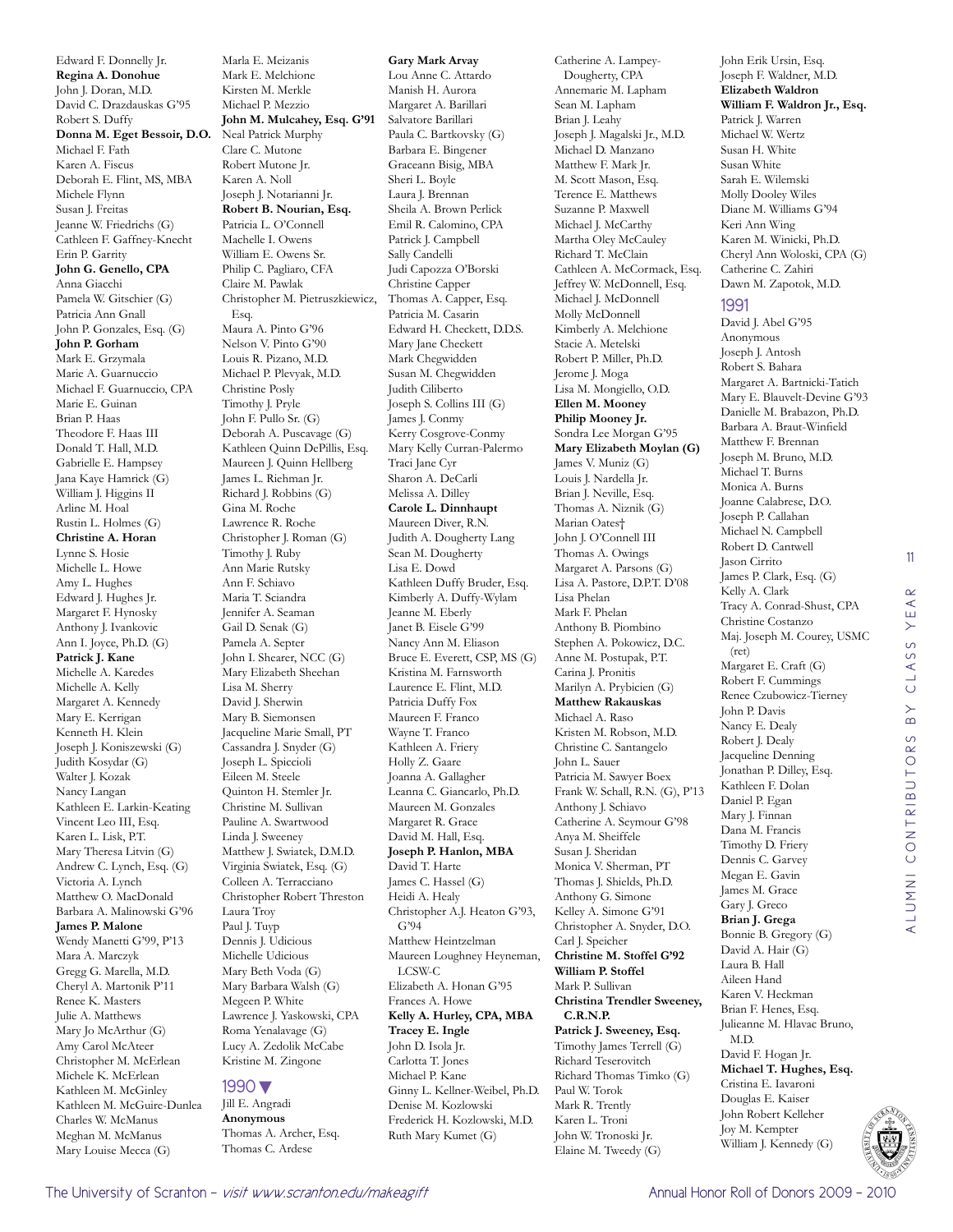Edward F. Donnelly Jr. **Regina A. Donohue** John J. Doran, M.D. David C. Drazdauskas G'95 Robert S. Duffy **Donna M. Eget Bessoir, D.O.** Neal Patrick Murphy Michael F. Fath Karen A. Fiscus Deborah E. Flint, MS, MBA Michele Flynn Susan J. Freitas Jeanne W. Friedrichs (G) Cathleen F. Gaffney-Knecht Erin P. Garrity **John G. Genello, CPA** Anna Giacchi Pamela W. Gitschier (G) Patricia Ann Gnall John P. Gonzales, Esq. (G) **John P. Gorham** Mark E. Grzymala Marie A. Guarnuccio Michael F. Guarnuccio, CPA Marie E. Guinan Brian P. Haas Theodore F. Haas III Donald T. Hall, M.D. Gabrielle E. Hampsey Jana Kaye Hamrick (G) William J. Higgins II Arline M. Hoal Rustin L. Holmes (G) **Christine A. Horan** Lynne S. Hosie Michelle L. Howe Amy L. Hughes Edward J. Hughes Jr. Margaret F. Hynosky Anthony J. Ivankovic Ann I. Joyce, Ph.D. (G) **Patrick J. Kane** Michelle A. Karedes Michelle A. Kelly Margaret A. Kennedy Mary E. Kerrigan Kenneth H. Klein Joseph J. Koniszewski (G) Judith Kosydar (G) Walter J. Kozak Nancy Langan Kathleen E. Larkin-Keating Vincent Leo III, Esq. Karen L. Lisk, P.T. Mary Theresa Litvin (G) Andrew C. Lynch, Esq. (G) Victoria A. Lynch Matthew O. MacDonald Barbara A. Malinowski G'96 **James P. Malone** Wendy Manetti G'99, P'13 Mara A. Marczyk Gregg G. Marella, M.D. Cheryl A. Martonik P'11 Renee K. Masters Julie A. Matthews Mary Jo McArthur (G) Amy Carol McAteer Christopher M. McErlean Michele K. McErlean Kathleen M. McGinley Kathleen M. McGuire-Dunlea Charles W. McManus Meghan M. McManus Mary Louise Mecca (G)

Marla E. Meizanis Mark E. Melchione Kirsten M. Merkle Michael P. Mezzio **John M. Mulcahey, Esq. G'91** Clare C. Mutone Robert Mutone Jr. Karen A. Noll Joseph J. Notarianni Jr. **Robert B. Nourian, Esq.** Patricia L. O'Connell Machelle I. Owens William E. Owens Sr. Philip C. Pagliaro, CFA Claire M. Pawlak Christopher M. Pietruszkiewicz, Esq. Maura A. Pinto G'96 Nelson V. Pinto G'90 Louis R. Pizano, M.D. Michael P. Plevyak, M.D. Christine Posly Timothy J. Pryle John F. Pullo Sr. (G) Deborah A. Puscavage (G) Kathleen Quinn DePillis, Esq. Maureen J. Quinn Hellberg James L. Riehman Jr. Richard J. Robbins (G) Gina M. Roche Lawrence R. Roche Christopher J. Roman (G) Timothy J. Ruby Ann Marie Rutsky Ann F. Schiavo Maria T. Sciandra Jennifer A. Seaman Gail D. Senak (G) Pamela A. Septer John I. Shearer, NCC (G) Mary Elizabeth Sheehan Lisa M. Sherry David J. Sherwin Mary B. Siemonsen Jacqueline Marie Small, PT Cassandra J. Snyder (G) Joseph L. Spiccioli Eileen M. Steele Quinton H. Stemler Jr. Christine M. Sullivan Pauline A. Swartwood Linda J. Sweeney Matthew J. Swiatek, D.M.D. Virginia Swiatek, Esq. (G) Colleen A. Terracciano Christopher Robert Threston Laura Troy Paul J. Tuyp Dennis J. Udicious Michelle Udicious Mary Beth Voda (G) Mary Barbara Walsh (G) Megeen P. White Lawrence J. Yaskowski, CPA Roma Yenalavage (G) Lucy A. Zedolik McCabe Kristine M. Zingone

#### 1990▼

Jill E. Angradi **Anonymous** Thomas A. Archer, Esq. Thomas C. Ardese

**Gary Mark Arvay** Lou Anne C. Attardo Manish H. Aurora Margaret A. Barillari Salvatore Barillari Paula C. Bartkovsky (G) Barbara E. Bingener Graceann Bisig, MBA Sheri L. Boyle Laura J. Brennan Sheila A. Brown Perlick Emil R. Calomino, CPA Patrick J. Campbell Sally Candelli Judi Capozza O'Borski Christine Capper Thomas A. Capper, Esq. Patricia M. Casarin Edward H. Checkett, D.D.S. Mary Jane Checkett Mark Chegwidden Susan M. Chegwidden Judith Ciliberto Joseph S. Collins III (G) James J. Conmy Kerry Cosgrove-Conmy Mary Kelly Curran-Palermo Traci Jane Cyr Sharon A. DeCarli Melissa A. Dilley **Carole L. Dinnhaupt** Maureen Diver, R.N. Judith A. Dougherty Lang Sean M. Dougherty Lisa E. Dowd Kathleen Duffy Bruder, Esq. Kimberly A. Duffy-Wylam Jeanne M. Eberly Janet B. Eisele G'99 Nancy Ann M. Eliason Bruce E. Everett, CSP, MS (G) Kristina M. Farnsworth Laurence E. Flint, M.D. Patricia Duffy Fox Maureen F. Franco Wayne T. Franco Kathleen A. Friery Holly Z. Gaare Joanna A. Gallagher Leanna C. Giancarlo, Ph.D. Maureen M. Gonzales Margaret R. Grace David M. Hall, Esq. **Joseph P. Hanlon, MBA** David T. Harte James C. Hassel (G) Heidi A. Healy Christopher A.J. Heaton G'93, G'94 Matthew Heintzelman Maureen Loughney Heyneman, LCSW-C Elizabeth A. Honan G'95 Frances A. Howe **Kelly A. Hurley, CPA, MBA Tracey E. Ingle** John D. Isola Jr. Carlotta T. Jones Michael P. Kane Ginny L. Kellner-Weibel, Ph.D. Denise M. Kozlowski Frederick H. Kozlowski, M.D. Ruth Mary Kumet (G)

Catherine A. Lampey-Dougherty, CPA Annemarie M. Lapham Sean M. Lapham Brian J. Leahy Joseph J. Magalski Jr., M.D. Michael D. Manzano Matthew F. Mark Jr. M. Scott Mason, Esq. Terence E. Matthews Suzanne P. Maxwell Michael J. McCarthy Martha Oley McCauley Richard T. McClain Cathleen A. McCormack, Esq. Jeffrey W. McDonnell, Esq. Michael J. McDonnell Molly McDonnell Kimberly A. Melchione Stacie A. Metelski Robert P. Miller, Ph.D. Jerome J. Moga Lisa M. Mongiello, O.D. **Ellen M. Mooney Philip Mooney Jr.** Sondra Lee Morgan G'95 **Mary Elizabeth Moylan (G)** James V. Muniz (G) Louis J. Nardella Jr. Brian J. Neville, Esq. Thomas A. Niznik (G) Marian Oates† John J. O'Connell III Thomas A. Owings Margaret A. Parsons (G) Lisa A. Pastore, D.P.T. D'08 Lisa Phelan Mark F. Phelan Anthony B. Piombino Stephen A. Pokowicz, D.C. Anne M. Postupak, P.T. Carina J. Pronitis Marilyn A. Prybicien (G) **Matthew Rakauskas** Michael A. Raso Kristen M. Robson, M.D. Christine C. Santangelo John L. Sauer Patricia M. Sawyer Boex Frank W. Schall, R.N. (G), P'13 Anthony J. Schiavo Catherine A. Seymour G'98 Anya M. Sheiffele Susan J. Sheridan Monica V. Sherman, PT Thomas J. Shields, Ph.D. Anthony G. Simone Kelley A. Simone G'91 Christopher A. Snyder, D.O. Carl J. Speicher **Christine M. Stoffel G'92 William P. Stoffel** Mark P. Sullivan **Christina Trendler Sweeney, C.R.N.P. Patrick J. Sweeney, Esq.** Timothy James Terrell (G) Richard Teserovitch Richard Thomas Timko (G) Paul W. Torok Mark R. Trently Karen L. Troni John W. Tronoski Jr. Elaine M. Tweedy (G)

**Elizabeth Waldron William F. Waldron Jr., Esq.** Patrick J. Warren Michael W. Wertz Susan H. White Susan White Sarah E. Wilemski Molly Dooley Wiles Diane M. Williams G'94 Keri Ann Wing Karen M. Winicki, Ph.D. Cheryl Ann Woloski, CPA (G) Catherine C. Zahiri Dawn M. Zapotok, M.D. David J. Abel G'95 Anonymous Joseph J. Antosh Robert S. Bahara Margaret A. Bartnicki-Tatich Mary E. Blauvelt-Devine G'93 Danielle M. Brabazon, Ph.D. Barbara A. Braut-Winfield Matthew F. Brennan Joseph M. Bruno, M.D. Michael T. Burns Monica A. Burns Joanne Calabrese, D.O. Joseph P. Callahan Michael N. Campbell Robert D. Cantwell Jason Cirrito James P. Clark, Esq. (G) Kelly A. Clark Tracy A. Conrad-Shust, CPA Christine Costanzo Maj. Joseph M. Courey, USMC Margaret E. Craft (G) Robert F. Cummings Renee Czubowicz-Tierney John P. Davis Nancy E. Dealy Robert J. Dealy Jacqueline Denning Jonathan P. Dilley, Esq. Kathleen F. Dolan Daniel P. Egan Mary J. Finnan Dana M. Francis Timothy D. Friery Dennis C. Garvey Megan E. Gavin James M. Grace Gary J. Greco **Brian J. Grega** Bonnie B. Gregory (G) David A. Hair (G) Laura B. Hall Aileen Hand Karen V. Heckman Brian F. Henes, Esq. Julieanne M. Hlavac Bruno,

John Erik Ursin, Esq. Joseph F. Waldner, M.D.

1991

(ret)

11

YEAR

CLASS

 $\overline{B}$ 

alumni contributors by class year

ALUMNI CONTRIBUTORS

M.D. David F. Hogan Jr. **Michael T. Hughes, Esq.** Cristina E. Iavaroni Douglas E. Kaiser John Robert Kelleher Joy M. Kempter William J. Kennedy (G)

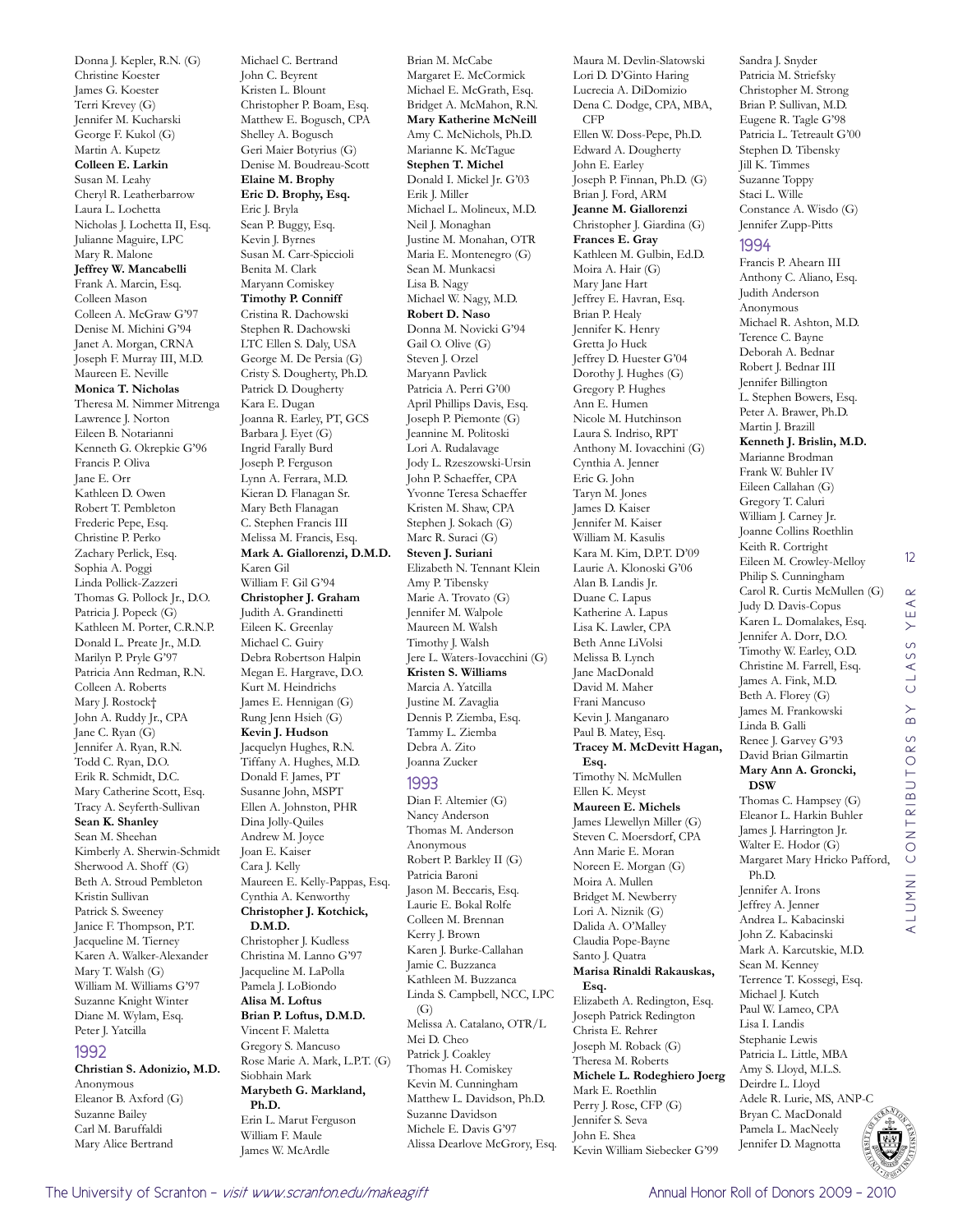Donna J. Kepler, R.N. (G) Christine Koester James G. Koester Terri Krevey (G) Jennifer M. Kucharski George F. Kukol (G) Martin A. Kupetz **Colleen E. Larkin** Susan M. Leahy Cheryl R. Leatherbarrow Laura L. Lochetta Nicholas J. Lochetta II, Esq. Julianne Maguire, LPC Mary R. Malone **Jeffrey W. Mancabelli** Frank A. Marcin, Esq. Colleen Mason Colleen A. McGraw G'97 Denise M. Michini G'94 Janet A. Morgan, CRNA Joseph F. Murray III, M.D. Maureen E. Neville **Monica T. Nicholas** Theresa M. Nimmer Mitrenga Lawrence J. Norton Eileen B. Notarianni Kenneth G. Okrepkie G'96 Francis P. Oliva Jane E. Orr Kathleen D. Owen Robert T. Pembleton Frederic Pepe, Esq. Christine P. Perko Zachary Perlick, Esq. Sophia A. Poggi Linda Pollick-Zazzeri Thomas G. Pollock Jr., D.O. Patricia J. Popeck (G) Kathleen M. Porter, C.R.N.P. Donald L. Preate Jr., M.D. Marilyn P. Pryle G'97 Patricia Ann Redman, R.N. Colleen A. Roberts Mary J. Rostock† John A. Ruddy Jr., CPA Jane C. Ryan (G) Jennifer A. Ryan, R.N. Todd C. Ryan, D.O. Erik R. Schmidt, D.C. Mary Catherine Scott, Esq. Tracy A. Seyferth-Sullivan **Sean K. Shanley** Sean M. Sheehan Kimberly A. Sherwin-Schmidt Sherwood A. Shoff (G) Beth A. Stroud Pembleton Kristin Sullivan Patrick S. Sweeney Janice F. Thompson, P.T. Jacqueline M. Tierney Karen A. Walker-Alexander Mary T. Walsh (G) William M. Williams G'97 Suzanne Knight Winter Diane M. Wylam, Esq. Peter J. Yatcilla 1992 **Christian S. Adonizio, M.D.**

Anonymous Eleanor B. Axford (G) Suzanne Bailey Carl M. Baruffaldi Mary Alice Bertrand

Michael C. Bertrand John C. Beyrent Kristen L. Blount Christopher P. Boam, Esq. Matthew E. Bogusch, CPA Shelley A. Bogusch Geri Maier Botyrius (G) Denise M. Boudreau-Scott **Elaine M. Brophy Eric D. Brophy, Esq.** Eric J. Bryla Sean P. Buggy, Esq. Kevin J. Byrnes Susan M. Carr-Spiccioli Benita M. Clark Maryann Comiskey **Timothy P. Conniff** Cristina R. Dachowski Stephen R. Dachowski LTC Ellen S. Daly, USA George M. De Persia (G) Cristy S. Dougherty, Ph.D. Patrick D. Dougherty Kara E. Dugan Joanna R. Earley, PT, GCS Barbara J. Eyet (G) Ingrid Farally Burd Joseph P. Ferguson Lynn A. Ferrara, M.D. Kieran D. Flanagan Sr. Mary Beth Flanagan C. Stephen Francis III Melissa M. Francis, Esq. **Mark A. Giallorenzi, D.M.D.** Karen Gil William F. Gil G'94 **Christopher J. Graham** Judith A. Grandinetti Eileen K. Greenlay Michael C. Guiry Debra Robertson Halpin Megan E. Hargrave, D.O. Kurt M. Heindrichs James E. Hennigan (G) Rung Jenn Hsieh (G) **Kevin J. Hudson** Jacquelyn Hughes, R.N. Tiffany A. Hughes, M.D. Donald F. James, PT Susanne John, MSPT Ellen A. Johnston, PHR Dina Jolly-Quiles Andrew M. Joyce Joan E. Kaiser Cara J. Kelly Maureen E. Kelly-Pappas, Esq. Cynthia A. Kenworthy **Christopher J. Kotchick, D.M.D.** Christopher J. Kudless Christina M. Lanno G'97 Jacqueline M. LaPolla Pamela J. LoBiondo **Alisa M. Loftus Brian P. Loftus, D.M.D.** Vincent F. Maletta Gregory S. Mancuso Rose Marie A. Mark, L.P.T. (G) Siobhain Mark

**Marybeth G. Markland,**  Erin L. Marut Ferguson William F. Maule James W. McArdle

Brian M. McCabe Margaret E. McCormick Michael E. McGrath, Esq. Bridget A. McMahon, R.N. **Mary Katherine McNeill** Amy C. McNichols, Ph.D. Marianne K. McTague **Stephen T. Michel** Donald I. Mickel Jr. G'03 Erik J. Miller Michael L. Molineux, M.D. Neil J. Monaghan Justine M. Monahan, OTR Maria E. Montenegro (G) Sean M. Munkacsi Lisa B. Nagy Michael W. Nagy, M.D. **Robert D. Naso** Donna M. Novicki G'94 Gail O. Olive (G) Steven J. Orzel Maryann Pavlick Patricia A. Perri G'00 April Phillips Davis, Esq. Joseph P. Piemonte (G) Jeannine M. Politoski Lori A. Rudalavage Jody L. Rzeszowski-Ursin John P. Schaeffer, CPA Yvonne Teresa Schaeffer Kristen M. Shaw, CPA Stephen J. Sokach (G) Marc R. Suraci (G) **Steven J. Suriani** Elizabeth N. Tennant Klein Amy P. Tibensky Marie A. Trovato (G) Jennifer M. Walpole Maureen M. Walsh Timothy J. Walsh Jere L. Waters-Iovacchini (G) **Kristen S. Williams** Marcia A. Yatcilla Justine M. Zavaglia Dennis P. Ziemba, Esq. Tammy L. Ziemba Debra A. Zito Joanna Zucker 1993 Dian F. Altemier (G) Nancy Anderson Thomas M. Anderson Anonymous Robert P. Barkley II (G) Patricia Baroni Jason M. Beccaris, Esq. Laurie E. Bokal Rolfe Colleen M. Brennan Kerry J. Brown Karen J. Burke-Callahan Jamie C. Buzzanca Kathleen M. Buzzanca Linda S. Campbell, NCC, LPC (G) Melissa A. Catalano, OTR/L Mei D. Cheo Patrick J. Coakley Thomas H. Comiskey Kevin M. Cunningham Matthew L. Davidson, Ph.D. Suzanne Davidson Michele E. Davis G'97 Alissa Dearlove McGrory, Esq.

Maura M. Devlin-Slatowski Lori D. D'Ginto Haring Lucrecia A. DiDomizio Dena C. Dodge, CPA, MBA, CFP Ellen W. Doss-Pepe, Ph.D. Edward A. Dougherty John E. Earley Joseph P. Finnan, Ph.D. (G) Brian J. Ford, ARM **Jeanne M. Giallorenzi** Christopher J. Giardina (G) **Frances E. Gray** Kathleen M. Gulbin, Ed.D. Moira A. Hair (G) Mary Jane Hart Jeffrey E. Havran, Esq. Brian P. Healy Jennifer K. Henry Gretta Jo Huck Jeffrey D. Huester G'04 Dorothy J. Hughes (G) Gregory P. Hughes Ann E. Humen Nicole M. Hutchinson Laura S. Indriso, RPT Anthony M. Iovacchini (G) Cynthia A. Jenner Eric G. John Taryn M. Jones James D. Kaiser Jennifer M. Kaiser William M. Kasulis Kara M. Kim, D.P.T. D'09 Laurie A. Klonoski G'06 Alan B. Landis Jr. Duane C. Lapus Katherine A. Lapus Lisa K. Lawler, CPA Beth Anne LiVolsi Melissa B. Lynch Jane MacDonald David M. Maher Frani Mancuso Kevin J. Manganaro Paul B. Matey, Esq. **Tracey M. McDevitt Hagan, Esq.** Timothy N. McMullen Ellen K. Meyst **Maureen E. Michels** James Llewellyn Miller (G) Steven C. Moersdorf, CPA Ann Marie E. Moran Noreen E. Morgan (G) Moira A. Mullen Bridget M. Newberry Lori A. Niznik (G) Dalida A. O'Malley Claudia Pope-Bayne Santo J. Quatra **Marisa Rinaldi Rakauskas, Esq.** Elizabeth A. Redington, Esq. Joseph Patrick Redington Christa E. Rehrer Joseph M. Roback (G) Theresa M. Roberts **Michele L. Rodeghiero Joerg** Mark E. Roethlin Perry J. Rose, CFP (G) Jennifer S. Seva John E. Shea Kevin William Siebecker G'99

Sandra J. Snyder Patricia M. Striefsky Christopher M. Strong Brian P. Sullivan, M.D. Eugene R. Tagle G'98 Patricia L. Tetreault G'00 Stephen D. Tibensky Jill K. Timmes Suzanne Toppy Staci L. Wille Constance A. Wisdo (G) Jennifer Zupp-Pitts

#### 1994

Francis P. Ahearn III Anthony C. Aliano, Esq. Judith Anderson Anonymous Michael R. Ashton, M.D. Terence C. Bayne Deborah A. Bednar Robert J. Bednar III Jennifer Billington L. Stephen Bowers, Esq. Peter A. Brawer, Ph.D. Martin J. Brazill **Kenneth J. Brislin, M.D.** Marianne Brodman Frank W. Buhler IV Eileen Callahan (G) Gregory T. Caluri William J. Carney Jr. Joanne Collins Roethlin Keith R. Cortright Eileen M. Crowley-Melloy Philip S. Cunningham Carol R. Curtis McMullen (G) Judy D. Davis-Copus Karen L. Domalakes, Esq. Jennifer A. Dorr, D.O. Timothy W. Earley, O.D. Christine M. Farrell, Esq. James A. Fink, M.D. Beth A. Florey (G) James M. Frankowski Linda B. Galli Renee J. Garvey G'93 David Brian Gilmartin **Mary Ann A. Groncki, DSW** Thomas C. Hampsey (G) Eleanor L. Harkin Buhler James J. Harrington Jr. Walter E. Hodor (G) Margaret Mary Hricko Pafford, Ph.D. Jennifer A. Irons Jeffrey A. Jenner Andrea L. Kabacinski John Z. Kabacinski Mark A. Karcutskie, M.D. Sean M. Kenney Terrence T. Kossegi, Esq. Michael I. Kutch Paul W. Lameo, CPA Lisa I. Landis Stephanie Lewis Patricia L. Little, MBA Amy S. Lloyd, M.L.S. Deirdre L. Lloyd Adele R. Lurie, MS, ANP-C Bryan C. MacDonald Pamela L. MacNeely

12

 $\alpha$  $\prec$ Ш  $\left. \right\rangle$  $\circ$ CLASS

alumni contributors by class year

CONTRIBUTORS

ALUMNI

 $\overline{B}$ 



**Ph.D.**

Jennifer D. Magnotta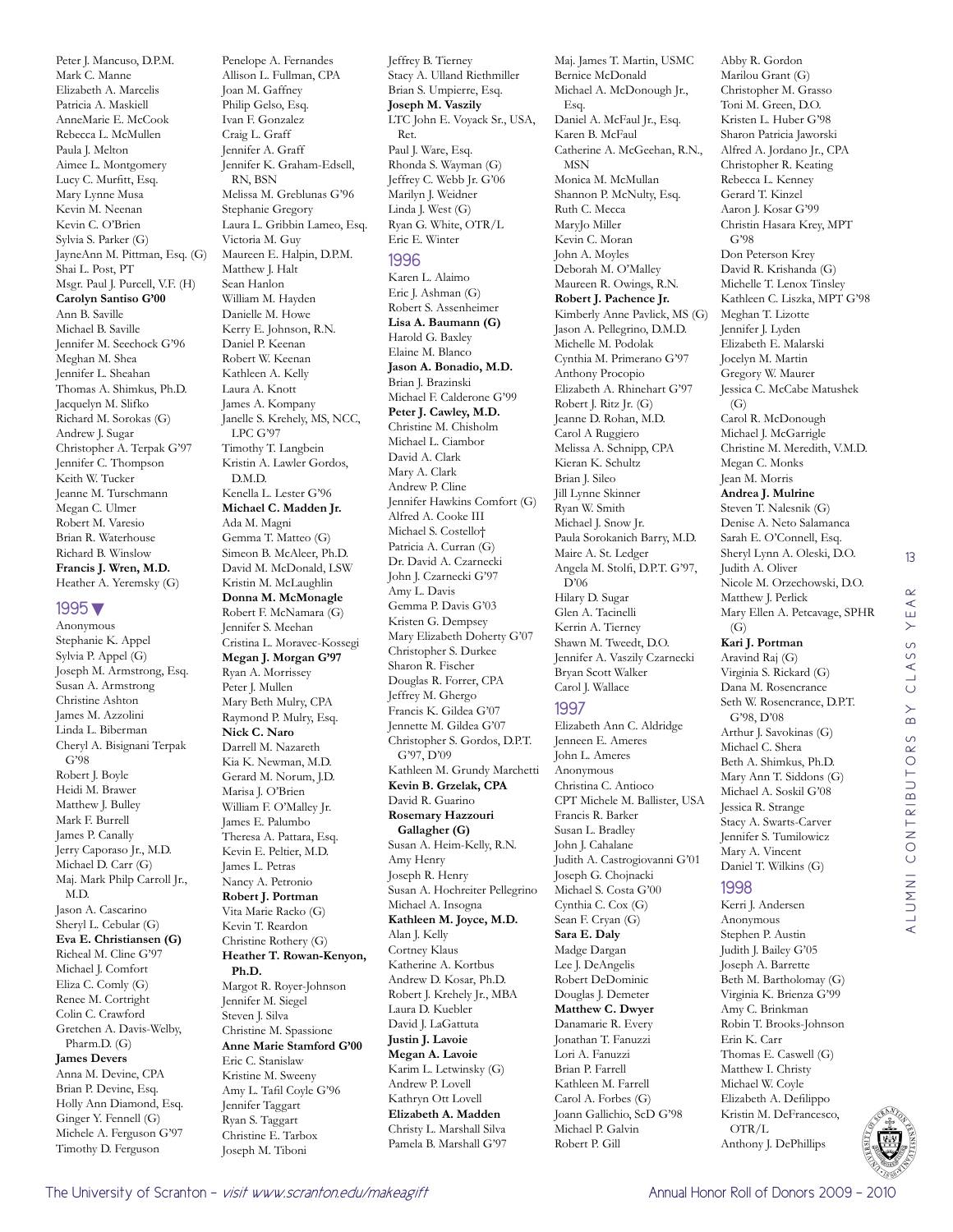Peter J. Mancuso, D.P.M. Mark C. Manne Elizabeth A. Marcelis Patricia A. Maskiell AnneMarie E. McCook Rebecca L. McMullen Paula J. Melton Aimee L. Montgomery Lucy C. Murfitt, Esq. Mary Lynne Musa Kevin M. Neenan Kevin C. O'Brien Sylvia S. Parker (G) JayneAnn M. Pittman, Esq. (G) Shai L. Post, PT Msgr. Paul J. Purcell, V.F. (H) **Carolyn Santiso G'00** Ann B. Saville Michael B. Saville Jennifer M. Seechock G'96 Meghan M. Shea Jennifer L. Sheahan Thomas A. Shimkus, Ph.D. Jacquelyn M. Slifko Richard M. Sorokas (G) Andrew J. Sugar Christopher A. Terpak G'97 Jennifer C. Thompson Keith W. Tucker Jeanne M. Turschmann Megan C. Ulmer Robert M. Varesio Brian R. Waterhouse Richard B. Winslow **Francis J. Wren, M.D.** Heather A. Yeremsky (G)

#### 1995▼

Anonymous Stephanie K. Appel Sylvia P. Appel (G) Joseph M. Armstrong, Esq. Susan A. Armstrong Christine Ashton James M. Azzolini Linda L. Biberman Cheryl A. Bisignani Terpak G'98 Robert J. Boyle Heidi M. Brawer Matthew J. Bulley Mark F. Burrell James P. Canally Jerry Caporaso Jr., M.D. Michael D. Carr (G) Maj. Mark Philp Carroll Jr., M.D. Jason A. Cascarino Sheryl L. Cebular (G) **Eva E. Christiansen (G)** Richeal M. Cline G'97 Michael J. Comfort Eliza C. Comly (G) Renee M. Cortright Colin C. Crawford Gretchen A. Davis-Welby, Pharm.D. (G) **James Devers** Anna M. Devine, CPA Brian P. Devine, Esq. Holly Ann Diamond, Esq. Ginger Y. Fennell (G) Michele A. Ferguson G'97 Timothy D. Ferguson

Allison L. Fullman, CPA Joan M. Gaffney Philip Gelso, Esq. Ivan F. Gonzalez Craig L. Graff Jennifer A. Graff Jennifer K. Graham-Edsell, RN, BSN Melissa M. Greblunas G'96 Stephanie Gregory Laura L. Gribbin Lameo, Esq. Victoria M. Guy Maureen E. Halpin, D.P.M. Matthew J. Halt Sean Hanlon William M. Hayden Danielle M. Howe Kerry E. Johnson, R.N. Daniel P. Keenan Robert W. Keenan Kathleen A. Kelly Laura A. Knott James A. Kompany Janelle S. Krehely, MS, NCC, LPC G'97 Timothy T. Langbein Kristin A. Lawler Gordos, D.M.D. Kenella L. Lester G'96 **Michael C. Madden Jr.** Ada M. Magni Gemma T. Matteo (G) Simeon B. McAleer, Ph.D. David M. McDonald, LSW Kristin M. McLaughlin **Donna M. McMonagle** Robert F. McNamara (G) Jennifer S. Meehan Cristina L. Moravec-Kossegi **Megan J. Morgan G'97** Ryan A. Morrissey Peter J. Mullen Mary Beth Mulry, CPA Raymond P. Mulry, Esq. **Nick C. Naro** Darrell M. Nazareth Kia K. Newman, M.D. Gerard M. Norum, J.D. Marisa J. O'Brien William F. O'Malley Jr. James E. Palumbo Theresa A. Pattara, Esq. Kevin E. Peltier, M.D. James L. Petras Nancy A. Petronio **Robert J. Portman** Vita Marie Racko (G) Kevin T. Reardon Christine Rothery (G) **Heather T. Rowan-Kenyon, Ph.D.** Margot R. Royer-Johnson Jennifer M. Siegel Steven J. Silva Christine M. Spassione **Anne Marie Stamford G'00** Eric C. Stanislaw Kristine M. Sweeny Amy L. Tafil Coyle G'96 Jennifer Taggart Ryan S. Taggart Christine E. Tarbox Joseph M. Tiboni

Penelope A. Fernandes

Jeffrey B. Tierney Stacy A. Ulland Riethmiller Brian S. Umpierre, Esq. **Joseph M. Vaszily** LTC John E. Voyack Sr., USA, Ret. Paul J. Ware, Esq. Rhonda S. Wayman (G) Jeffrey C. Webb Jr. G'06 Marilyn J. Weidner Linda J. West (G) Ryan G. White, OTR/L Eric E. Winter 1996 Karen L. Alaimo Eric J. Ashman (G) Robert S. Assenheimer **Lisa A. Baumann (G)** Harold G. Baxley Elaine M. Blanco **Jason A. Bonadio, M.D.** Brian J. Brazinski Michael F. Calderone G'99 **Peter J. Cawley, M.D.** Christine M. Chisholm Michael L. Ciambor David A. Clark Mary A. Clark Andrew P. Cline Jennifer Hawkins Comfort (G) Alfred A. Cooke III Michael S. Costello† Patricia A. Curran (G) Dr. David A. Czarnecki John J. Czarnecki G'97 Amy L. Davis Gemma P. Davis G'03 Kristen G. Dempsey Mary Elizabeth Doherty G'07 Christopher S. Durkee Sharon R. Fischer Douglas R. Forrer, CPA Jeffrey M. Ghergo Francis K. Gildea G'07 Jennette M. Gildea G'07 Christopher S. Gordos, D.P.T. G'97, D'09 Kathleen M. Grundy Marchetti **Kevin B. Grzelak, CPA** David R. Guarino **Rosemary Hazzouri Gallagher (G)** Susan A. Heim-Kelly, R.N. Amy Henry Joseph R. Henry Susan A. Hochreiter Pellegrino Michael A. Insogna **Kathleen M. Joyce, M.D.** Alan J. Kelly Cortney Klaus Katherine A. Kortbus Andrew D. Kosar, Ph.D. Robert J. Krehely Jr., MBA Laura D. Kuebler David I. LaGattuta **Justin J. Lavoie Megan A. Lavoie** Karim L. Letwinsky (G) Andrew P. Lovell Kathryn Ott Lovell **Elizabeth A. Madden** Christy L. Marshall Silva Pamela B. Marshall G'97

Maj. James T. Martin, USMC Bernice McDonald Michael A. McDonough Jr., Esq. Daniel A. McFaul Jr., Esq. Karen B. McFaul Catherine A. McGeehan, R.N., MSN Monica M. McMullan Shannon P. McNulty, Esq. Ruth C. Mecca MaryJo Miller Kevin C. Moran John A. Moyles Deborah M. O'Malley Maureen R. Owings, R.N. **Robert J. Pachence Jr.** Kimberly Anne Pavlick, MS (G) Jason A. Pellegrino, D.M.D. Michelle M. Podolak Cynthia M. Primerano G'97 Anthony Procopio Elizabeth A. Rhinehart G'97 Robert J. Ritz Jr. (G) Jeanne D. Rohan, M.D. Carol A Ruggiero Melissa A. Schnipp, CPA Kieran K. Schultz Brian J. Sileo Jill Lynne Skinner Ryan W. Smith Michael J. Snow Jr. Paula Sorokanich Barry, M.D. Maire A. St. Ledger Angela M. Stolfi, D.P.T. G'97, D'06 Hilary D. Sugar Glen A. Tacinelli Kerrin A. Tierney Shawn M. Tweedt, D.O. Jennifer A. Vaszily Czarnecki Bryan Scott Walker Carol J. Wallace 1997 Elizabeth Ann C. Aldridge

Jenneen E. Ameres John L. Ameres Anonymous Christina C. Antioco CPT Michele M. Ballister, USA Francis R. Barker Susan L. Bradley John J. Cahalane Judith A. Castrogiovanni G'01 Joseph G. Chojnacki Michael S. Costa G'00 Cynthia C. Cox (G) Sean F. Cryan (G) **Sara E. Daly** Madge Dargan Lee J. DeAngelis Robert DeDominic Douglas J. Demeter **Matthew C. Dwyer** Danamarie R. Every Jonathan T. Fanuzzi Lori A. Fanuzzi Brian P. Farrell Kathleen M. Farrell Carol A. Forbes (G) Joann Gallichio, ScD G'98 Michael P. Galvin Robert P. Gill

Abby R. Gordon Marilou Grant (G) Christopher M. Grasso Toni M. Green, D.O. Kristen L. Huber G'98 Sharon Patricia Jaworski Alfred A. Jordano Jr., CPA Christopher R. Keating Rebecca L. Kenney Gerard T. Kinzel Aaron J. Kosar G'99 Christin Hasara Krey, MPT G'98 Don Peterson Krey David R. Krishanda (G) Michelle T. Lenox Tinsley Kathleen C. Liszka, MPT G'98 Meghan T. Lizotte Jennifer J. Lyden Elizabeth E. Malarski Jocelyn M. Martin Gregory W. Maurer Jessica C. McCabe Matushek  $\left( G\right)$ Carol R. McDonough Michael J. McGarrigle Christine M. Meredith, V.M.D. Megan C. Monks Jean M. Morris **Andrea J. Mulrine** Steven T. Nalesnik (G) Denise A. Neto Salamanca Sarah E. O'Connell, Esq. Sheryl Lynn A. Oleski, D.O. Judith A. Oliver Nicole M. Orzechowski, D.O. Matthew J. Perlick Mary Ellen A. Petcavage, SPHR  $(G)$ **Kari J. Portman** Aravind Raj (G) Virginia S. Rickard (G) Dana M. Rosencrance Seth W. Rosencrance, D.P.T. G'98, D'08 Arthur J. Savokinas (G) Michael C. Shera Beth A. Shimkus, Ph.D. Mary Ann T. Siddons (G) Michael A. Soskil G'08 Jessica R. Strange Stacy A. Swarts-Carver Jennifer S. Tumilowicz Mary A. Vincent

13

 $\alpha$  $\prec$ YE,

CLASS

 $\overline{B}$ 

alumni contributors by class year

ALUMNI CONTRIBUTORS

#### 1998

Daniel T. Wilkins (G)

Kerri J. Andersen Anonymous Stephen P. Austin Judith J. Bailey G'05 Joseph A. Barrette Beth M. Bartholomay (G) Virginia K. Brienza G'99 Amy C. Brinkman Robin T. Brooks-Johnson Erin K. Carr Thomas E. Caswell (G) Matthew I. Christy Michael W. Coyle Elizabeth A. Defilippo Kristin M. DeFrancesco, OTR/L Anthony J. DePhillips

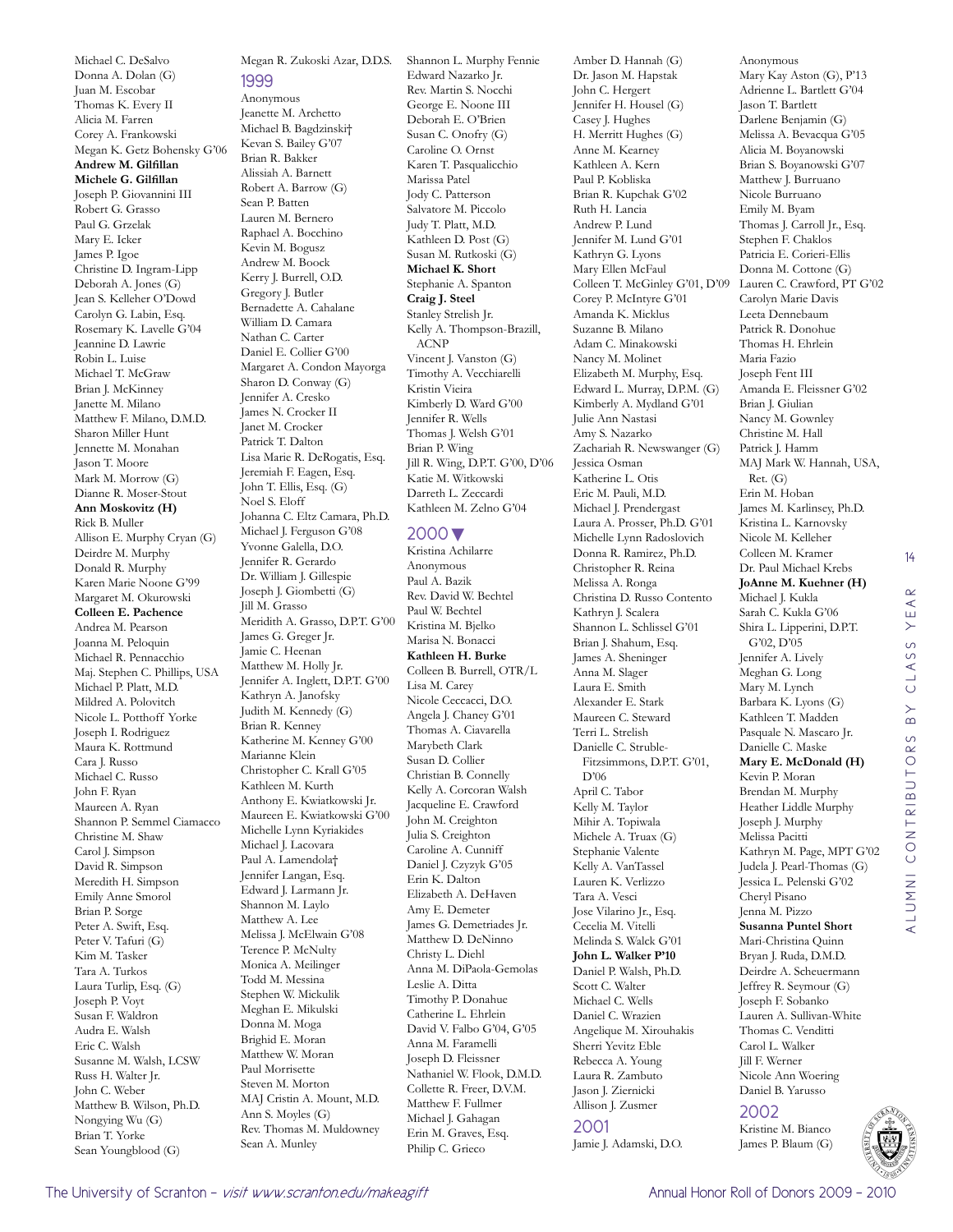Michael C. DeSalvo Donna A. Dolan (G) Juan M. Escobar Thomas K. Every II Alicia M. Farren Corey A. Frankowski Megan K. Getz Bohensky G'06 **Andrew M. Gilfillan Michele G. Gilfillan** Joseph P. Giovannini III Robert G. Grasso Paul G. Grzelak Mary E. Icker James P. Igoe Christine D. Ingram-Lipp Deborah A. Jones (G) Jean S. Kelleher O'Dowd Carolyn G. Labin, Esq. Rosemary K. Lavelle G'04 Jeannine D. Lawrie Robin L. Luise Michael T. McGraw Brian J. McKinney Janette M. Milano Matthew F. Milano, D.M.D. Sharon Miller Hunt Jennette M. Monahan Jason T. Moore Mark M. Morrow (G) Dianne R. Moser-Stout **Ann Moskovitz (H)** Rick B. Muller Allison E. Murphy Cryan (G) Deirdre M. Murphy Donald R. Murphy Karen Marie Noone G'99 Margaret M. Okurowski **Colleen E. Pachence** Andrea M. Pearson Joanna M. Peloquin Michael R. Pennacchio Maj. Stephen C. Phillips, USA Michael P. Platt, M.D. Mildred A. Polovitch Nicole L. Potthoff Yorke Joseph I. Rodriguez Maura K. Rottmund Cara J. Russo Michael C. Russo John F. Ryan Maureen A. Ryan Shannon P. Semmel Ciamacco Christine M. Shaw Carol J. Simpson David R. Simpson Meredith H. Simpson Emily Anne Smorol Brian P. Sorge Peter A. Swift, Esq. Peter V. Tafuri (G) Kim M. Tasker Tara A. Turkos Laura Turlip, Esq. (G) Joseph P. Voyt Susan F. Waldron Audra E. Walsh Eric C. Walsh Susanne M. Walsh, LCSW Russ H. Walter Jr. John C. Weber Matthew B. Wilson, Ph.D. Nongying Wu (G) Brian T. Yorke Sean Youngblood (G)

### Megan R. Zukoski Azar, D.D.S. 1999

Anonymous Jeanette M. Archetto Michael B. Bagdzinski† Kevan S. Bailey G'07 Brian R. Bakker Alissiah A. Barnett Robert A. Barrow (G) Sean P. Batten Lauren M. Bernero Raphael A. Bocchino Kevin M. Bogusz Andrew M. Boock Kerry J. Burrell, O.D. Gregory J. Butler Bernadette A. Cahalane William D. Camara Nathan C. Carter Daniel E. Collier G'00 Margaret A. Condon Mayorga Sharon D. Conway (G) Jennifer A. Cresko James N. Crocker II Janet M. Crocker Patrick T. Dalton Lisa Marie R. DeRogatis, Esq. Jeremiah F. Eagen, Esq. John T. Ellis, Esq. (G) Noel S. Eloff Johanna C. Eltz Camara, Ph.D. Michael J. Ferguson G'08 Yvonne Galella, D.O. Jennifer R. Gerardo Dr. William J. Gillespie Joseph J. Giombetti (G) Jill M. Grasso Meridith A. Grasso, D.P.T. G'00 James G. Greger Jr. Jamie C. Heenan Matthew M. Holly Jr. Jennifer A. Inglett, D.P.T. G'00 Kathryn A. Janofsky Judith M. Kennedy (G) Brian R. Kenney Katherine M. Kenney G'00 Marianne Klein Christopher C. Krall G'05 Kathleen M. Kurth Anthony E. Kwiatkowski Jr. Maureen E. Kwiatkowski G'00 Michelle Lynn Kyriakides Michael J. Lacovara Paul A. Lamendola† Jennifer Langan, Esq. Edward J. Larmann Jr. Shannon M. Laylo Matthew A. Lee Melissa J. McElwain G'08 Terence P. McNulty Monica A. Meilinger Todd M. Messina Stephen W. Mickulik Meghan E. Mikulski Donna M. Moga Brighid E. Moran Matthew W. Moran Paul Morrisette Steven M. Morton MAJ Cristin A. Mount, M.D. Ann S. Moyles (G) Rev. Thomas M. Muldowney Sean A. Munley

Shannon L. Murphy Fennie Edward Nazarko Jr. Rev. Martin S. Nocchi George E. Noone III Deborah E. O'Brien Susan C. Onofry (G) Caroline O. Ornst Karen T. Pasqualicchio Marissa Patel Jody C. Patterson Salvatore M. Piccolo Judy T. Platt, M.D. Kathleen D. Post (G) Susan M. Rutkoski (G) **Michael K. Short** Stephanie A. Spanton **Craig J. Steel** Stanley Strelish Jr. Kelly A. Thompson-Brazill, ACNP Vincent J. Vanston (G) Timothy A. Vecchiarelli Kristin Vieira Kimberly D. Ward G'00 Jennifer R. Wells Thomas J. Welsh G'01 Brian P. Wing Jill R. Wing, D.P.T. G'00, D'06 Katie M. Witkowski Darreth L. Zeccardi Kathleen M. Zelno G'04

#### 2000▼

Kristina Achilarre Anonymous Paul A. Bazik Rev. David W. Bechtel Paul W. Bechtel Kristina M. Bjelko Marisa N. Bonacci **Kathleen H. Burke** Colleen B. Burrell, OTR/L Lisa M. Carey Nicole Ceccacci, D.O. Angela J. Chaney G'01 Thomas A. Ciavarella Marybeth Clark Susan D. Collier Christian B. Connelly Kelly A. Corcoran Walsh Jacqueline E. Crawford John M. Creighton Julia S. Creighton Caroline A. Cunniff Daniel J. Czyzyk G'05 Erin K. Dalton Elizabeth A. DeHaven Amy E. Demeter James G. Demetriades Jr. Matthew D. DeNinno Christy L. Diehl Anna M. DiPaola-Gemolas Leslie A. Ditta Timothy P. Donahue Catherine L. Ehrlein David V. Falbo G'04, G'05 Anna M. Faramelli Joseph D. Fleissner Nathaniel W. Flook, D.M.D. Collette R. Freer, D.V.M. Matthew F. Fullmer Michael J. Gahagan Erin M. Graves, Esq. Philip C. Grieco

Amber D. Hannah (G) Dr. Jason M. Hapstak John C. Hergert Jennifer H. Housel (G) Casey J. Hughes H. Merritt Hughes (G) Anne M. Kearney Kathleen A. Kern Paul P. Kobliska Brian R. Kupchak G'02 Ruth H. Lancia Andrew P. Lund Jennifer M. Lund G'01 Kathryn G. Lyons Mary Ellen McFaul Corey P. McIntyre G'01 Amanda K. Micklus Suzanne B. Milano Adam C. Minakowski Nancy M. Molinet Elizabeth M. Murphy, Esq. Edward L. Murray, D.P.M. (G) Kimberly A. Mydland G'01 Julie Ann Nastasi Amy S. Nazarko Zachariah R. Newswanger (G) Jessica Osman Katherine L. Otis Eric M. Pauli, M.D. Michael J. Prendergast Laura A. Prosser, Ph.D. G'01 Michelle Lynn Radoslovich Donna R. Ramirez, Ph.D. Christopher R. Reina Melissa A. Ronga Christina D. Russo Contento Kathryn J. Scalera Shannon L. Schlissel G'01 Brian J. Shahum, Esq. James A. Sheninger Anna M. Slager Laura E. Smith Alexander E. Stark Maureen C. Steward Terri L. Strelish Danielle C. Struble-Fitzsimmons, D.P.T. G'01, D'06 April C. Tabor Kelly M. Taylor Mihir A. Topiwala Michele A. Truax (G) Stephanie Valente Kelly A. VanTassel Lauren K. Verlizzo Tara A. Vesci Jose Vilarino Jr., Esq. Cecelia M. Vitelli Melinda S. Walck G'01 **John L. Walker P'10** Daniel P. Walsh, Ph.D. Scott C. Walter Michael C. Wells Daniel C. Wrazien Angelique M. Xirouhakis Sherri Yevitz Eble Rebecca A. Young Laura R. Zambuto Jason J. Ziernicki Allison J. Zusmer 2001

Jamie J. Adamski, D.O.

Colleen T. McGinley G'01, D'09 Lauren C. Crawford, PT G'02 Anonymous Mary Kay Aston (G), P'13 Adrienne L. Bartlett G'04 Jason T. Bartlett Darlene Benjamin (G) Melissa A. Bevacqua G'05 Alicia M. Boyanowski Brian S. Boyanowski G'07 Matthew J. Burruano Nicole Burruano Emily M. Byam Thomas J. Carroll Jr., Esq. Stephen F. Chaklos Patricia E. Corieri-Ellis Donna M. Cottone (G) Carolyn Marie Davis Leeta Dennebaum Patrick R. Donohue Thomas H. Ehrlein Maria Fazio Joseph Fent III Amanda E. Fleissner G'02 Brian J. Giulian Nancy M. Gownley Christine M. Hall Patrick J. Hamm MAJ Mark W. Hannah, USA, Ret. (G) Erin M. Hoban James M. Karlinsey, Ph.D. Kristina L. Karnovsky Nicole M. Kelleher Colleen M. Kramer Dr. Paul Michael Krebs **JoAnne M. Kuehner (H)** Michael J. Kukla Sarah C. Kukla G'06 Shira L. Lipperini, D.P.T. G'02, D'05 Jennifer A. Lively Meghan G. Long Mary M. Lynch Barbara K. Lyons (G) Kathleen T. Madden Pasquale N. Mascaro Jr. Danielle C. Maske **Mary E. McDonald (H)** Kevin P. Moran Brendan M. Murphy Heather Liddle Murphy Joseph J. Murphy Melissa Pacitti Kathryn M. Page, MPT G'02 Judela J. Pearl-Thomas (G) Jessica L. Pelenski G'02 Cheryl Pisano Jenna M. Pizzo **Susanna Puntel Short** Mari-Christina Quinn Bryan J. Ruda, D.M.D. Deirdre A. Scheuermann Jeffrey R. Seymour (G) Joseph F. Sobanko Lauren A. Sullivan-White Thomas C. Venditti Carol L. Walker Jill F. Werner Nicole Ann Woering

14

 $\mathbb{R}$ YEI

CLASS

 $\overline{B}$ 

alumni contributors by class year

ALUMNI CONTRIBUTORS

Daniel B. Yarusso 2002

Kristine M. Bianco James P. Blaum (G)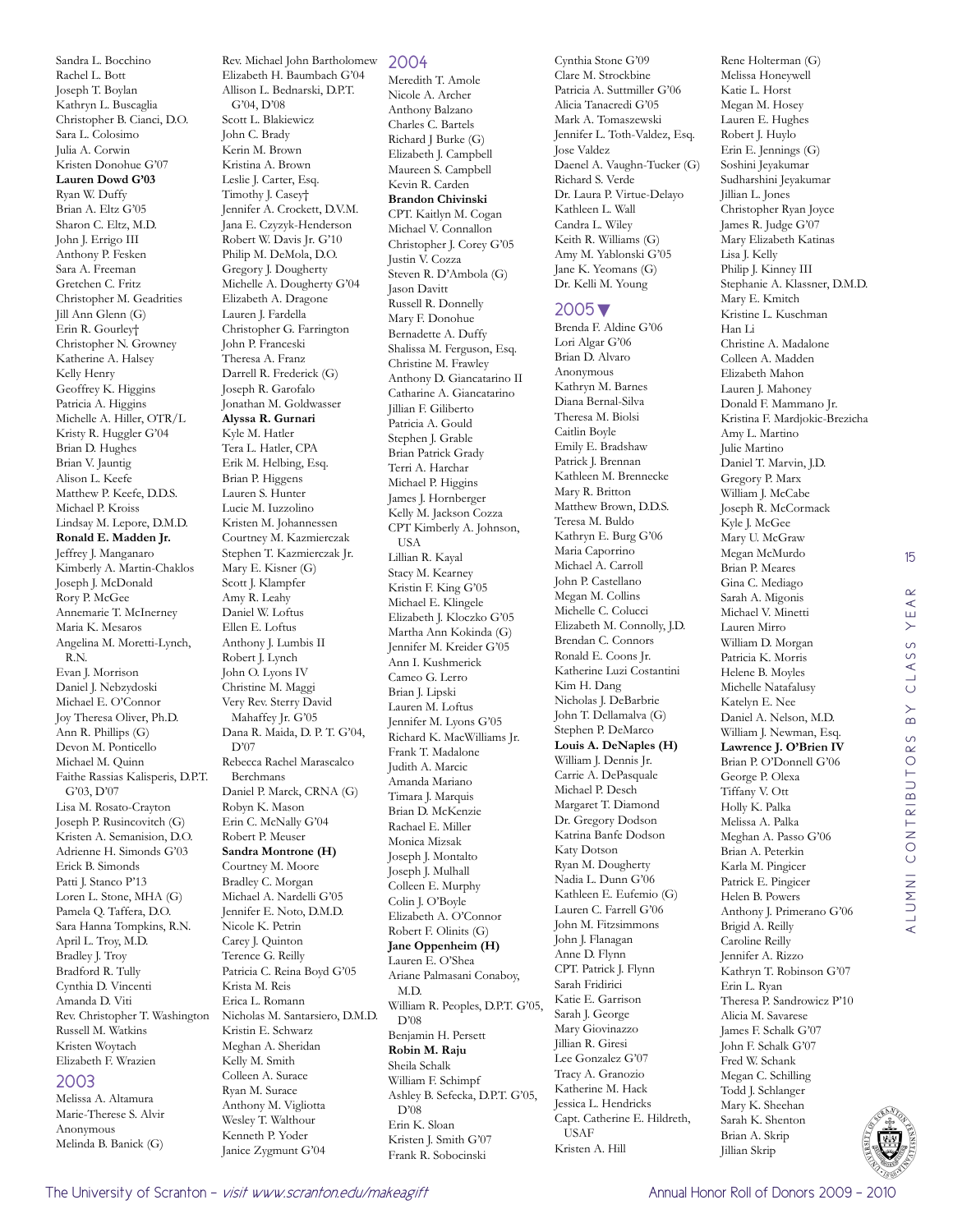Sandra L. Bocchino Rachel L. Bott Joseph T. Boylan Kathryn L. Buscaglia Christopher B. Cianci, D.O. Sara L. Colosimo Julia A. Corwin Kristen Donohue G'07 **Lauren Dowd G'03** Ryan W. Duffy Brian A. Eltz G'05 Sharon C. Eltz, M.D. John J. Errigo III Anthony P. Fesken Sara A. Freeman Gretchen C. Fritz Christopher M. Geadrities Jill Ann Glenn (G) Erin R. Gourley† Christopher N. Growney Katherine A. Halsey Kelly Henry Geoffrey K. Higgins Patricia A. Higgins Michelle A. Hiller, OTR/L Kristy R. Huggler G'04 Brian D. Hughes Brian V. Jauntig Alison L. Keefe Matthew P. Keefe, D.D.S. Michael P. Kroiss Lindsay M. Lepore, D.M.D. **Ronald E. Madden Jr.** Jeffrey J. Manganaro Kimberly A. Martin-Chaklos Joseph J. McDonald Rory P. McGee Annemarie T. McInerney Maria K. Mesaros Angelina M. Moretti-Lynch, R.N. Evan J. Morrison Daniel J. Nebzydoski Michael E. O'Connor Joy Theresa Oliver, Ph.D. Ann R. Phillips (G) Devon M. Ponticello Michael M. Quinn Faithe Rassias Kalisperis, D.P.T. G'03, D'07 Lisa M. Rosato-Crayton Joseph P. Rusincovitch (G) Kristen A. Semanision, D.O. Adrienne H. Simonds G'03 Erick B. Simonds Patti J. Stanco P'13 Loren L. Stone, MHA (G) Pamela Q. Taffera, D.O. Sara Hanna Tompkins, R.N. April L. Troy, M.D. Bradley J. Troy Bradford R. Tully Cynthia D. Vincenti Amanda D. Viti Rev. Christopher T. Washington Russell M. Watkins Kristen Woytach Elizabeth F. Wrazien

#### 2003

Melissa A. Altamura Marie-Therese S. Alvir Anonymous Melinda B. Banick (G)

Rev. Michael John Bartholomew Elizabeth H. Baumbach G'04 Allison L. Bednarski, D.P.T. G'04, D'08 Scott L. Blakiewicz John C. Brady Kerin M. Brown Kristina A. Brown Leslie J. Carter, Esq. Timothy J. Casey† Jennifer A. Crockett, D.V.M. Jana E. Czyzyk-Henderson Robert W. Davis Jr. G'10 Philip M. DeMola, D.O. Gregory J. Dougherty Michelle A. Dougherty G'04 Elizabeth A. Dragone Lauren J. Fardella Christopher G. Farrington John P. Franceski Theresa A. Franz Darrell R. Frederick (G) Joseph R. Garofalo Jonathan M. Goldwasser **Alyssa R. Gurnari** Kyle M. Hatler Tera L. Hatler, CPA Erik M. Helbing, Esq. Brian P. Higgens Lauren S. Hunter Lucie M. Iuzzolino Kristen M. Johannessen Courtney M. Kazmierczak Stephen T. Kazmierczak Jr. Mary E. Kisner (G) Scott J. Klampfer Amy R. Leahy Daniel W. Loftus Ellen E. Loftus Anthony J. Lumbis II Robert J. Lynch John O. Lyons IV Christine M. Maggi Very Rev. Sterry David Mahaffey Jr. G'05 Dana R. Maida, D. P. T. G'04, D'07 Rebecca Rachel Marascalco Berchmans Daniel P. Marck, CRNA (G) Robyn K. Mason Erin C. McNally G'04 Robert P. Meuser **Sandra Montrone (H)** Courtney M. Moore Bradley C. Morgan Michael A. Nardelli G'05 Jennifer E. Noto, D.M.D. Nicole K. Petrin Carey J. Quinton Terence G. Reilly Patricia C. Reina Boyd G'05 Krista M. Reis Erica L. Romann Nicholas M. Santarsiero, D.M.D. Kristin E. Schwarz Meghan A. Sheridan Kelly M. Smith Colleen A. Surace

Ryan M. Surace Anthony M. Vigliotta Wesley T. Walthour Kenneth P. Yoder Janice Zygmunt G'04

#### 2004

Meredith T. Amole Nicole A. Archer Anthony Balzano Charles C. Bartels Richard J Burke (G) Elizabeth J. Campbell Maureen S. Campbell Kevin R. Carden **Brandon Chivinski** CPT. Kaitlyn M. Cogan Michael V. Connallon Christopher J. Corey G'05 Justin V. Cozza Steven R. D'Ambola (G) Jason Davitt Russell R. Donnelly Mary F. Donohue Bernadette A. Duffy Shalissa M. Ferguson, Esq. Christine M. Frawley Anthony D. Giancatarino II Catharine A. Giancatarino Jillian F. Giliberto Patricia A. Gould Stephen J. Grable Brian Patrick Grady Terri A. Harchar Michael P. Higgins James J. Hornberger Kelly M. Jackson Cozza CPT Kimberly A. Johnson, USA Lillian R. Kayal Stacy M. Kearney Kristin F. King G'05 Michael E. Klingele Elizabeth J. Kloczko G'05 Martha Ann Kokinda (G) Jennifer M. Kreider G'05 Ann I. Kushmerick Cameo G. Lerro Brian J. Lipski Lauren M. Loftus Jennifer M. Lyons G'05 Richard K. MacWilliams Jr. Frank T. Madalone Judith A. Marcic Amanda Mariano Timara J. Marquis Brian D. McKenzie Rachael E. Miller Monica Mizsak Joseph J. Montalto Joseph J. Mulhall Colleen E. Murphy Colin J. O'Boyle Elizabeth A. O'Connor Robert F. Olinits (G) **Jane Oppenheim (H)** Lauren E. O'Shea Ariane Palmasani Conaboy, M.D. William R. Peoples, D.P.T. G'05, D'08 Benjamin H. Persett **Robin M. Raju** Sheila Schalk William F. Schimpf Ashley B. Sefecka, D.P.T. G'05, D'08 Erin K. Sloan Kristen J. Smith G'07 Frank R. Sobocinski

Cynthia Stone G'09 Clare M. Strockbine Patricia A. Suttmiller G'06 Alicia Tanacredi G'05 Mark A. Tomaszewski Jennifer L. Toth-Valdez, Esq. Jose Valdez Daenel A. Vaughn-Tucker (G) Richard S. Verde Dr. Laura P. Virtue-Delayo Kathleen L. Wall Candra L. Wiley Keith R. Williams (G) Amy M. Yablonski G'05 Jane K. Yeomans (G) Dr. Kelli M. Young

#### 2005▼

Brenda F. Aldine G'06 Lori Algar G'06 Brian D. Alvaro Anonymous Kathryn M. Barnes Diana Bernal-Silva Theresa M. Biolsi Caitlin Boyle Emily E. Bradshaw Patrick J. Brennan Kathleen M. Brennecke Mary R. Britton Matthew Brown, D.D.S. Teresa M. Buldo Kathryn E. Burg G'06 Maria Caporrino Michael A. Carroll John P. Castellano Megan M. Collins Michelle C. Colucci Elizabeth M. Connolly, J.D. Brendan C. Connors Ronald E. Coons Jr. Katherine Luzi Costantini Kim H. Dang Nicholas J. DeBarbrie John T. Dellamalva (G) Stephen P. DeMarco **Louis A. DeNaples (H)** William J. Dennis Jr. Carrie A. DePasquale Michael P. Desch Margaret T. Diamond Dr. Gregory Dodson Katrina Banfe Dodson Katy Dotson Ryan M. Dougherty Nadia L. Dunn G'06 Kathleen E. Eufemio (G) Lauren C. Farrell G'06 John M. Fitzsimmons John J. Flanagan Anne D. Flynn CPT. Patrick J. Flynn Sarah Fridirici Katie E. Garrison Sarah J. George Mary Giovinazzo Jillian R. Giresi Lee Gonzalez G'07 Tracy A. Granozio Katherine M. Hack Jessica L. Hendricks Capt. Catherine E. Hildreth, USAF Kristen A. Hill

Rene Holterman (G) Melissa Honeywell Katie L. Horst Megan M. Hosey Lauren E. Hughes Robert J. Huylo Erin E. Jennings (G) Soshini Jeyakumar Sudharshini Jeyakumar Jillian L. Jones Christopher Ryan Joyce James R. Judge G'07 Mary Elizabeth Katinas Lisa J. Kelly Philip J. Kinney III Stephanie A. Klassner, D.M.D. Mary E. Kmitch Kristine L. Kuschman Han Li Christine A. Madalone Colleen A. Madden Elizabeth Mahon Lauren J. Mahoney Donald F. Mammano Jr. Kristina F. Mardjokic-Brezicha Amy L. Martino Julie Martino Daniel T. Marvin, J.D. Gregory P. Marx William J. McCabe Joseph R. McCormack Kyle J. McGee Mary U. McGraw Megan McMurdo Brian P. Meares Gina C. Mediago Sarah A. Migonis Michael V. Minetti Lauren Mirro William D. Morgan Patricia K. Morris Helene B. Moyles Michelle Natafalusy Katelyn E. Nee Daniel A. Nelson, M.D. William J. Newman, Esq. **Lawrence J. O'Brien IV** Brian P. O'Donnell G'06 George P. Olexa Tiffany V. Ott Holly K. Palka Melissa A. Palka Meghan A. Passo G'06 Brian A. Peterkin Karla M. Pingicer Patrick E. Pingicer Helen B. Powers Anthony J. Primerano G'06 Brigid A. Reilly Caroline Reilly Jennifer A. Rizzo Kathryn T. Robinson G'07 Erin L. Ryan Theresa P. Sandrowicz P'10 Alicia M. Savarese James F. Schalk G'07 John F. Schalk G'07 Fred W. Schank Megan C. Schilling Todd J. Schlanger Mary K. Sheehan Sarah K. Shenton Brian A. Skrip Jillian Skrip



15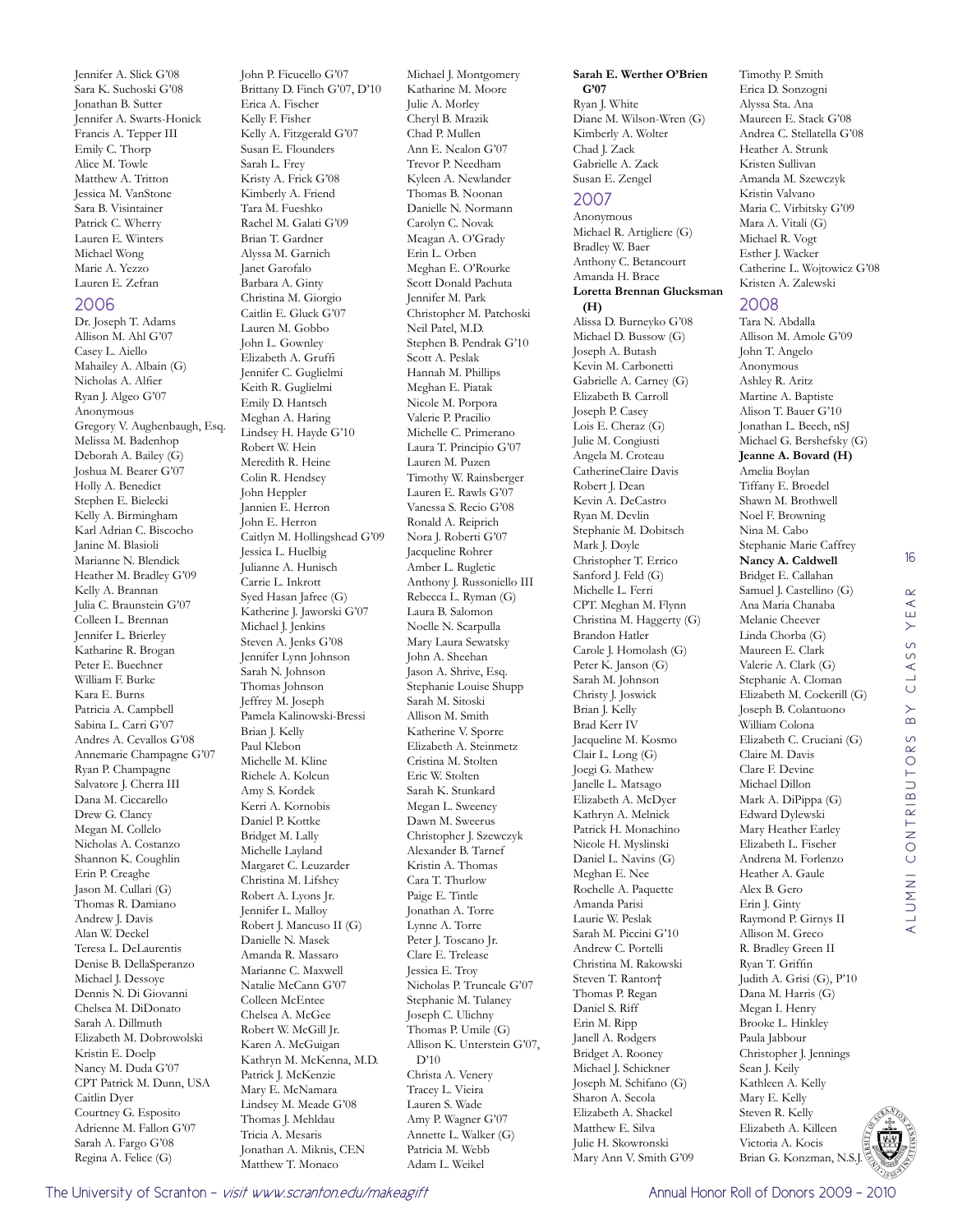Jennifer A. Slick G'08 Sara K. Suchoski G'08 Jonathan B. Sutter Jennifer A. Swarts-Honick Francis A. Tepper III Emily C. Thorp Alice M. Towle Matthew A. Tritton Jessica M. VanStone Sara B. Visintainer Patrick C. Wherry Lauren E. Winters Michael Wong Marie A. Yezzo Lauren E. Zefran

#### 2006

Dr. Joseph T. Adams Allison M. Ahl G'07 Casey L. Aiello Mahailey A. Albain (G) Nicholas A. Alfier Ryan J. Algeo G'07 Anonymous Gregory V. Aughenbaugh, Esq. Melissa M. Badenhop Deborah A. Bailey (G) Joshua M. Bearer G'07 Holly A. Benedict Stephen E. Bielecki Kelly A. Birmingham Karl Adrian C. Biscocho Janine M. Blasioli Marianne N. Blendick Heather M. Bradley G'09 Kelly A. Brannan Julia C. Braunstein G'07 Colleen L. Brennan Jennifer L. Brierley Katharine R. Brogan Peter E. Buechner William F. Burke Kara E. Burns Patricia A. Campbell Sabina L. Carri G'07 Andres A. Cevallos G'08 Annemarie Champagne G'07 Ryan P. Champagne Salvatore J. Cherra III Dana M. Ciccarello Drew G. Clancy Megan M. Collelo Nicholas A. Costanzo Shannon K. Coughlin Erin P. Creaghe Jason M. Cullari (G) Thomas R. Damiano Andrew J. Davis Alan W. Deckel Teresa L. DeLaurentis Denise B. DellaSperanzo Michael I. Dessove Dennis N. Di Giovanni Chelsea M. DiDonato Sarah A. Dillmuth Elizabeth M. Dobrowolski Kristin E. Doelp Nancy M. Duda G'07 CPT Patrick M. Dunn, USA Caitlin Dyer Courtney G. Esposito Adrienne M. Fallon G'07 Sarah A. Fargo G'08 Regina A. Felice (G)

John P. Ficucello G'07 Brittany D. Finch G'07, D'10 Erica A. Fischer Kelly F. Fisher Kelly A. Fitzgerald G'07 Susan E. Flounders Sarah L. Frey Kristy A. Frick G'08 Kimberly A. Friend Tara M. Fueshko Rachel M. Galati G'09 Brian T. Gardner Alyssa M. Garnich Janet Garofalo Barbara A. Ginty Christina M. Giorgio Caitlin E. Gluck G'07 Lauren M. Gobbo John L. Gownley Elizabeth A. Gruffi Jennifer C. Guglielmi Keith R. Guglielmi Emily D. Hantsch Meghan A. Haring Lindsey H. Hayde G'10 Robert W. Hein Meredith R. Heine Colin R. Hendsey John Heppler Jannien E. Herron John E. Herron Caitlyn M. Hollingshead G'09 Jessica L. Huelbig Julianne A. Hunisch Carrie L. Inkrott Syed Hasan Jafree (G) Katherine J. Jaworski G'07 Michael J. Jenkins Steven A. Jenks G'08 Jennifer Lynn Johnson Sarah N. Johnson Thomas Johnson Jeffrey M. Joseph Pamela Kalinowski-Bressi Brian J. Kelly Paul Klebon Michelle M. Kline Richele A. Kolcun Amy S. Kordek Kerri A. Kornobis Daniel P. Kottke Bridget M. Lally Michelle Layland Margaret C. Leuzarder Christina M. Lifshey Robert A. Lyons Jr. Jennifer L. Malloy Robert J. Mancuso II (G) Danielle N. Masek Amanda R. Massaro Marianne C. Maxwell Natalie McCann G'07 Colleen McEntee Chelsea A. McGee Robert W. McGill Jr. Karen A. McGuigan Kathryn M. McKenna, M.D. Patrick J. McKenzie Mary E. McNamara Lindsey M. Meade G'08 Thomas J. Mehldau Tricia A. Mesaris Jonathan A. Miknis, CEN Matthew T. Monaco

Michael J. Montgomery Katharine M. Moore Julie A. Morley Cheryl B. Mrazik Chad P. Mullen Ann E. Nealon G'07 Trevor P. Needham Kyleen A. Newlander Thomas B. Noonan Danielle N. Normann Carolyn C. Novak Meagan A. O'Grady Erin L. Orben Meghan E. O'Rourke Scott Donald Pachuta Jennifer M. Park Christopher M. Patchoski Neil Patel, M.D. Stephen B. Pendrak G'10 Scott A. Peslak Hannah M. Phillips Meghan E. Piatak Nicole M. Porpora Valerie P. Pracilio Michelle C. Primerano Laura T. Principio G'07 Lauren M. Puzen Timothy W. Rainsberger Lauren E. Rawls G'07 Vanessa S. Recio G'08 Ronald A. Reiprich Nora J. Roberti G'07 Jacqueline Rohrer Amber L. Rugletic Anthony J. Russoniello III Rebecca L. Ryman (G) Laura B. Salomon Noelle N. Scarpulla Mary Laura Sewatsky John A. Sheehan Jason A. Shrive, Esq. Stephanie Louise Shupp Sarah M. Sitoski Allison M. Smith Katherine V. Sporre Elizabeth A. Steinmetz Cristina M. Stolten Eric W. Stolten Sarah K. Stunkard Megan L. Sweeney Dawn M. Sweerus Christopher J. Szewczyk Alexander B. Tarnef Kristin A. Thomas Cara T. Thurlow Paige E. Tintle Jonathan A. Torre Lynne A. Torre Peter J. Toscano Jr. Clare E. Trelease Jessica E. Troy Nicholas P. Truncale G'07 Stephanie M. Tulaney Joseph C. Ulichny Thomas P. Umile (G) Allison K. Unterstein G'07, D'10 Christa A. Venery Tracey L. Vieira Lauren S. Wade Amy P. Wagner G'07 Annette L. Walker (G) Patricia M. Webb

Adam L. Weikel

#### **Sarah E. Werther O'Brien**

**G'07** Ryan J. White Diane M. Wilson-Wren (G) Kimberly A. Wolter Chad J. Zack Gabrielle A. Zack Susan E. Zengel

#### 2007

Anonymous Michael R. Artigliere (G) Bradley W. Baer Anthony C. Betancourt Amanda H. Brace **Loretta Brennan Glucksman** 

**(H)** Alissa D. Burneyko G'08 Michael D. Bussow (G) Joseph A. Butash Kevin M. Carbonetti Gabrielle A. Carney (G) Elizabeth B. Carroll Joseph P. Casey Lois E. Cheraz (G) Julie M. Congiusti Angela M. Croteau CatherineClaire Davis Robert J. Dean Kevin A. DeCastro Ryan M. Devlin Stephanie M. Dobitsch Mark J. Doyle Christopher T. Errico Sanford J. Feld (G) Michelle L. Ferri CPT. Meghan M. Flynn Christina M. Haggerty (G) Brandon Hatler Carole J. Homolash (G) Peter K. Janson (G) Sarah M. Johnson Christy J. Joswick Brian J. Kelly Brad Kerr IV Jacqueline M. Kosmo Clair L. Long (G) Joegi G. Mathew Janelle L. Matsago Elizabeth A. McDyer Kathryn A. Melnick Patrick H. Monachino Nicole H. Myslinski Daniel L. Navins (G) Meghan E. Nee Rochelle A. Paquette Amanda Parisi Laurie W. Peslak Sarah M. Piccini G'10 Andrew C. Portelli Christina M. Rakowski Steven T. Ranton† Thomas P. Regan Daniel S. Riff Erin M. Ripp Janell A. Rodgers Bridget A. Rooney Michael J. Schickner Joseph M. Schifano (G) Sharon A. Secola Elizabeth A. Shackel Matthew E. Silva Julie H. Skowronski Mary Ann V. Smith G'09

Timothy P. Smith Erica D. Sonzogni Alyssa Sta. Ana Maureen E. Stack G'08 Andrea C. Stellatella G'08 Heather A. Strunk Kristen Sullivan Amanda M. Szewczyk Kristin Valvano Maria C. Virbitsky G'09 Mara A. Vitali (G) Michael R. Vogt Esther J. Wacker Catherine L. Wojtowicz G'08 Kristen A. Zalewski

#### 2008

Tara N. Abdalla Allison M. Amole G'09 John T. Angelo Anonymous Ashley R. Aritz Martine A. Baptiste Alison T. Bauer G'10 Jonathan L. Beech, nSJ Michael G. Bershefsky (G) **Jeanne A. Bovard (H)** Amelia Boylan Tiffany E. Broedel Shawn M. Brothwell Noel F. Browning Nina M. Cabo Stephanie Marie Caffrey **Nancy A. Caldwell** Bridget E. Callahan Samuel J. Castellino (G) Ana Maria Chanaba Melanie Cheever Linda Chorba (G) Maureen E. Clark Valerie A. Clark (G) Stephanie A. Cloman Elizabeth M. Cockerill (G) Joseph B. Colantuono William Colona Elizabeth C. Cruciani (G) Claire M. Davis Clare F. Devine Michael Dillon Mark A. DiPippa (G) Edward Dylewski Mary Heather Earley Elizabeth L. Fischer Andrena M. Forlenzo Heather A. Gaule Alex B. Gero Erin J. Ginty Raymond P. Girnys II Allison M. Greco R. Bradley Green II Ryan T. Griffin Judith A. Grisi (G), P'10 Dana M. Harris (G) Megan I. Henry Brooke L. Hinkley Paula Jabbour Christopher J. Jennings Sean J. Keily Kathleen A. Kelly Mary E. Kelly Steven R. Kelly Elizabeth A. Killeen



Victoria A. Kocis Brian G. Konzman, N.S.